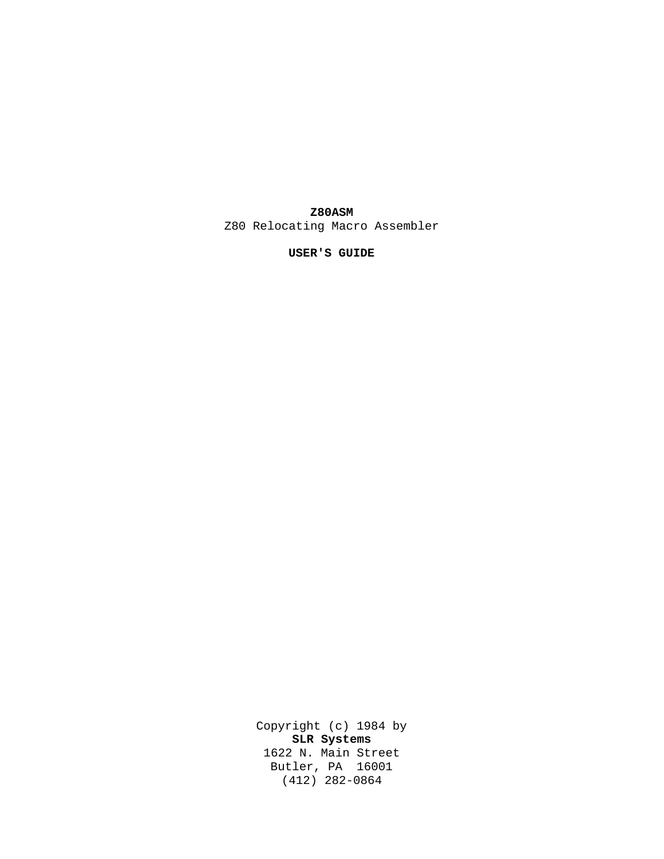# **Z80ASM**

Z80 Relocating Macro Assembler

**USER'S GUIDE**

Copyright (c) 1984 by **SLR Systems** 1622 N. Main Street Butler, PA 16001 (412) 282-0864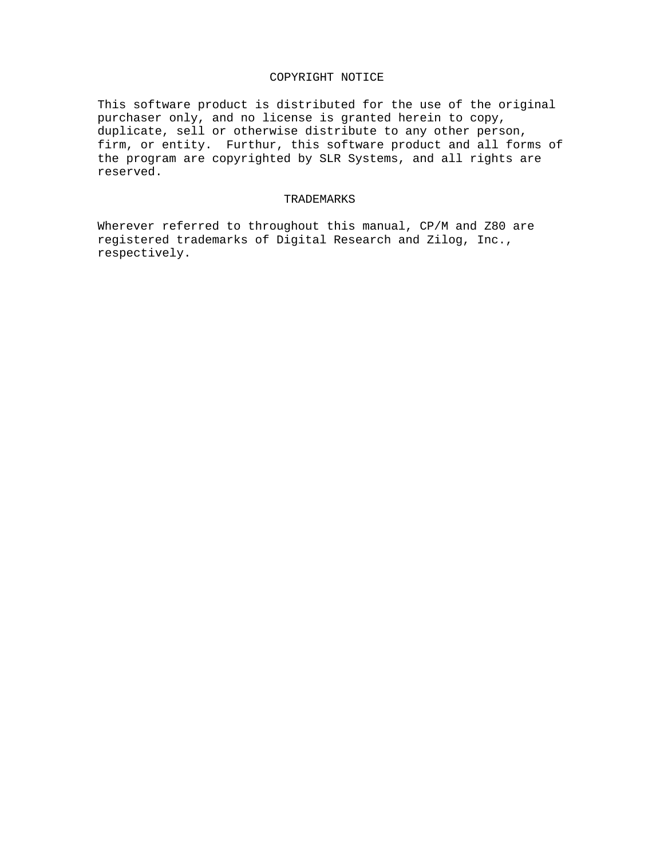# COPYRIGHT NOTICE

This software product is distributed for the use of the original purchaser only, and no license is granted herein to copy, duplicate, sell or otherwise distribute to any other person, firm, or entity. Furthur, this software product and all forms of the program are copyrighted by SLR Systems, and all rights are reserved.

# TRADEMARKS

Wherever referred to throughout this manual, CP/M and Z80 are registered trademarks of Digital Research and Zilog, Inc., respectively.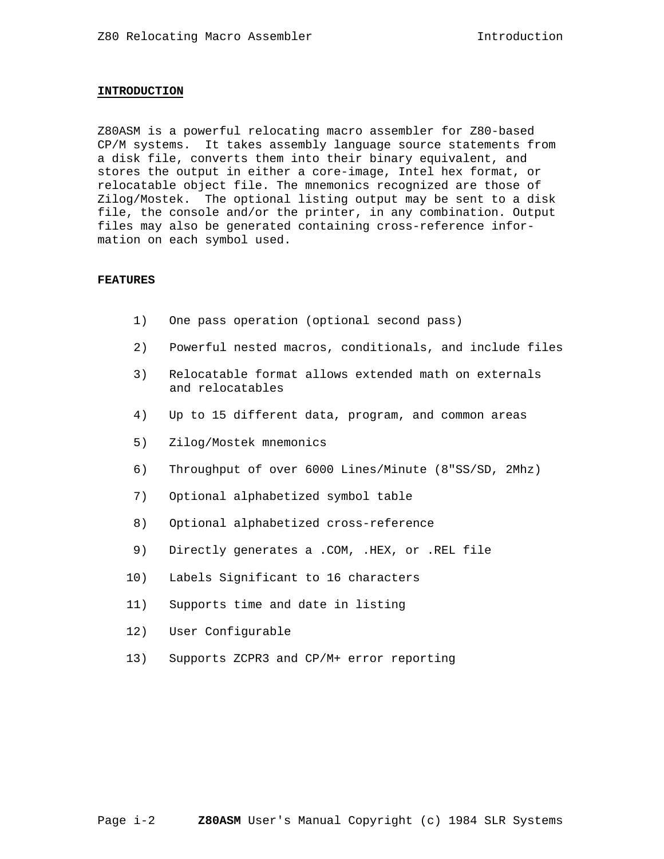#### **INTRODUCTION**

Z80ASM is a powerful relocating macro assembler for Z80-based CP/M systems. It takes assembly language source statements from a disk file, converts them into their binary equivalent, and stores the output in either a core-image, Intel hex format, or relocatable object file. The mnemonics recognized are those of Zilog/Mostek. The optional listing output may be sent to a disk file, the console and/or the printer, in any combination. Output files may also be generated containing cross-reference information on each symbol used.

#### **FEATURES**

- 1) One pass operation (optional second pass)
- 2) Powerful nested macros, conditionals, and include files
- 3) Relocatable format allows extended math on externals and relocatables
- 4) Up to 15 different data, program, and common areas
- 5) Zilog/Mostek mnemonics
- 6) Throughput of over 6000 Lines/Minute (8"SS/SD, 2Mhz)
- 7) Optional alphabetized symbol table
- 8) Optional alphabetized cross-reference
- 9) Directly generates a .COM, .HEX, or .REL file
- 10) Labels Significant to 16 characters
- 11) Supports time and date in listing
- 12) User Configurable
- 13) Supports ZCPR3 and CP/M+ error reporting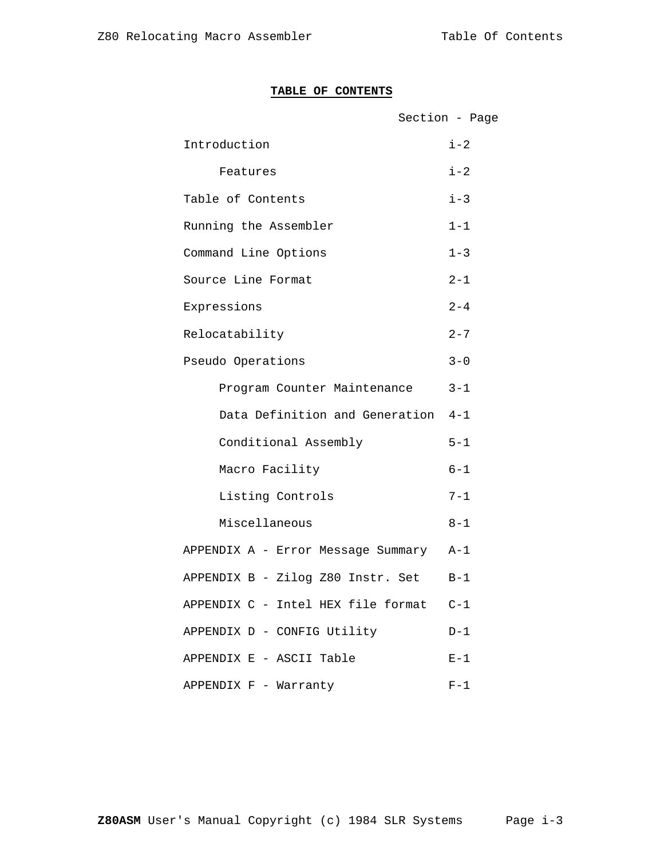# **TABLE OF CONTENTS**

|                                        | Section - Page |
|----------------------------------------|----------------|
| Introduction                           | $i - 2$        |
| Features                               | $i - 2$        |
| Table of Contents                      | $i - 3$        |
| Running the Assembler                  | $1 - 1$        |
| Command Line Options                   | $1 - 3$        |
| Source Line Format                     | $2 - 1$        |
| Expressions                            | $2 - 4$        |
| Relocatability                         | $2 - 7$        |
| Pseudo Operations                      | $3 - 0$        |
| Program Counter Maintenance            | $3 - 1$        |
| Data Definition and Generation         | $4 - 1$        |
| Conditional Assembly                   | $5 - 1$        |
| Macro Facility                         | $6 - 1$        |
| Listing Controls                       | $7 - 1$        |
| Miscellaneous                          | $8 - 1$        |
| APPENDIX A - Error Message Summary A-1 |                |
| APPENDIX B - Zilog Z80 Instr. Set      | $B-1$          |
| APPENDIX C - Intel HEX file format C-1 |                |
| APPENDIX D - CONFIG Utility            | $D-1$          |
| APPENDIX E - ASCII Table               | $E-1$          |
| APPENDIX F - Warranty                  | $F-1$          |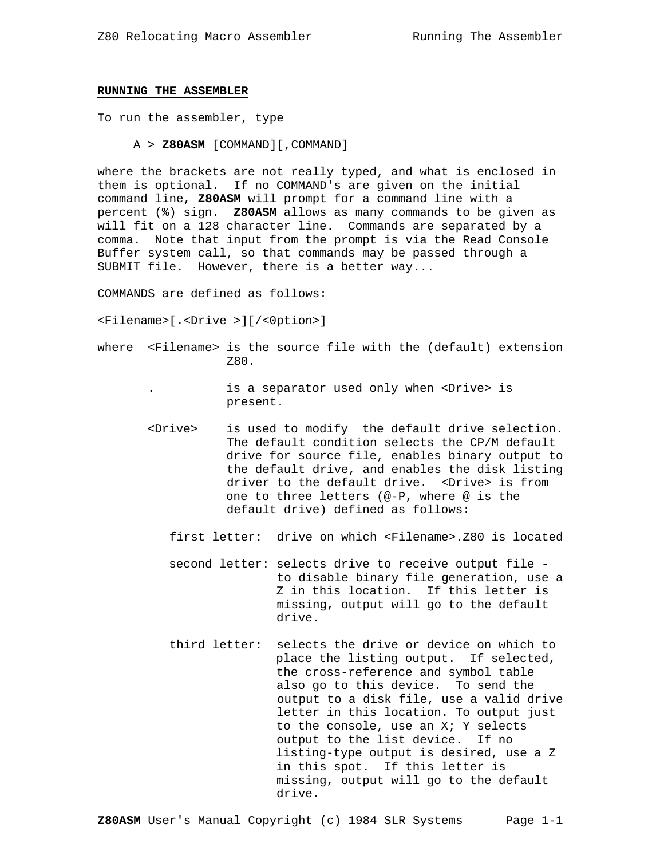### **RUNNING THE ASSEMBLER**

To run the assembler, type

A > **Z80ASM** [COMMAND][,COMMAND]

where the brackets are not really typed, and what is enclosed in them is optional. If no COMMAND's are given on the initial command line, **Z80ASM** will prompt for a command line with a percent (%) sign. **Z80ASM** allows as many commands to be given as will fit on a 128 character line. Commands are separated by a comma. Note that input from the prompt is via the Read Console Buffer system call, so that commands may be passed through a SUBMIT file. However, there is a better way...

COMMANDS are defined as follows:

<Filename>[.<Drive >][/<0ption>]

where <Filename> is the source file with the (default) extension Z80.

> . is a separator used only when <Drive> is present.

- <Drive> is used to modify the default drive selection. The default condition selects the CP/M default drive for source file, enables binary output to the default drive, and enables the disk listing driver to the default drive. <Drive> is from one to three letters (@-P, where @ is the default drive) defined as follows:
	- first letter: drive on which <Filename>.Z80 is located
	- second letter: selects drive to receive output file to disable binary file generation, use a Z in this location. If this letter is missing, output will go to the default drive.
	- third letter: selects the drive or device on which to place the listing output. If selected, the cross-reference and symbol table also go to this device. To send the output to a disk file, use a valid drive letter in this location. To output just to the console, use an X; Y selects output to the list device. If no listing-type output is desired, use a Z in this spot. If this letter is missing, output will go to the default drive.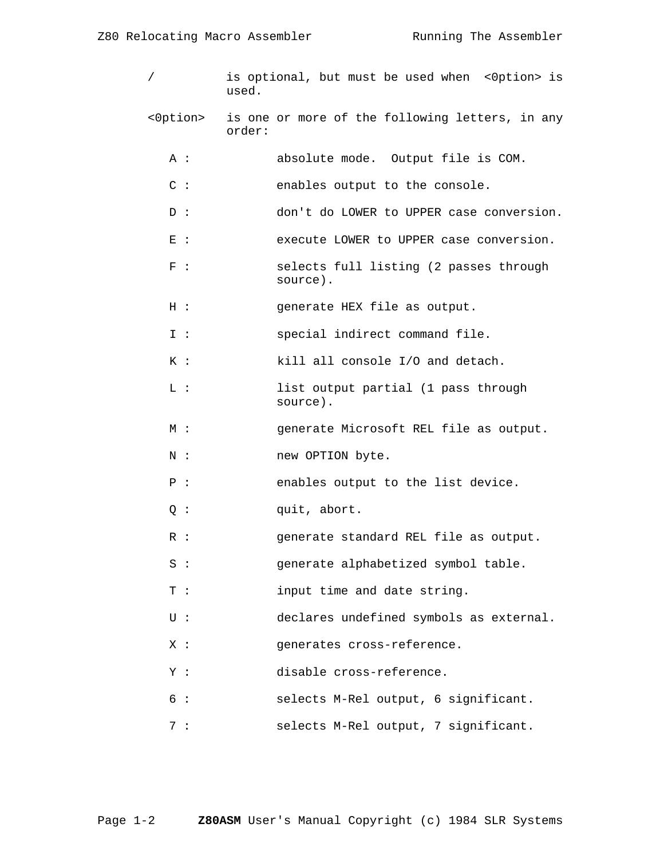| $\sqrt{2}$      | is optional, but must be used when <0ption> is<br>used.   |
|-----------------|-----------------------------------------------------------|
| <0ption>        | is one or more of the following letters, in any<br>order: |
| A :             | absolute mode. Output file is COM.                        |
| $C$ :           | enables output to the console.                            |
| D:              | don't do LOWER to UPPER case conversion.                  |
| $E$ :           | execute LOWER to UPPER case conversion.                   |
| F :             | selects full listing (2 passes through<br>source).        |
| H :             | generate HEX file as output.                              |
| I :             | special indirect command file.                            |
| K:              | kill all console I/O and detach.                          |
| $\mathbbm{L}$ : | list output partial (1 pass through<br>source).           |
| M :             | generate Microsoft REL file as output.                    |
| $N$ :           | new OPTION byte.                                          |
| P :             | enables output to the list device.                        |
| Q:              | quit, abort.                                              |
| $R$ :           | generate standard REL file as output.                     |
| $S$ :           | generate alphabetized symbol table.                       |
| $T$ :           | input time and date string.                               |
| $U$ :           | declares undefined symbols as external.                   |
| X:              | generates cross-reference.                                |
| Y:              | disable cross-reference.                                  |
| 6 :             | selects M-Rel output, 6 significant.                      |
| 7:              | selects M-Rel output, 7 significant.                      |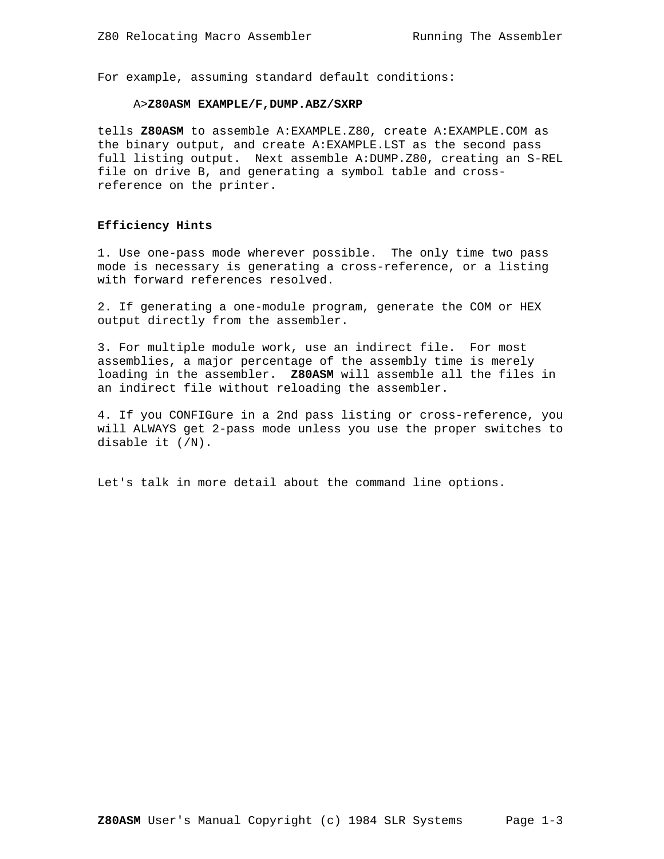For example, assuming standard default conditions:

### A>**Z80ASM EXAMPLE/F,DUMP.ABZ/SXRP**

tells **Z80ASM** to assemble A:EXAMPLE.Z80, create A:EXAMPLE.COM as the binary output, and create A:EXAMPLE.LST as the second pass full listing output. Next assemble A:DUMP.Z80, creating an S-REL file on drive B, and generating a symbol table and crossreference on the printer.

### **Efficiency Hints**

1. Use one-pass mode wherever possible. The only time two pass mode is necessary is generating a cross-reference, or a listing with forward references resolved.

2. If generating a one-module program, generate the COM or HEX output directly from the assembler.

3. For multiple module work, use an indirect file. For most assemblies, a major percentage of the assembly time is merely loading in the assembler. **Z80ASM** will assemble all the files in an indirect file without reloading the assembler.

4. If you CONFIGure in a 2nd pass listing or cross-reference, you will ALWAYS get 2-pass mode unless you use the proper switches to disable it (/N).

Let's talk in more detail about the command line options.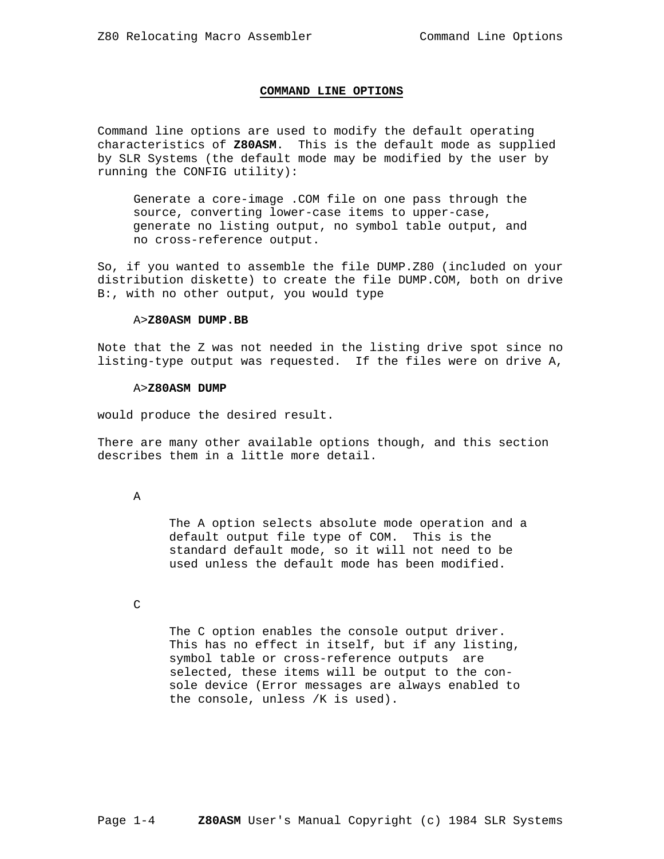### **COMMAND LINE OPTIONS**

Command line options are used to modify the default operating characteristics of **Z80ASM**. This is the default mode as supplied by SLR Systems (the default mode may be modified by the user by running the CONFIG utility):

 Generate a core-image .COM file on one pass through the source, converting lower-case items to upper-case, generate no listing output, no symbol table output, and no cross-reference output.

So, if you wanted to assemble the file DUMP.Z80 (included on your distribution diskette) to create the file DUMP.COM, both on drive B:, with no other output, you would type

### A>**Z80ASM DUMP.BB**

Note that the Z was not needed in the listing drive spot since no listing-type output was requested. If the files were on drive A,

# A>**Z80ASM DUMP**

would produce the desired result.

There are many other available options though, and this section describes them in a little more detail.

A

 The A option selects absolute mode operation and a default output file type of COM. This is the standard default mode, so it will not need to be used unless the default mode has been modified.

C

 The C option enables the console output driver. This has no effect in itself, but if any listing, symbol table or cross-reference outputs are selected, these items will be output to the con sole device (Error messages are always enabled to the console, unless /K is used).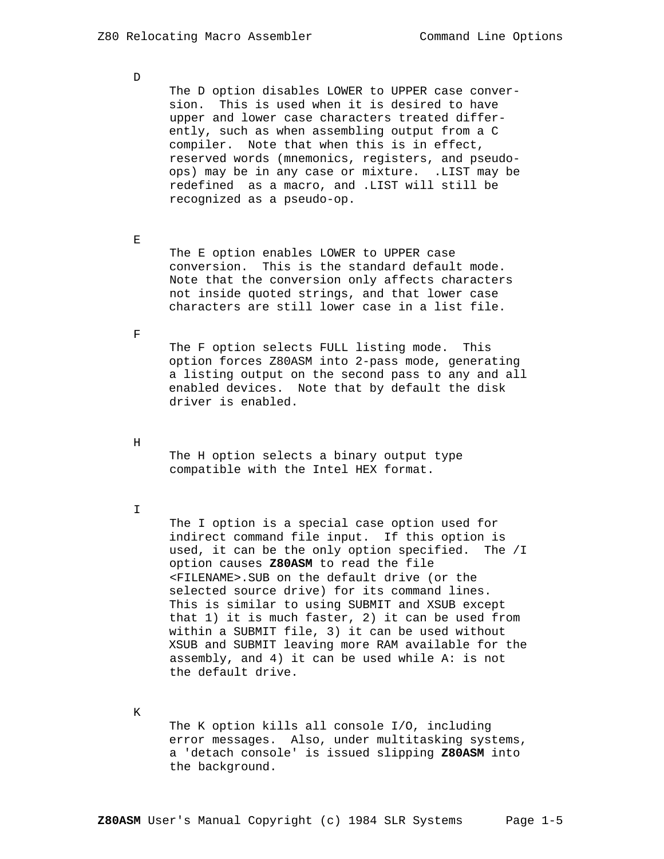The D option disables LOWER to UPPER case conver sion. This is used when it is desired to have upper and lower case characters treated differ ently, such as when assembling output from a C compiler. Note that when this is in effect, reserved words (mnemonics, registers, and pseudo ops) may be in any case or mixture. .LIST may be redefined as a macro, and .LIST will still be recognized as a pseudo-op.

 $\mathbf E$ 

D

 The E option enables LOWER to UPPER case conversion. This is the standard default mode. Note that the conversion only affects characters not inside quoted strings, and that lower case characters are still lower case in a list file.

 $\overline{\mathrm{F}}$ 

 The F option selects FULL listing mode. This option forces Z80ASM into 2-pass mode, generating a listing output on the second pass to any and all enabled devices. Note that by default the disk driver is enabled.

H

 The H option selects a binary output type compatible with the Intel HEX format.

I

 The I option is a special case option used for indirect command file input. If this option is used, it can be the only option specified. The /I option causes **Z80ASM** to read the file <FILENAME>.SUB on the default drive (or the selected source drive) for its command lines. This is similar to using SUBMIT and XSUB except that 1) it is much faster, 2) it can be used from within a SUBMIT file, 3) it can be used without XSUB and SUBMIT leaving more RAM available for the assembly, and 4) it can be used while A: is not the default drive.

K

 The K option kills all console I/O, including error messages. Also, under multitasking systems, a 'detach console' is issued slipping **Z80ASM** into the background.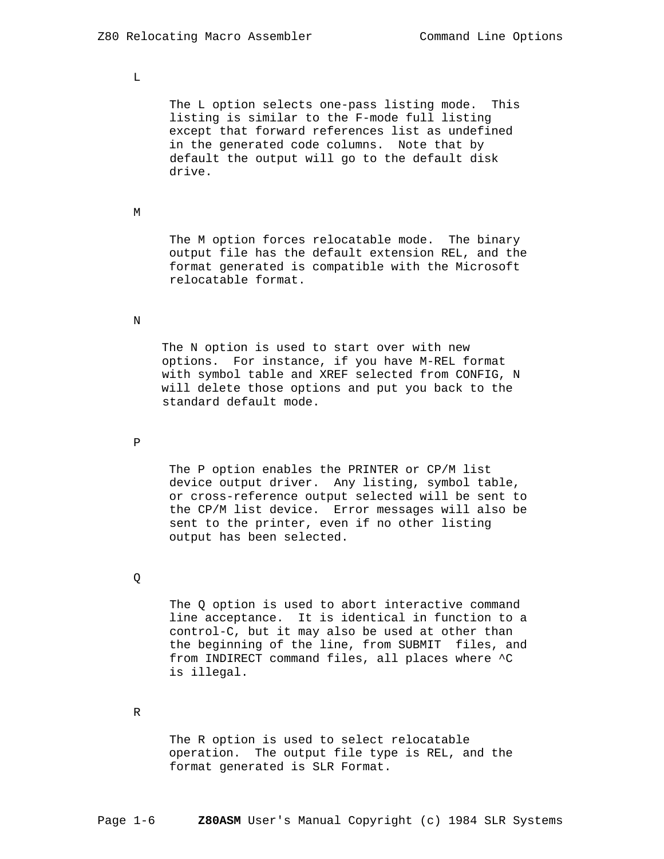L

The L option selects one-pass listing mode. This listing is similar to the F-mode full listing except that forward references list as undefined in the generated code columns. Note that by default the output will go to the default disk drive.

#### M

 The M option forces relocatable mode. The binary output file has the default extension REL, and the format generated is compatible with the Microsoft relocatable format.

### N

 The N option is used to start over with new options. For instance, if you have M-REL format with symbol table and XREF selected from CONFIG, N will delete those options and put you back to the standard default mode.

### P

 The P option enables the PRINTER or CP/M list device output driver. Any listing, symbol table, or cross-reference output selected will be sent to the CP/M list device. Error messages will also be sent to the printer, even if no other listing output has been selected.

# Q

The Q option is used to abort interactive command line acceptance. It is identical in function to a control-C, but it may also be used at other than the beginning of the line, from SUBMIT files, and from INDIRECT command files, all places where ^C is illegal.

#### R

 The R option is used to select relocatable operation. The output file type is REL, and the format generated is SLR Format.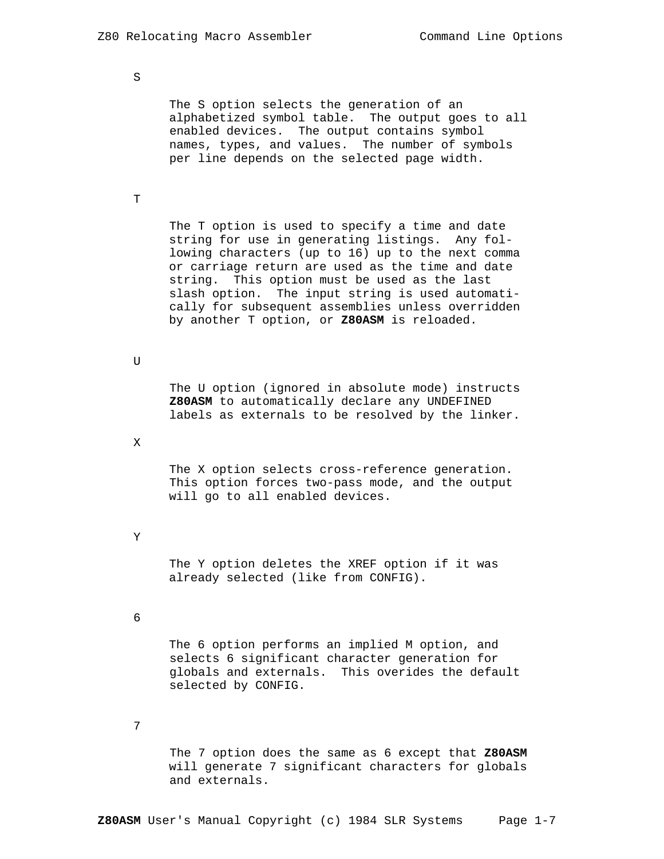S

 The S option selects the generation of an alphabetized symbol table. The output goes to all enabled devices. The output contains symbol names, types, and values. The number of symbols per line depends on the selected page width.

T

 The T option is used to specify a time and date string for use in generating listings. Any fol lowing characters (up to 16) up to the next comma or carriage return are used as the time and date string. This option must be used as the last slash option. The input string is used automati cally for subsequent assemblies unless overridden by another T option, or **Z80ASM** is reloaded.

U

 The U option (ignored in absolute mode) instructs **Z80ASM** to automatically declare any UNDEFINED labels as externals to be resolved by the linker.

X

 The X option selects cross-reference generation. This option forces two-pass mode, and the output will go to all enabled devices.

Y

 The Y option deletes the XREF option if it was already selected (like from CONFIG).

6

 The 6 option performs an implied M option, and selects 6 significant character generation for globals and externals. This overides the default selected by CONFIG.

7

 The 7 option does the same as 6 except that **Z80ASM** will generate 7 significant characters for globals and externals.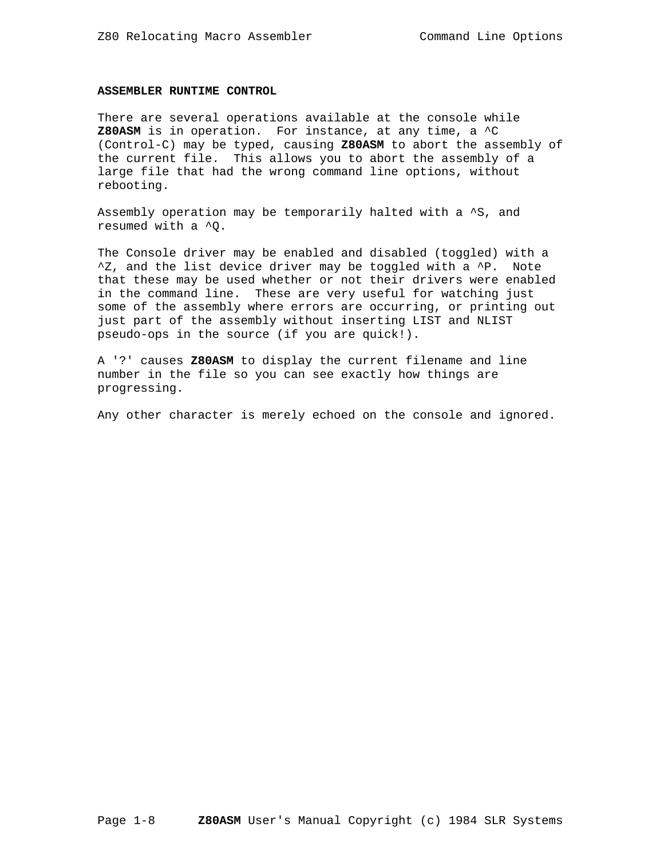### **ASSEMBLER RUNTIME CONTROL**

There are several operations available at the console while **Z80ASM** is in operation. For instance, at any time, a ^C (Control-C) may be typed, causing **Z80ASM** to abort the assembly of the current file. This allows you to abort the assembly of a large file that had the wrong command line options, without rebooting.

Assembly operation may be temporarily halted with a ^S, and resumed with a ^Q.

The Console driver may be enabled and disabled (toggled) with a  $\Delta Z$ , and the list device driver may be toggled with a  $\Delta P$ . Note that these may be used whether or not their drivers were enabled in the command line. These are very useful for watching just some of the assembly where errors are occurring, or printing out just part of the assembly without inserting LIST and NLIST pseudo-ops in the source (if you are quick!).

A '?' causes **Z80ASM** to display the current filename and line number in the file so you can see exactly how things are progressing.

Any other character is merely echoed on the console and ignored.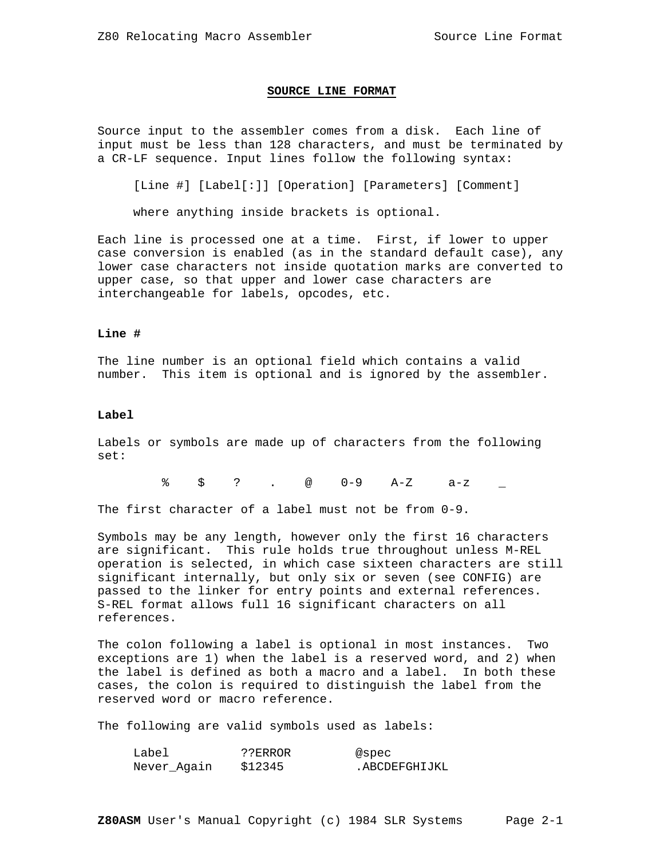#### **SOURCE LINE FORMAT**

Source input to the assembler comes from a disk. Each line of input must be less than 128 characters, and must be terminated by a CR-LF sequence. Input lines follow the following syntax:

[Line #] [Label[:]] [Operation] [Parameters] [Comment]

where anything inside brackets is optional.

Each line is processed one at a time. First, if lower to upper case conversion is enabled (as in the standard default case), any lower case characters not inside quotation marks are converted to upper case, so that upper and lower case characters are interchangeable for labels, opcodes, etc.

# **Line #**

The line number is an optional field which contains a valid number. This item is optional and is ignored by the assembler.

### **Label**

Labels or symbols are made up of characters from the following set:

% \$ ? . @ 0-9 A-Z a-z \_

The first character of a label must not be from 0-9.

Symbols may be any length, however only the first 16 characters are significant. This rule holds true throughout unless M-REL operation is selected, in which case sixteen characters are still significant internally, but only six or seven (see CONFIG) are passed to the linker for entry points and external references. S-REL format allows full 16 significant characters on all references.

The colon following a label is optional in most instances. Two exceptions are 1) when the label is a reserved word, and 2) when the label is defined as both a macro and a label. In both these cases, the colon is required to distinguish the label from the reserved word or macro reference.

The following are valid symbols used as labels:

| Label       | ??ERROR | @spec          |
|-------------|---------|----------------|
| Never Again | \$12345 | . ABCDEFGHIJKL |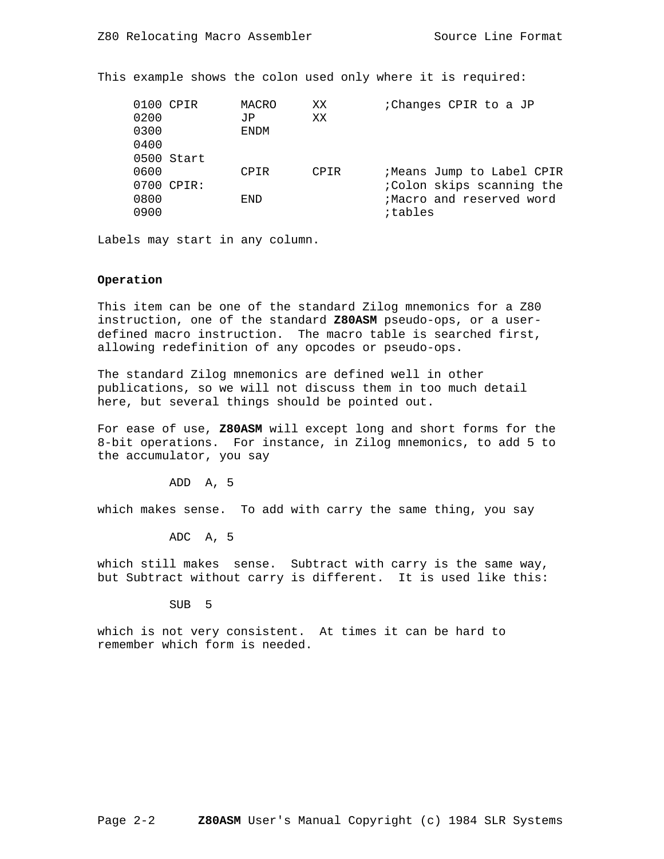This example shows the colon used only where it is required:

| 0200<br>0300<br>0400 | 0100 CPIR<br>0500 Start | MACRO<br>JP<br><b>ENDM</b> | XX<br>XX | : Changes CPIR to a JP                                                                        |
|----------------------|-------------------------|----------------------------|----------|-----------------------------------------------------------------------------------------------|
| 0600<br>0800<br>0900 | 0700 CPIR:              | CPIR<br><b>FND</b>         | CPIR     | ;Means Jump to Label CPIR<br>;Colon skips scanning the<br>;Macro and reserved word<br>itables |

Labels may start in any column.

# **Operation**

This item can be one of the standard Zilog mnemonics for a Z80 instruction, one of the standard **Z80ASM** pseudo-ops, or a userdefined macro instruction. The macro table is searched first, allowing redefinition of any opcodes or pseudo-ops.

The standard Zilog mnemonics are defined well in other publications, so we will not discuss them in too much detail here, but several things should be pointed out.

For ease of use, **Z80ASM** will except long and short forms for the 8-bit operations. For instance, in Zilog mnemonics, to add 5 to the accumulator, you say

ADD A, 5

which makes sense. To add with carry the same thing, you say

ADC A, 5

which still makes sense. Subtract with carry is the same way, but Subtract without carry is different. It is used like this:

SUB 5

which is not very consistent. At times it can be hard to remember which form is needed.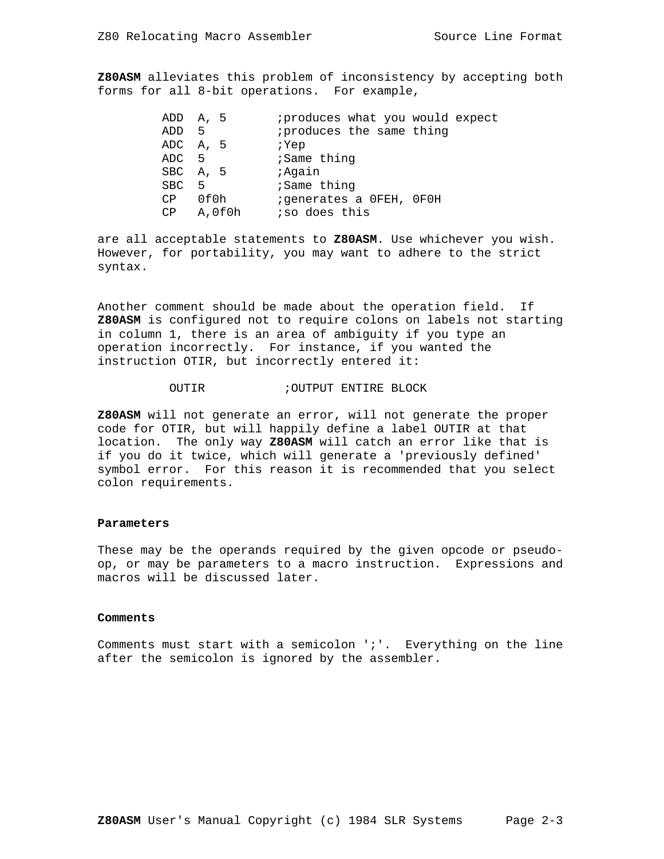**Z80ASM** alleviates this problem of inconsistency by accepting both forms for all 8-bit operations. For example,

|                  | ADD A, 5 | iproduces what you would expect |
|------------------|----------|---------------------------------|
| ADD <sub>5</sub> |          | iproduces the same thing        |
|                  | ADC A, 5 | ; Yep                           |
| ADC <sub>5</sub> |          | ;Same thing                     |
|                  | SBC A, 5 | ; Again                         |
| SBC 5            |          | ;Same thing                     |
| CP               | 0f0h     | ; generates a OFEH, OFOH        |
| CP               | A,0f0h   | iso does this                   |

are all acceptable statements to **Z80ASM**. Use whichever you wish. However, for portability, you may want to adhere to the strict syntax.

Another comment should be made about the operation field. If **Z80ASM** is configured not to require colons on labels not starting in column 1, there is an area of ambiguity if you type an operation incorrectly. For instance, if you wanted the instruction OTIR, but incorrectly entered it:

# OUTIR ;OUTPUT ENTIRE BLOCK

**Z80ASM** will not generate an error, will not generate the proper code for OTIR, but will happily define a label OUTIR at that location. The only way **Z80ASM** will catch an error like that is if you do it twice, which will generate a 'previously defined' symbol error. For this reason it is recommended that you select colon requirements.

#### **Parameters**

These may be the operands required by the given opcode or pseudoop, or may be parameters to a macro instruction. Expressions and macros will be discussed later.

#### **Comments**

Comments must start with a semicolon ';'. Everything on the line after the semicolon is ignored by the assembler.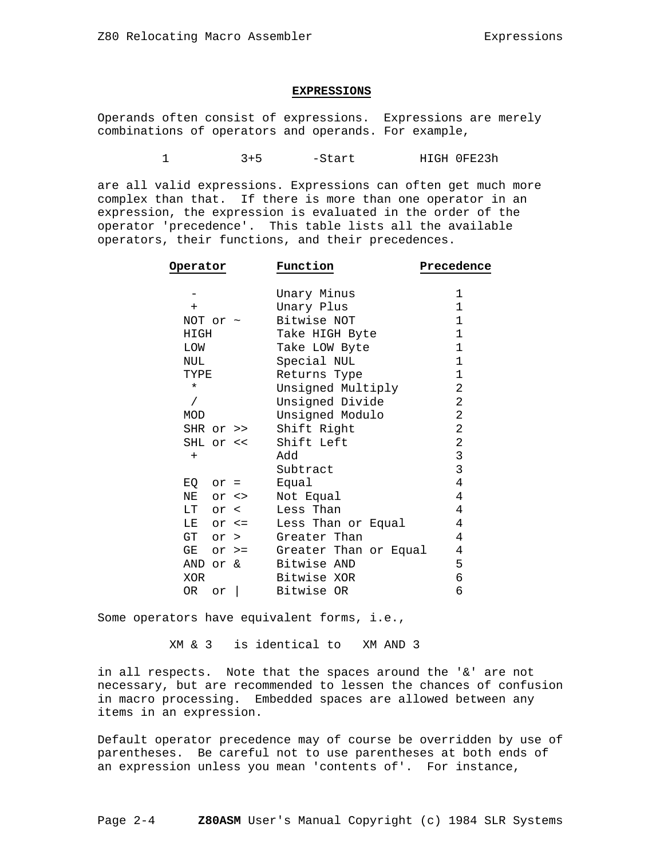#### **EXPRESSIONS**

Operands often consist of expressions. Expressions are merely combinations of operators and operands. For example,

1 3+5 -Start HIGH 0FE23h

are all valid expressions. Expressions can often get much more complex than that. If there is more than one operator in an expression, the expression is evaluated in the order of the operator 'precedence'. This table lists all the available operators, their functions, and their precedences.

| Operator      | Function                    | Precedence     |
|---------------|-----------------------------|----------------|
|               | Unary Minus                 | 1              |
| $+$           | Unary Plus                  | 1              |
| NOT or $\sim$ | Bitwise NOT                 | 1              |
| HIGH          | Take HIGH Byte              | 1              |
| LOW           | Take LOW Byte               | $\mathbf 1$    |
| NUL           | Special NUL                 | $\mathbf 1$    |
| TYPE          | Returns Type                | 1              |
| $^\star$      | Unsigned Multiply           | 2              |
| $\sqrt{2}$    | Unsigned Divide             | 2              |
| MOD           | Unsigned Modulo             | 2              |
| SHR or >>     | Shift Right                 | $\overline{2}$ |
| SHL or <<     | Shift Left                  | $\overline{2}$ |
| $+$           | Add                         | 3              |
|               | Subtract                    | 3              |
| $EQ$ or =     | Equal                       | 4              |
| NE or <>      | Not Equal                   | 4              |
| $LT$ or $\lt$ | Less Than                   | 4              |
| $LE$ or $\le$ | Less Than or Equal          | 4              |
| GT or >       | Greater Than                | 4              |
| GE            | or >= Greater Than or Equal | 4              |
| AND or &      | Bitwise AND                 | 5              |
| XOR           | Bitwise XOR                 | 6              |
| OR<br>or      | Bitwise OR                  | 6              |

Some operators have equivalent forms, i.e.,

XM & 3 is identical to XM AND 3

in all respects. Note that the spaces around the '&' are not necessary, but are recommended to lessen the chances of confusion in macro processing. Embedded spaces are allowed between any items in an expression.

Default operator precedence may of course be overridden by use of parentheses. Be careful not to use parentheses at both ends of an expression unless you mean 'contents of'. For instance,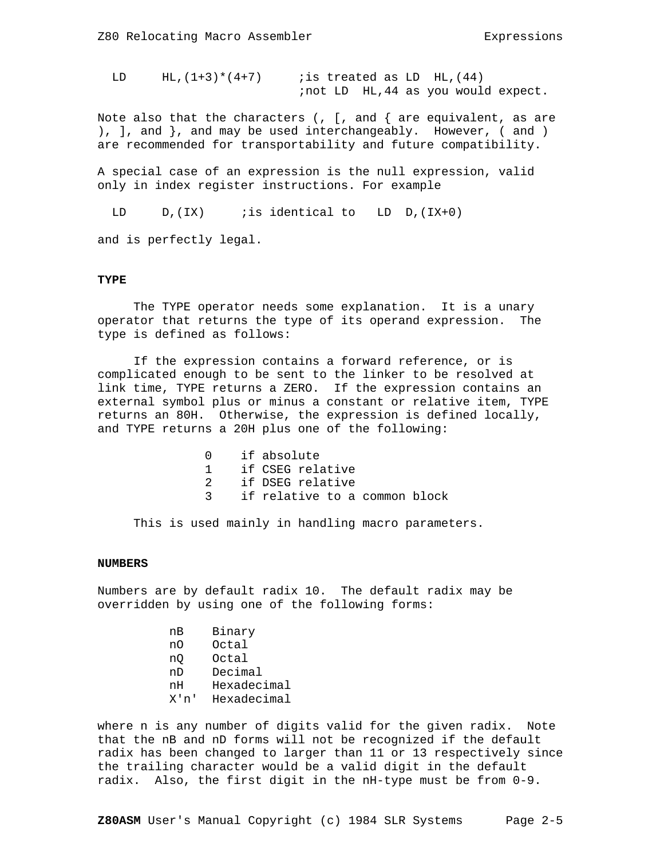LD  $HL$ ,  $(1+3)*(4+7)$  *is treated as LD HL*,  $(44)$ ;not LD HL,44 as you would expect.

Note also that the characters (,  $[$ , and  $\{$  are equivalent, as are ), ], and }, and may be used interchangeably. However, ( and ) are recommended for transportability and future compatibility.

A special case of an expression is the null expression, valid only in index register instructions. For example

LD  $D$ ,(IX) *i*s identical to LD  $D$ ,(IX+0)

and is perfectly legal.

### **TYPE**

 The TYPE operator needs some explanation. It is a unary operator that returns the type of its operand expression. The type is defined as follows:

 If the expression contains a forward reference, or is complicated enough to be sent to the linker to be resolved at link time, TYPE returns a ZERO. If the expression contains an external symbol plus or minus a constant or relative item, TYPE returns an 80H. Otherwise, the expression is defined locally, and TYPE returns a 20H plus one of the following:

|  | 0 if absolute                   |
|--|---------------------------------|
|  | 1 if CSEG relative              |
|  | 2 if DSEG relative              |
|  | 3 if relative to a common block |

This is used mainly in handling macro parameters.

#### **NUMBERS**

Numbers are by default radix 10. The default radix may be overridden by using one of the following forms:

|  | Bınarv<br>__ |
|--|--------------|
|--|--------------|

- nO Octal
- nQ Octal
- nD Decimal
- nH Hexadecimal
- X'n' Hexadecimal

where n is any number of digits valid for the given radix. Note that the nB and nD forms will not be recognized if the default radix has been changed to larger than 11 or 13 respectively since the trailing character would be a valid digit in the default radix. Also, the first digit in the nH-type must be from 0-9.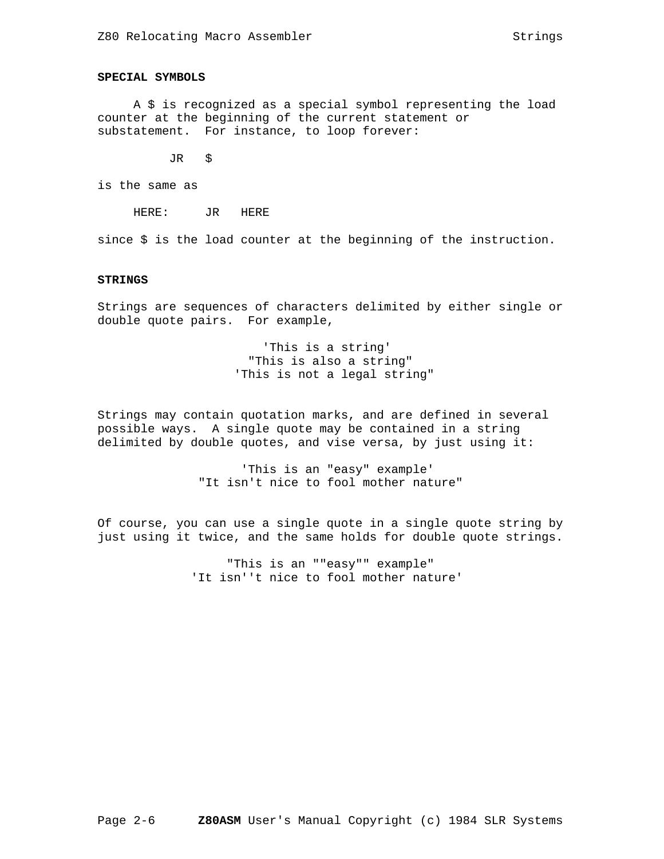# **SPECIAL SYMBOLS**

 A \$ is recognized as a special symbol representing the load counter at the beginning of the current statement or substatement. For instance, to loop forever:

JR \$

is the same as

HERE: JR HERE

since \$ is the load counter at the beginning of the instruction.

### **STRINGS**

Strings are sequences of characters delimited by either single or double quote pairs. For example,

> 'This is a string' "This is also a string" 'This is not a legal string"

Strings may contain quotation marks, and are defined in several possible ways. A single quote may be contained in a string delimited by double quotes, and vise versa, by just using it:

> 'This is an "easy" example' "It isn't nice to fool mother nature"

Of course, you can use a single quote in a single quote string by just using it twice, and the same holds for double quote strings.

> "This is an ""easy"" example" 'It isn''t nice to fool mother nature'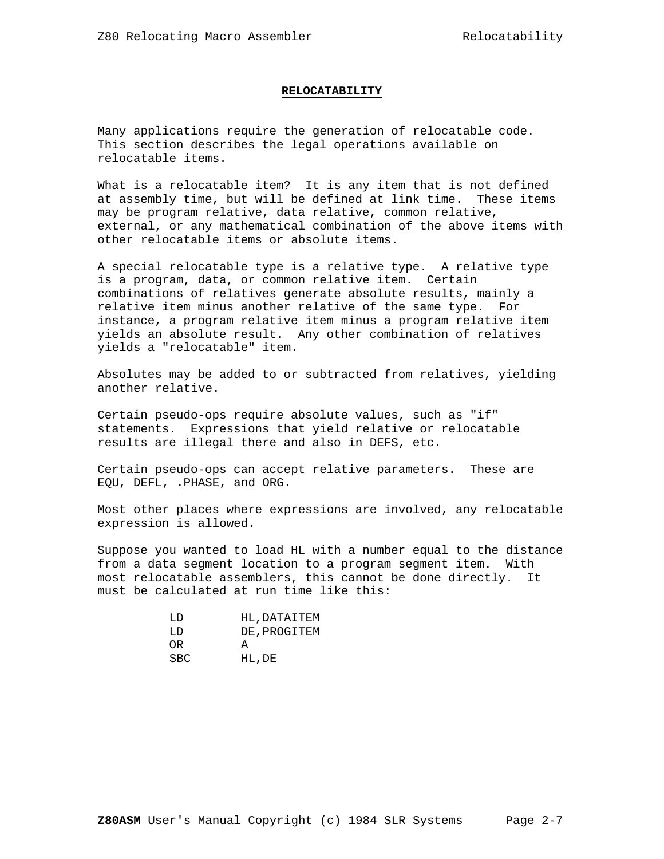#### **RELOCATABILITY**

Many applications require the generation of relocatable code. This section describes the legal operations available on relocatable items.

What is a relocatable item? It is any item that is not defined at assembly time, but will be defined at link time. These items may be program relative, data relative, common relative, external, or any mathematical combination of the above items with other relocatable items or absolute items.

A special relocatable type is a relative type. A relative type is a program, data, or common relative item. Certain combinations of relatives generate absolute results, mainly a relative item minus another relative of the same type. For instance, a program relative item minus a program relative item yields an absolute result. Any other combination of relatives yields a "relocatable" item.

Absolutes may be added to or subtracted from relatives, yielding another relative.

Certain pseudo-ops require absolute values, such as "if" statements. Expressions that yield relative or relocatable results are illegal there and also in DEFS, etc.

Certain pseudo-ops can accept relative parameters. These are EQU, DEFL, .PHASE, and ORG.

Most other places where expressions are involved, any relocatable expression is allowed.

Suppose you wanted to load HL with a number equal to the distance from a data segment location to a program segment item. With most relocatable assemblers, this cannot be done directly. It must be calculated at run time like this:

| ת.ד  | HL, DATAITEM |
|------|--------------|
| ת.ד  | DE, PROGITEM |
| OR.  | A            |
| SBC. | HL, DE       |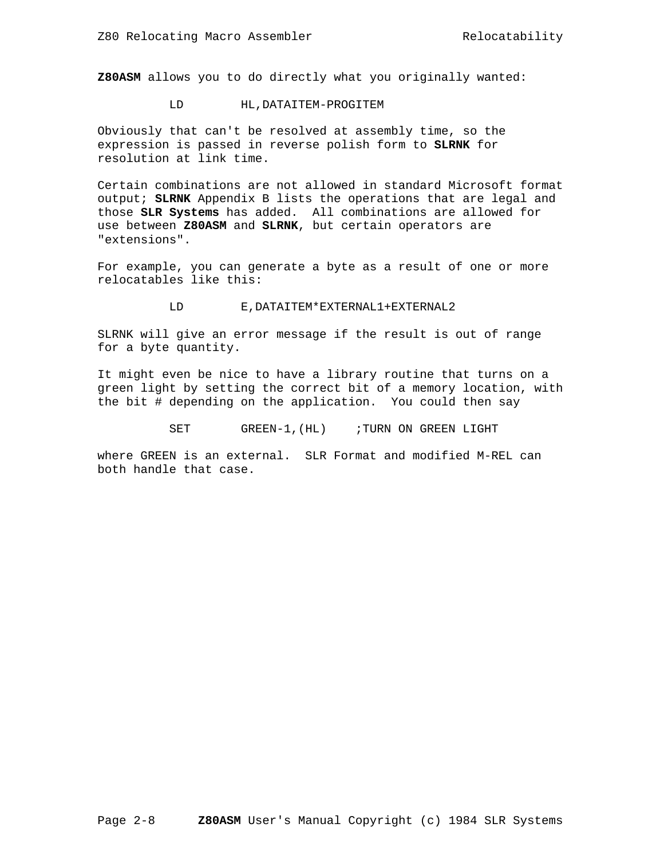**Z80ASM** allows you to do directly what you originally wanted:

### LD HL,DATAITEM-PROGITEM

Obviously that can't be resolved at assembly time, so the expression is passed in reverse polish form to **SLRNK** for resolution at link time.

Certain combinations are not allowed in standard Microsoft format output; **SLRNK** Appendix B lists the operations that are legal and those **SLR Systems** has added. All combinations are allowed for use between **Z80ASM** and **SLRNK**, but certain operators are "extensions".

For example, you can generate a byte as a result of one or more relocatables like this:

#### LD E,DATAITEM\*EXTERNAL1+EXTERNAL2

SLRNK will give an error message if the result is out of range for a byte quantity.

It might even be nice to have a library routine that turns on a green light by setting the correct bit of a memory location, with the bit # depending on the application. You could then say

SET GREEN-1, (HL) ; TURN ON GREEN LIGHT

where GREEN is an external. SLR Format and modified M-REL can both handle that case.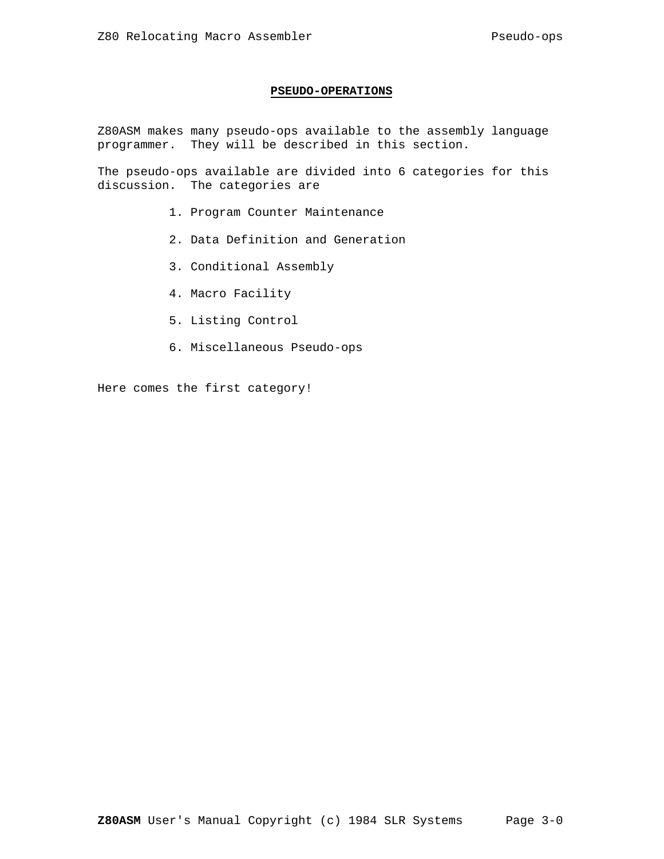# **PSEUDO-OPERATIONS**

Z80ASM makes many pseudo-ops available to the assembly language programmer. They will be described in this section.

The pseudo-ops available are divided into 6 categories for this discussion. The categories are

- 1. Program Counter Maintenance
- 2. Data Definition and Generation
- 3. Conditional Assembly
- 4. Macro Facility
- 5. Listing Control
- 6. Miscellaneous Pseudo-ops

Here comes the first category!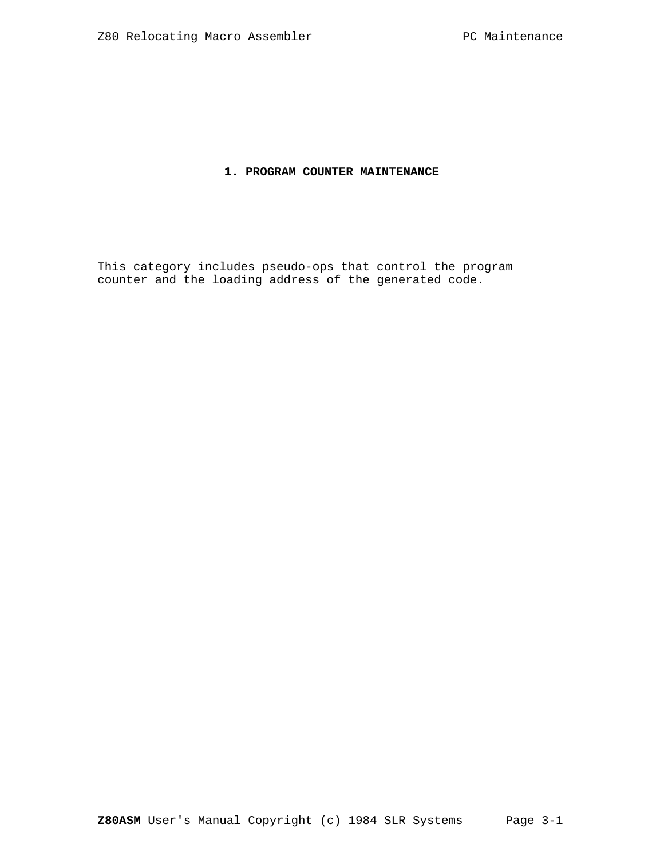# **1. PROGRAM COUNTER MAINTENANCE**

This category includes pseudo-ops that control the program counter and the loading address of the generated code.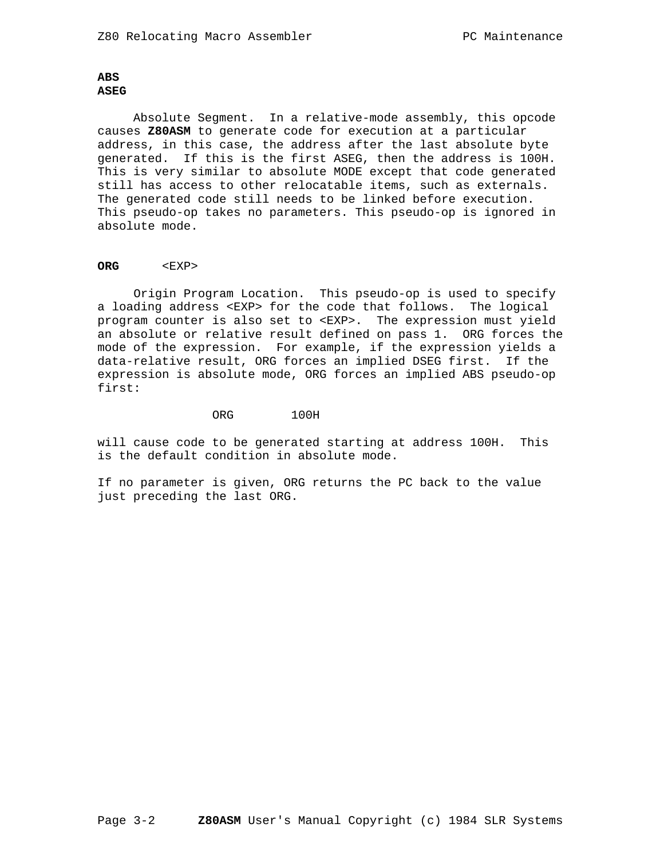# **ABS ASEG**

 Absolute Segment. In a relative-mode assembly, this opcode causes **Z80ASM** to generate code for execution at a particular address, in this case, the address after the last absolute byte generated. If this is the first ASEG, then the address is 100H. This is very similar to absolute MODE except that code generated still has access to other relocatable items, such as externals. The generated code still needs to be linked before execution. This pseudo-op takes no parameters. This pseudo-op is ignored in absolute mode.

### **ORG** <EXP>

 Origin Program Location. This pseudo-op is used to specify a loading address <EXP> for the code that follows. The logical program counter is also set to <EXP>. The expression must yield an absolute or relative result defined on pass 1. ORG forces the mode of the expression. For example, if the expression yields a data-relative result, ORG forces an implied DSEG first. If the expression is absolute mode, ORG forces an implied ABS pseudo-op first:

ORG 100H

will cause code to be generated starting at address 100H. This is the default condition in absolute mode.

If no parameter is given, ORG returns the PC back to the value just preceding the last ORG.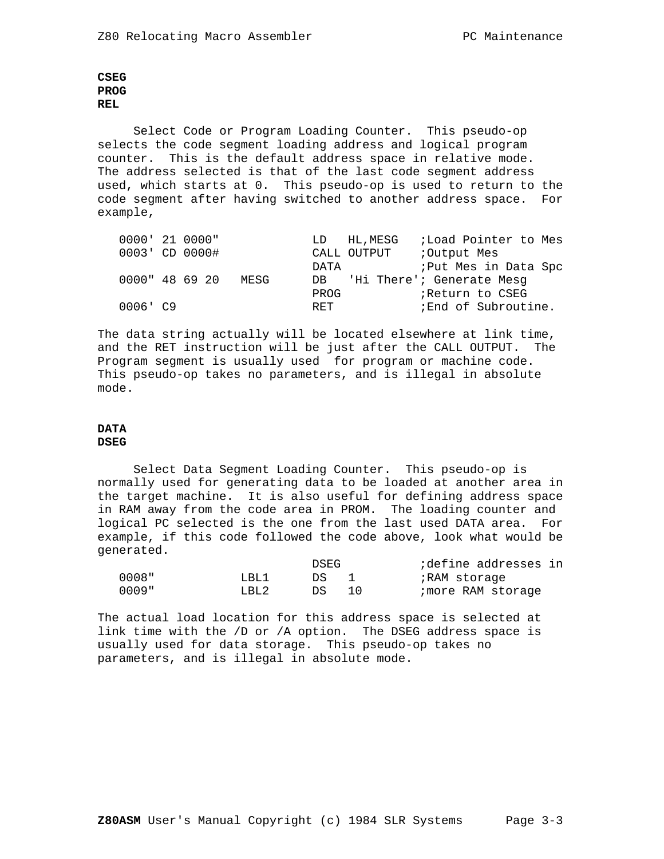# **CSEG PROG REL**

 Select Code or Program Loading Counter. This pseudo-op selects the code segment loading address and logical program counter. This is the default address space in relative mode. The address selected is that of the last code segment address used, which starts at 0. This pseudo-op is used to return to the code segment after having switched to another address space. For example,

| 0000' 21 0000" |  |      |      | LD HL, MESG | <i>i</i> Load Pointer to Mes |
|----------------|--|------|------|-------------|------------------------------|
| 0003' CD 0000# |  |      |      | CALL OUTPUT | :Output Mes                  |
|                |  |      | DATA |             | ; Put Mes in Data Spc        |
| 0000" 48 69 20 |  | MESG | DB   |             | 'Hi There'; Generate Mesq    |
|                |  |      | PROG |             | Return to CSEG               |
| $0006'$ $C9$   |  |      | RET  |             | ; End of Subroutine.         |

The data string actually will be located elsewhere at link time, and the RET instruction will be just after the CALL OUTPUT. The Program segment is usually used for program or machine code. This pseudo-op takes no parameters, and is illegal in absolute mode.

# **DATA**

# **DSEG**

 Select Data Segment Loading Counter. This pseudo-op is normally used for generating data to be loaded at another area in the target machine. It is also useful for defining address space in RAM away from the code area in PROM. The loading counter and logical PC selected is the one from the last used DATA area. For example, if this code followed the code above, look what would be generated.

|          |        | DSEG | define addresses in |  |
|----------|--------|------|---------------------|--|
| . " 8000 | T.BT.1 | DS.  | ;RAM storage        |  |
| $0009$ " | T.BT.2 | DS   | imore RAM storage   |  |

The actual load location for this address space is selected at link time with the /D or /A option. The DSEG address space is usually used for data storage. This pseudo-op takes no parameters, and is illegal in absolute mode.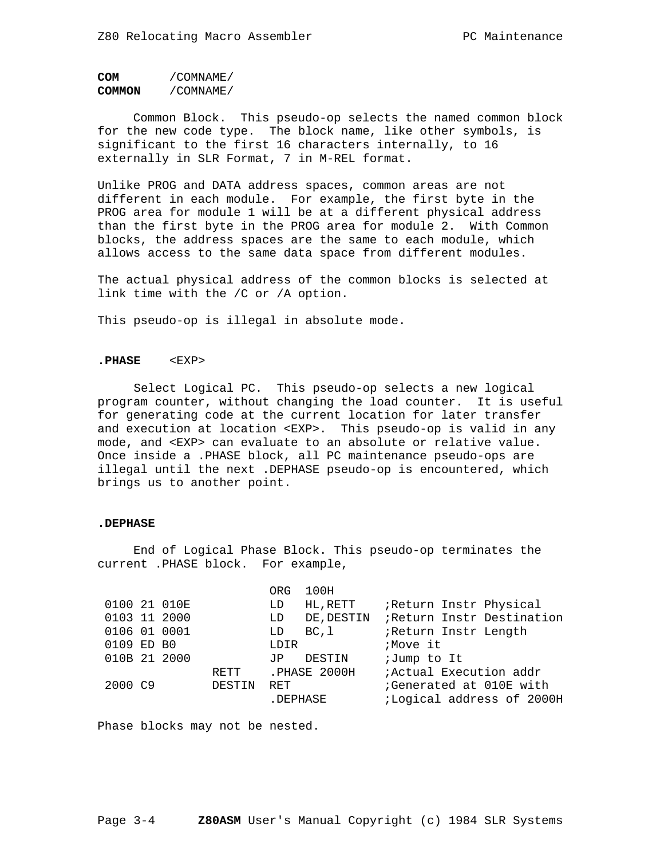```
COM /COMNAME/
COMMON /COMNAME/
```
 Common Block. This pseudo-op selects the named common block for the new code type. The block name, like other symbols, is significant to the first 16 characters internally, to 16 externally in SLR Format, 7 in M-REL format.

Unlike PROG and DATA address spaces, common areas are not different in each module. For example, the first byte in the PROG area for module 1 will be at a different physical address than the first byte in the PROG area for module 2. With Common blocks, the address spaces are the same to each module, which allows access to the same data space from different modules.

The actual physical address of the common blocks is selected at link time with the /C or /A option.

This pseudo-op is illegal in absolute mode.

### **.PHASE** <EXP>

 Select Logical PC. This pseudo-op selects a new logical program counter, without changing the load counter. It is useful for generating code at the current location for later transfer and execution at location <EXP>. This pseudo-op is valid in any mode, and <EXP> can evaluate to an absolute or relative value. Once inside a .PHASE block, all PC maintenance pseudo-ops are illegal until the next .DEPHASE pseudo-op is encountered, which brings us to another point.

### **.DEPHASE**

 End of Logical Phase Block. This pseudo-op terminates the current .PHASE block. For example,

|              |        | ORG.       | 100H         |                                |
|--------------|--------|------------|--------------|--------------------------------|
| 0100 21 010E |        | LD         | HL, RETT     | ;Return Instr Physical         |
| 0103 11 2000 |        | LD         | DE, DESTIN   | Return Instr Destination       |
| 0106 01 0001 |        | LD         | BC,l         | Return Instr Length            |
| 0109 ED B0   |        | LDIR       |              | ;Move it                       |
| 010B 21 2000 |        | JP.        | DESTIN       | ;Jump to It                    |
|              | RETT   |            | .PHASE 2000H | <i>i</i> Actual Execution addr |
| 2000 C9      | DESTIN | <b>RET</b> |              | Generated at 010E with         |
|              |        |            | .DEPHASE     | ;Logical address of 2000H      |
|              |        |            |              |                                |

Phase blocks may not be nested.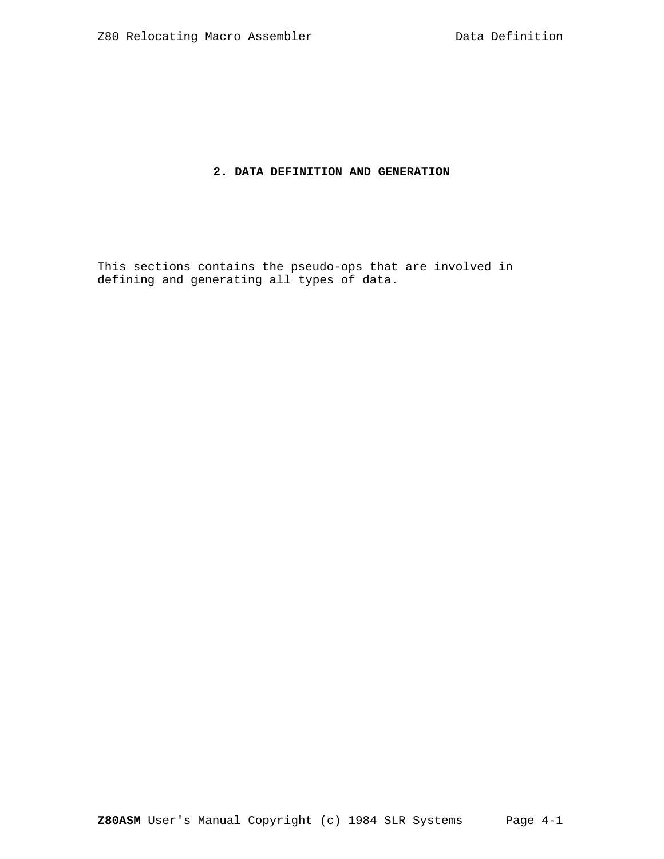# **2. DATA DEFINITION AND GENERATION**

This sections contains the pseudo-ops that are involved in defining and generating all types of data.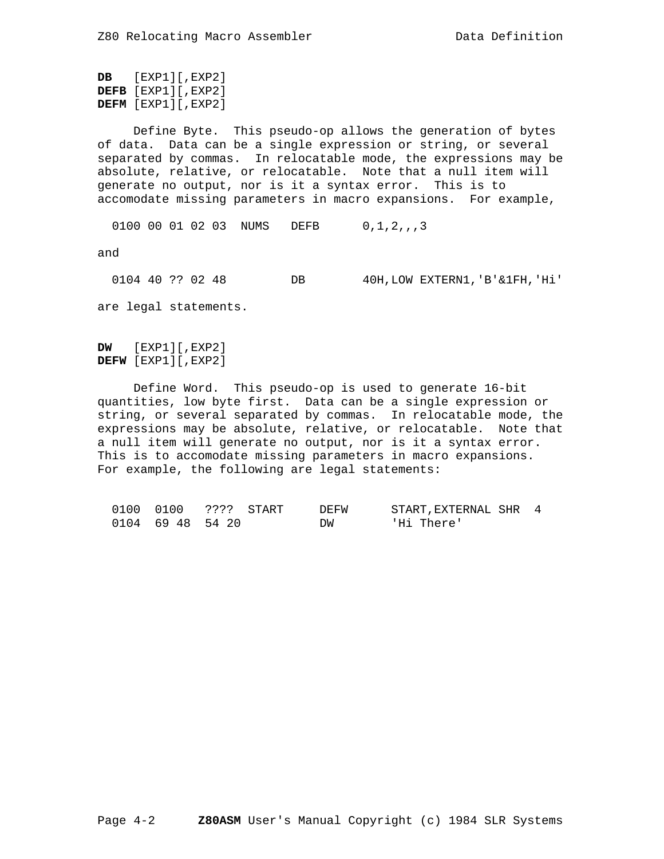```
DB [EXP1][,EXP2]
DEFB [EXP1][,EXP2]
DEFM [EXP1][,EXP2]
```
 Define Byte. This pseudo-op allows the generation of bytes of data. Data can be a single expression or string, or several separated by commas. In relocatable mode, the expressions may be absolute, relative, or relocatable. Note that a null item will generate no output, nor is it a syntax error. This is to accomodate missing parameters in macro expansions. For example,

0100 00 01 02 03 NUMS DEFB 0, 1, 2, , , 3

and

 0104 40 ?? 02 48 DB 40H,LOW EXTERN1,'B'&1FH,'Hi' are legal statements.

**DW** [EXP1][,EXP2] **DEFW** [EXP1][,EXP2]

 Define Word. This pseudo-op is used to generate 16-bit quantities, low byte first. Data can be a single expression or string, or several separated by commas. In relocatable mode, the expressions may be absolute, relative, or relocatable. Note that a null item will generate no output, nor is it a syntax error. This is to accomodate missing parameters in macro expansions. For example, the following are legal statements:

|  | 0100 0100 ???? START | DEFW | START, EXTERNAL SHR 4 |  |
|--|----------------------|------|-----------------------|--|
|  | 0104 69 48 54 20     | DW   | 'Hi There'            |  |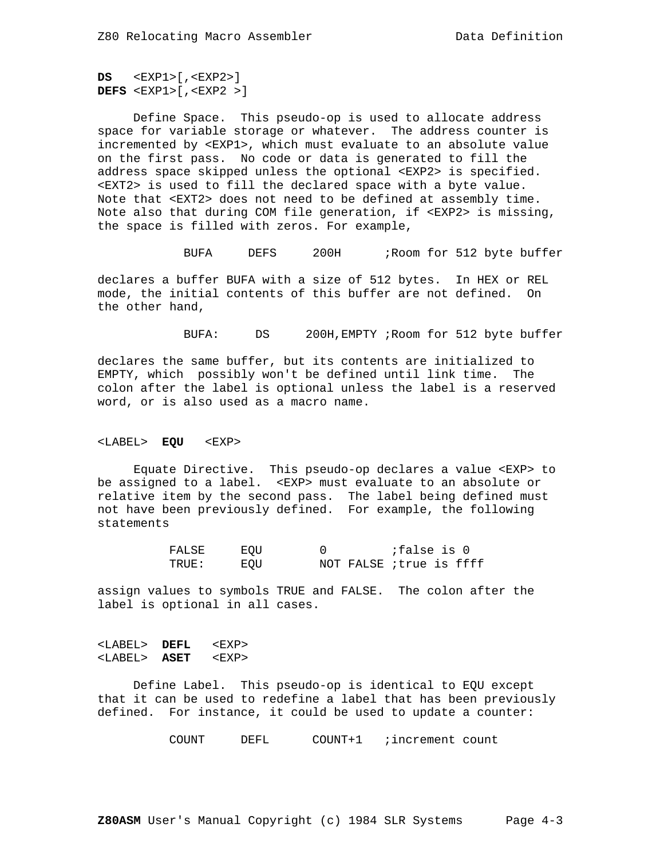**DS** <EXP1>[,<EXP2>] **DEFS** <EXP1>[,<EXP2 >]

 Define Space. This pseudo-op is used to allocate address space for variable storage or whatever. The address counter is incremented by <EXP1>, which must evaluate to an absolute value on the first pass. No code or data is generated to fill the address space skipped unless the optional <EXP2> is specified. <EXT2> is used to fill the declared space with a byte value. Note that <EXT2> does not need to be defined at assembly time. Note also that during COM file generation, if <EXP2> is missing, the space is filled with zeros. For example,

BUFA DEFS 200H ;Room for 512 byte buffer

declares a buffer BUFA with a size of 512 bytes. In HEX or REL mode, the initial contents of this buffer are not defined. On the other hand,

BUFA: DS 200H,EMPTY ;Room for 512 byte buffer

declares the same buffer, but its contents are initialized to EMPTY, which possibly won't be defined until link time. The colon after the label is optional unless the label is a reserved word, or is also used as a macro name.

### <LABEL> **EQU** <EXP>

 Equate Directive. This pseudo-op declares a value <EXP> to be assigned to a label. <EXP> must evaluate to an absolute or relative item by the second pass. The label being defined must not have been previously defined. For example, the following statements

| FALSE  | EOU |                                | false is O |  |
|--------|-----|--------------------------------|------------|--|
| TRUE : | EOU | NOT FALSE <i>itrue</i> is ffff |            |  |

assign values to symbols TRUE and FALSE. The colon after the label is optional in all cases.

# <LABEL> **DEFL** <EXP> <LABEL> **ASET** <EXP>

 Define Label. This pseudo-op is identical to EQU except that it can be used to redefine a label that has been previously defined. For instance, it could be used to update a counter:

COUNT DEFL COUNT+1 ;increment count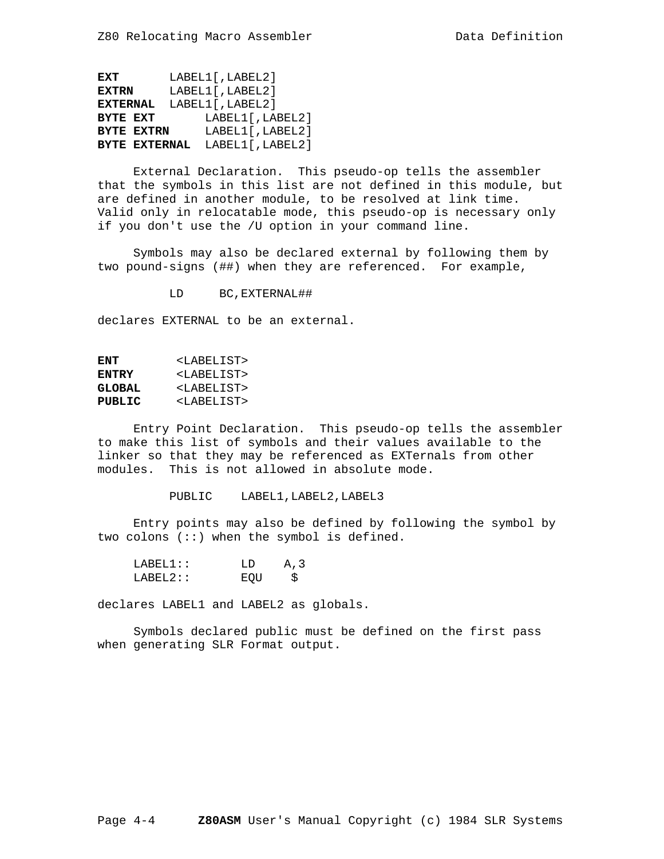**EXT** LABEL1[,LABEL2] **EXTRN** LABEL1[,LABEL2] **EXTERNAL** LABEL1[,LABEL2] **BYTE EXT** LABEL1[, LABEL2]<br>**BYTE EXTRN** LABEL1[, LABEL2] LABEL1<sup>[</sup>,LABEL2<sup>]</sup> **BYTE EXTERNAL** LABEL1[,LABEL2]

 External Declaration. This pseudo-op tells the assembler that the symbols in this list are not defined in this module, but are defined in another module, to be resolved at link time. Valid only in relocatable mode, this pseudo-op is necessary only if you don't use the /U option in your command line.

 Symbols may also be declared external by following them by two pound-signs (##) when they are referenced. For example,

LD BC,EXTERNAL##

declares EXTERNAL to be an external.

| ENT           | <labelist></labelist> |
|---------------|-----------------------|
| <b>ENTRY</b>  | <labelist></labelist> |
| <b>GLOBAL</b> | <labelist></labelist> |
| PUBLIC        | <labelist></labelist> |

 Entry Point Declaration. This pseudo-op tells the assembler to make this list of symbols and their values available to the linker so that they may be referenced as EXTernals from other modules. This is not allowed in absolute mode.

PUBLIC LABEL1, LABEL2, LABEL3

 Entry points may also be defined by following the symbol by two colons (::) when the symbol is defined.

| I.ABFI.1:: | T.D | A.3 |
|------------|-----|-----|
| I.ARET.2:  | ਸ∩ਾ | -S  |

declares LABEL1 and LABEL2 as globals.

 Symbols declared public must be defined on the first pass when generating SLR Format output.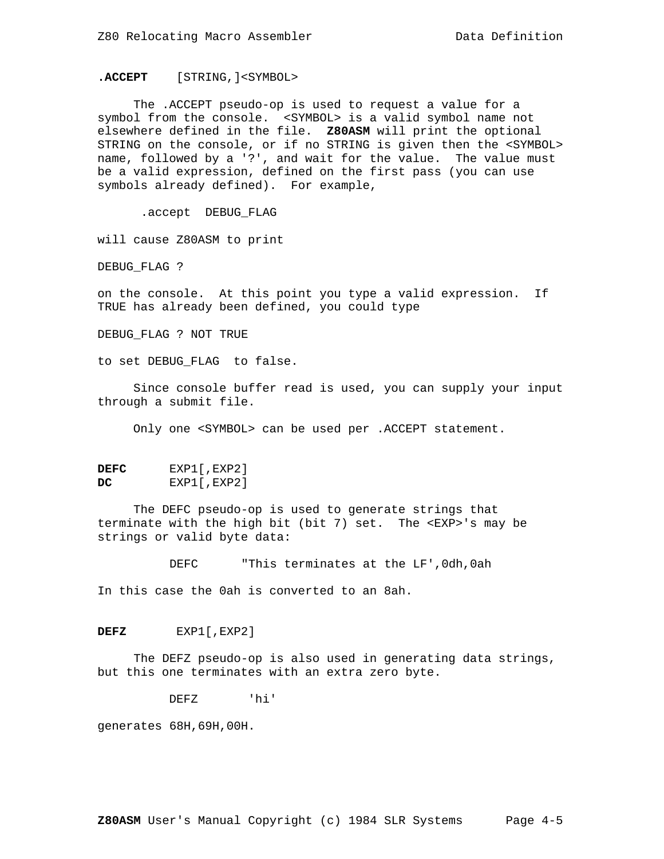# **.ACCEPT** [STRING,]<SYMBOL>

 The .ACCEPT pseudo-op is used to request a value for a symbol from the console. <SYMBOL> is a valid symbol name not elsewhere defined in the file. **Z80ASM** will print the optional STRING on the console, or if no STRING is given then the <SYMBOL> name, followed by a '?', and wait for the value. The value must be a valid expression, defined on the first pass (you can use symbols already defined). For example,

.accept DEBUG\_FLAG

will cause Z80ASM to print

DEBUG\_FLAG ?

on the console. At this point you type a valid expression. If TRUE has already been defined, you could type

DEBUG\_FLAG ? NOT TRUE

to set DEBUG\_FLAG to false.

 Since console buffer read is used, you can supply your input through a submit file.

Only one <SYMBOL> can be used per .ACCEPT statement.

| DEFC | EXP1[, EXP2] |
|------|--------------|
| DC.  | EXP1[, EXP2] |

 The DEFC pseudo-op is used to generate strings that terminate with the high bit (bit 7) set. The <EXP>'s may be strings or valid byte data:

DEFC "This terminates at the LF',0dh,0ah

In this case the 0ah is converted to an 8ah.

**DEFZ** EXP1[,EXP2]

 The DEFZ pseudo-op is also used in generating data strings, but this one terminates with an extra zero byte.

DEFZ 'hi'

generates 68H,69H,00H.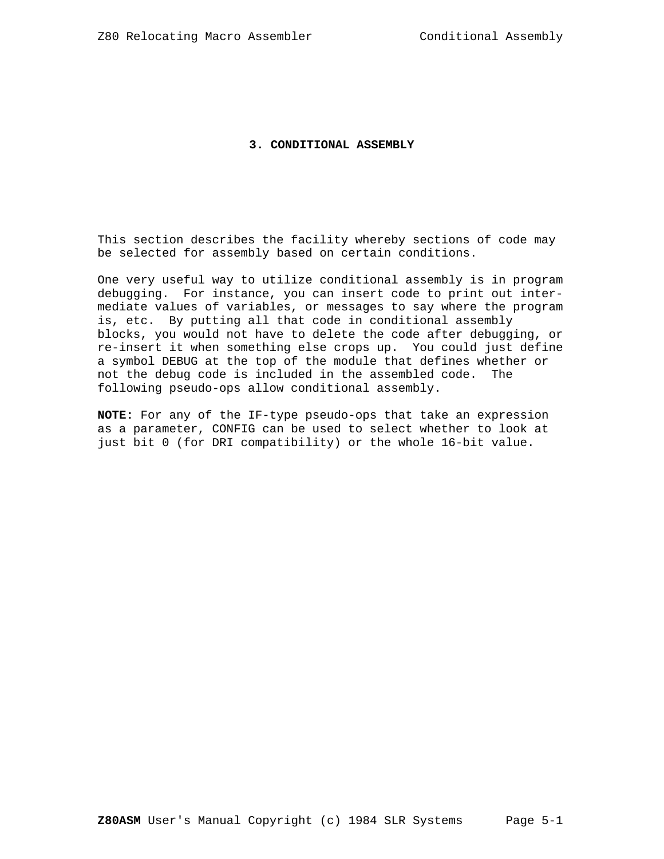# **3. CONDITIONAL ASSEMBLY**

This section describes the facility whereby sections of code may be selected for assembly based on certain conditions.

One very useful way to utilize conditional assembly is in program debugging. For instance, you can insert code to print out intermediate values of variables, or messages to say where the program is, etc. By putting all that code in conditional assembly blocks, you would not have to delete the code after debugging, or re-insert it when something else crops up. You could just define a symbol DEBUG at the top of the module that defines whether or not the debug code is included in the assembled code. The following pseudo-ops allow conditional assembly.

**NOTE:** For any of the IF-type pseudo-ops that take an expression as a parameter, CONFIG can be used to select whether to look at just bit 0 (for DRI compatibility) or the whole 16-bit value.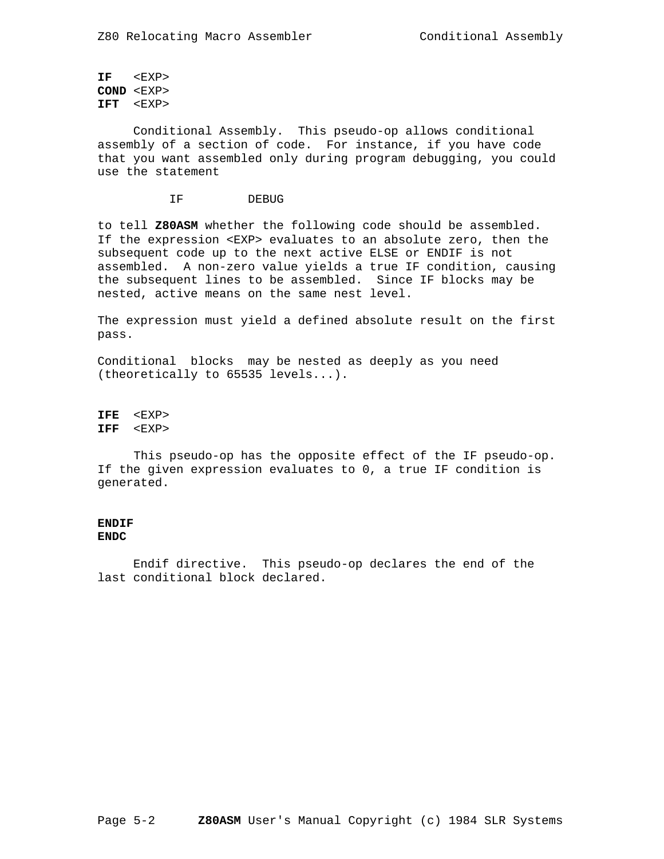**IF** <EXP> **COND** <EXP> **IFT** <EXP>

 Conditional Assembly. This pseudo-op allows conditional assembly of a section of code. For instance, if you have code that you want assembled only during program debugging, you could use the statement

IF DEBUG

to tell **Z80ASM** whether the following code should be assembled. If the expression <EXP> evaluates to an absolute zero, then the subsequent code up to the next active ELSE or ENDIF is not assembled. A non-zero value yields a true IF condition, causing the subsequent lines to be assembled. Since IF blocks may be nested, active means on the same nest level.

The expression must yield a defined absolute result on the first pass.

Conditional blocks may be nested as deeply as you need (theoretically to 65535 levels...).

**IFE** <EXP> **IFF** <EXP>

 This pseudo-op has the opposite effect of the IF pseudo-op. If the given expression evaluates to 0, a true IF condition is generated.

### **ENDIF ENDC**

 Endif directive. This pseudo-op declares the end of the last conditional block declared.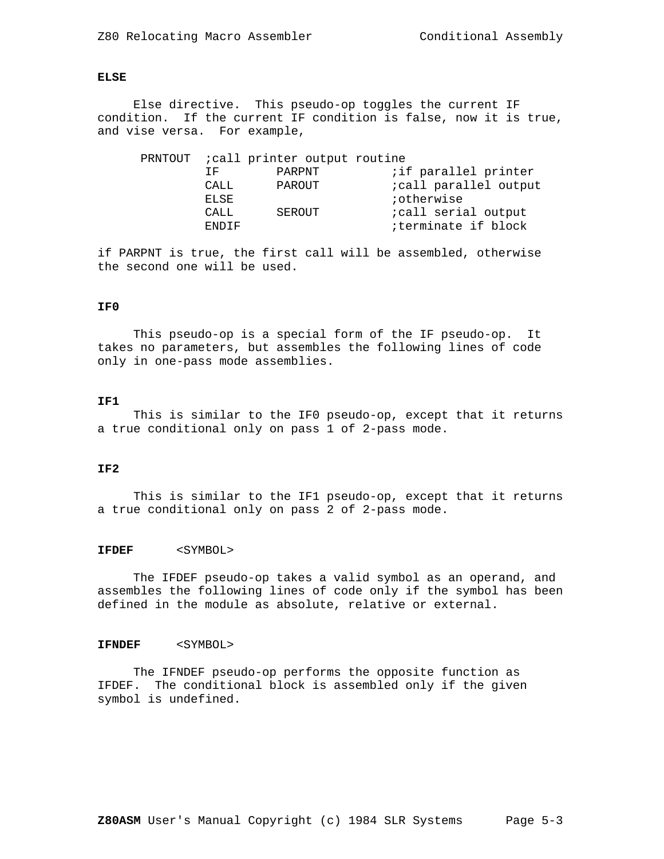# **ELSE**

 Else directive. This pseudo-op toggles the current IF condition. If the current IF condition is false, now it is true, and vise versa. For example,

|  |              | PRNTOUT <i>i</i> call printer output routine |                              |
|--|--------------|----------------------------------------------|------------------------------|
|  | TF.          | PARPNT                                       | <i>i</i> if parallel printer |
|  | CALL         | PAROUT                                       | icall parallel output        |
|  | ELSE         |                                              | iotherwise                   |
|  | CALL         | SEROUT                                       | <i>i</i> call serial output  |
|  | <b>ENDIF</b> |                                              | iterminate if block          |

if PARPNT is true, the first call will be assembled, otherwise the second one will be used.

## **IF0**

 This pseudo-op is a special form of the IF pseudo-op. It takes no parameters, but assembles the following lines of code only in one-pass mode assemblies.

### **IF1**

 This is similar to the IF0 pseudo-op, except that it returns a true conditional only on pass 1 of 2-pass mode.

# **IF2**

 This is similar to the IF1 pseudo-op, except that it returns a true conditional only on pass 2 of 2-pass mode.

# **IFDEF** <SYMBOL>

 The IFDEF pseudo-op takes a valid symbol as an operand, and assembles the following lines of code only if the symbol has been defined in the module as absolute, relative or external.

### **IFNDEF** <SYMBOL>

 The IFNDEF pseudo-op performs the opposite function as IFDEF. The conditional block is assembled only if the given symbol is undefined.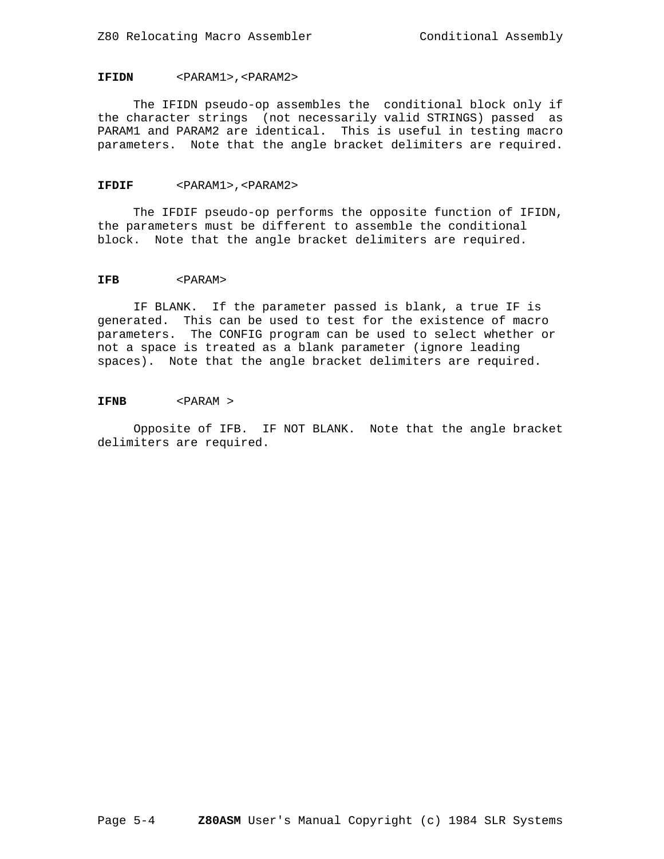# **IFIDN** <PARAM1>,<PARAM2>

 The IFIDN pseudo-op assembles the conditional block only if the character strings (not necessarily valid STRINGS) passed as PARAM1 and PARAM2 are identical. This is useful in testing macro parameters. Note that the angle bracket delimiters are required.

#### **IFDIF** <PARAM1>,<PARAM2>

 The IFDIF pseudo-op performs the opposite function of IFIDN, the parameters must be different to assemble the conditional block. Note that the angle bracket delimiters are required.

## **IFB** <PARAM>

 IF BLANK. If the parameter passed is blank, a true IF is generated. This can be used to test for the existence of macro parameters. The CONFIG program can be used to select whether or not a space is treated as a blank parameter (ignore leading spaces). Note that the angle bracket delimiters are required.

#### **IFNB** <PARAM >

 Opposite of IFB. IF NOT BLANK. Note that the angle bracket delimiters are required.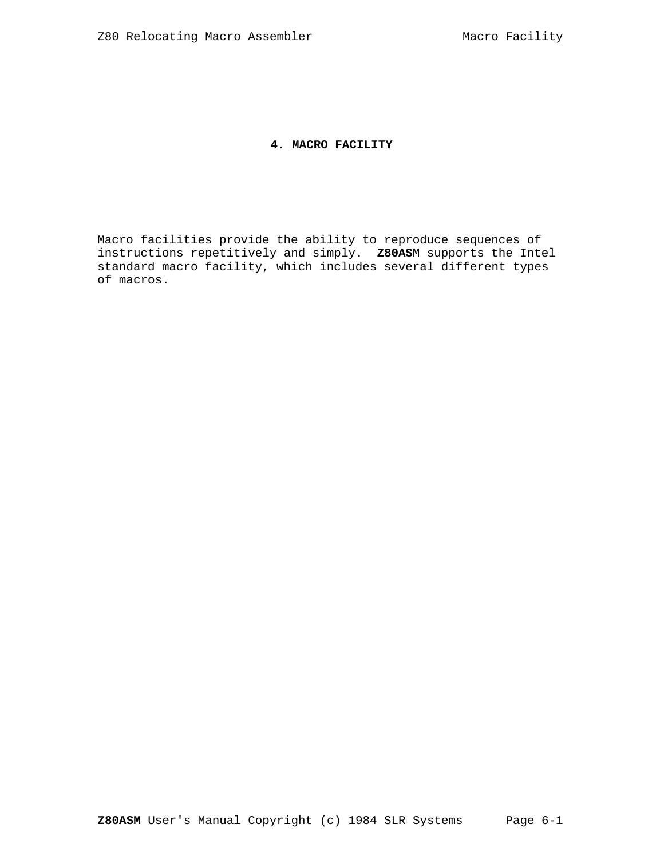# **4. MACRO FACILITY**

Macro facilities provide the ability to reproduce sequences of instructions repetitively and simply. **Z80AS**M supports the Intel standard macro facility, which includes several different types of macros.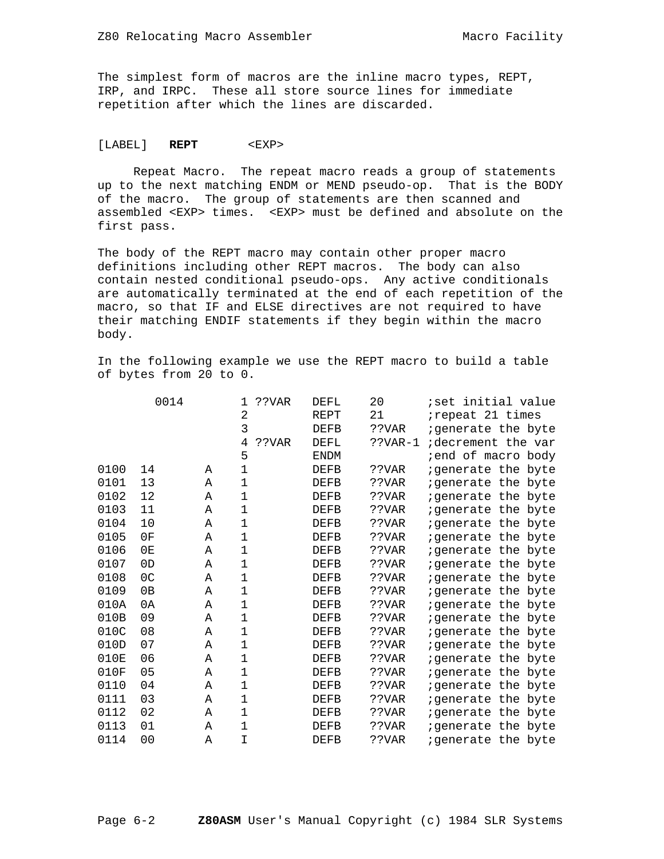The simplest form of macros are the inline macro types, REPT, IRP, and IRPC. These all store source lines for immediate repetition after which the lines are discarded.

# [LABEL] **REPT** <EXP>

 Repeat Macro. The repeat macro reads a group of statements up to the next matching ENDM or MEND pseudo-op. That is the BODY of the macro. The group of statements are then scanned and assembled <EXP> times. <EXP> must be defined and absolute on the first pass.

The body of the REPT macro may contain other proper macro definitions including other REPT macros. The body can also contain nested conditional pseudo-ops. Any active conditionals are automatically terminated at the end of each repetition of the macro, so that IF and ELSE directives are not required to have their matching ENDIF statements if they begin within the macro body.

In the following example we use the REPT macro to build a table of bytes from 20 to 0.

|      | 0014           |   | ??VAR<br>1   | <b>DEFL</b> | 20         | ;set initial value         |
|------|----------------|---|--------------|-------------|------------|----------------------------|
|      |                |   | 2            | <b>REPT</b> | 21         | irepeat 21 times           |
|      |                |   | 3            | <b>DEFB</b> | ??VAR      | igenerate the byte         |
|      |                |   | 4<br>??VAR   | <b>DEFL</b> | $?$ ?VAR-1 | idecrement the var         |
|      |                |   | 5            | <b>ENDM</b> |            | iend of macro body         |
| 0100 | 14             | Α | $\mathbf 1$  | <b>DEFB</b> | ??VAR      | igenerate the byte         |
| 0101 | 13             | Α | 1            | DEFB        | ??VAR      | igenerate the byte         |
| 0102 | 12             | Α | 1            | DEFB        | ??VAR      | igenerate the byte         |
| 0103 | 11             | Α | 1            | <b>DEFB</b> | ??VAR      | igenerate the byte         |
| 0104 | 10             | Α | $\mathbf 1$  | <b>DEFB</b> | ??VAR      | igenerate the byte         |
| 0105 | 0F             | Α | 1            | <b>DEFB</b> | ??VAR      | igenerate the byte         |
| 0106 | 0E             | Α | $\mathbf{1}$ | <b>DEFB</b> | ??VAR      | igenerate the byte         |
| 0107 | 0 <sub>D</sub> | Α | $\mathbf{1}$ | <b>DEFB</b> | ??VAR      | <i>i</i> generate the byte |
| 0108 | 0 <sup>C</sup> | Α | $\mathbf{1}$ | <b>DEFB</b> | ??VAR      | igenerate the byte         |
| 0109 | 0B             | Α | 1            | <b>DEFB</b> | ??VAR      | <i>i</i> generate the byte |
| 010A | 0A             | Α | 1            | <b>DEFB</b> | ??VAR      | igenerate the byte         |
| 010B | 09             | Α | $\mathbf 1$  | <b>DEFB</b> | ??VAR      | igenerate the byte         |
| 010C | 08             | Α | $\mathbf 1$  | <b>DEFB</b> | ??VAR      | igenerate the byte         |
| 010D | 07             | Α | $\mathbf{1}$ | <b>DEFB</b> | ??VAR      | igenerate the byte         |
| 010E | 06             | Α | 1            | <b>DEFB</b> | ??VAR      | <i>i</i> generate the byte |
| 010F | 05             | Α | $\mathbf 1$  | <b>DEFB</b> | ??VAR      | igenerate the byte         |
| 0110 | 04             | A | $\mathbf 1$  | <b>DEFB</b> | ??VAR      | igenerate the byte         |
| 0111 | 03             | Α | $\mathbf{1}$ | <b>DEFB</b> | ??VAR      | igenerate the byte         |
| 0112 | 02             | Α | $\mathbf 1$  | <b>DEFB</b> | ??VAR      | igenerate the byte         |
| 0113 | 01             | Α | 1            | <b>DEFB</b> | ??VAR      | igenerate the byte         |
| 0114 | 0 <sub>0</sub> | Α | I            | <b>DEFB</b> | ??VAR      | igenerate the byte         |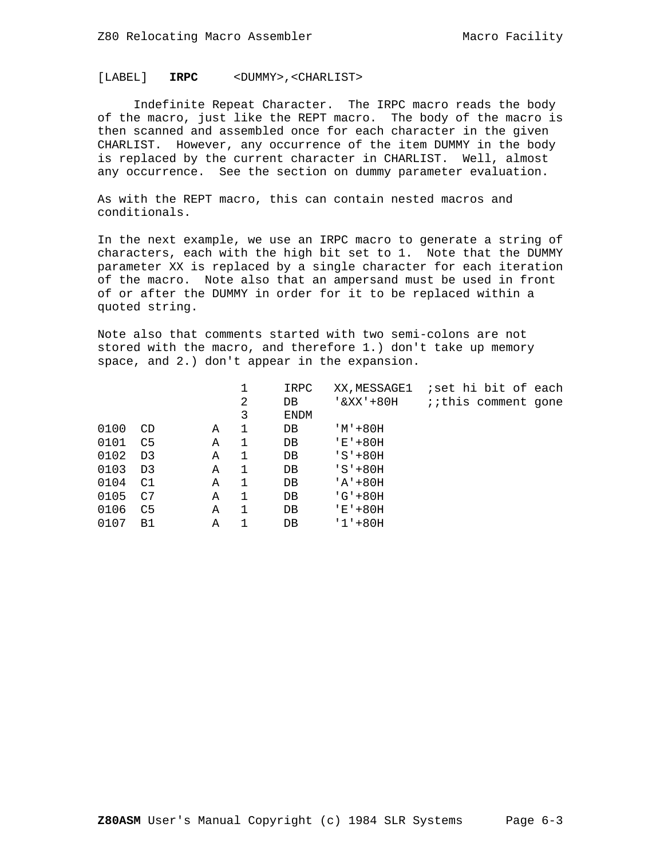# [LABEL] **IRPC** <DUMMY>,<CHARLIST>

 Indefinite Repeat Character. The IRPC macro reads the body of the macro, just like the REPT macro. The body of the macro is then scanned and assembled once for each character in the given CHARLIST. However, any occurrence of the item DUMMY in the body is replaced by the current character in CHARLIST. Well, almost any occurrence. See the section on dummy parameter evaluation.

As with the REPT macro, this can contain nested macros and conditionals.

In the next example, we use an IRPC macro to generate a string of characters, each with the high bit set to 1. Note that the DUMMY parameter XX is replaced by a single character for each iteration of the macro. Note also that an ampersand must be used in front of or after the DUMMY in order for it to be replaced within a quoted string.

Note also that comments started with two semi-colons are not stored with the macro, and therefore 1.) don't take up memory space, and 2.) don't appear in the expansion.

|      |                |   |   | IRPC        | XX, MESSAGE1 | iset hi bit of each        |
|------|----------------|---|---|-------------|--------------|----------------------------|
|      |                |   | 2 | DB          | '&XX'+80H    | <i>iithis</i> comment gone |
|      |                |   | 3 | <b>ENDM</b> |              |                            |
| 0100 | CD             | Α | 1 | DB          | 'M'+80H      |                            |
| 0101 | C <sub>5</sub> | Α |   | $DB$        | $'E' + 80H$  |                            |
| 0102 | D3             | Α | 1 | DB          | $'S'+80H$    |                            |
| 0103 | D <sub>3</sub> | Α | 1 | $DB$        | $'S'+80H$    |                            |
| 0104 | C1             | Α |   | DB          | $'A' + 80H$  |                            |
| 0105 | C7             | Α |   | DB          | $'G' + 80H$  |                            |
| 0106 | C5             | Α |   | DB          | 'E'+80H      |                            |
| 0107 | <b>B1</b>      | Α |   | DB          | $'1' + 80H$  |                            |
|      |                |   |   |             |              |                            |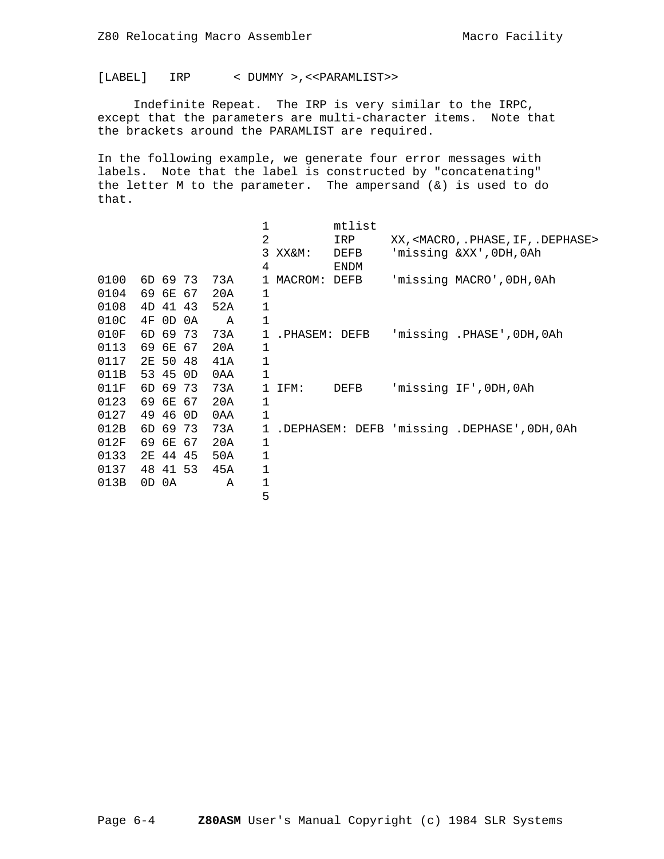[LABEL] IRP < DUMMY >,<<PARAMLIST>>

 Indefinite Repeat. The IRP is very similar to the IRPC, except that the parameters are multi-character items. Note that the brackets around the PARAMLIST are required.

In the following example, we generate four error messages with labels. Note that the label is constructed by "concatenating" the letter M to the parameter. The ampersand (&) is used to do that.

|      |    |          |    |     |              |               | mtlist |                                                        |
|------|----|----------|----|-----|--------------|---------------|--------|--------------------------------------------------------|
|      |    |          |    |     | 2            |               | IRP    | XX, <macro, .="" dephase="" if,="" phase,=""></macro,> |
|      |    |          |    |     | 3            | XX&M:         | DEFB   | 'missing &XX', ODH, OAh                                |
|      |    |          |    |     | 4            |               | ENDM   |                                                        |
| 0100 |    | 6D 69 73 |    | 73A | $\mathbf{1}$ | MACROM: DEFB  |        | 'missing MACRO', ODH, OAh                              |
| 0104 |    | 69 6E 67 |    | 20A | 1            |               |        |                                                        |
| 0108 |    | 4D 41 43 |    | 52A | 1            |               |        |                                                        |
| 010C | 4F | $0$ D    | 0A | Α   | 1            |               |        |                                                        |
| 010F |    | 6D 69 73 |    | 73A | $\mathbf{1}$ | .PHASEM: DEFB |        | 'missing .PHASE', ODH, OAh                             |
| 0113 |    | 69 6E 67 |    | 20A | 1            |               |        |                                                        |
| 0117 |    | 2E 50 48 |    | 41A | 1            |               |        |                                                        |
| 011B |    | 53 45 OD |    | 0AA | 1            |               |        |                                                        |
| 011F |    | 6D 69 73 |    | 73A | 1            | IFM:          | DEFB   | 'missing IF', ODH, OAh                                 |
| 0123 |    | 69 6E 67 |    | 20A | 1            |               |        |                                                        |
| 0127 |    | 49 46 OD |    | 0AA | $\mathbf 1$  |               |        |                                                        |
| 012B |    | 6D 69 73 |    | 73A | $\mathbf{1}$ |               |        | .DEPHASEM: DEFB 'missing .DEPHASE', ODH, OAh           |
| 012F |    | 69 6E 67 |    | 20A | 1            |               |        |                                                        |
| 0133 |    | 2E 44 45 |    | 50A | 1            |               |        |                                                        |
| 0137 |    | 48 41 53 |    | 45A | 1            |               |        |                                                        |
| 013B |    | OD OA    |    | Α   | 1            |               |        |                                                        |
|      |    |          |    |     | 5            |               |        |                                                        |
|      |    |          |    |     |              |               |        |                                                        |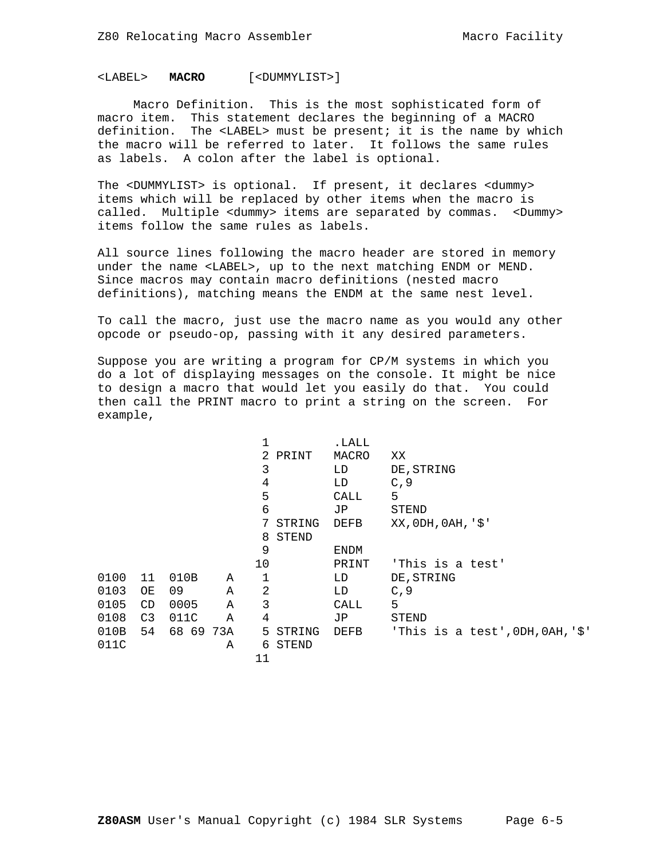# <LABEL> **MACRO** [<DUMMYLIST>]

 Macro Definition. This is the most sophisticated form of macro item. This statement declares the beginning of a MACRO definition. The <LABEL> must be present; it is the name by which the macro will be referred to later. It follows the same rules as labels. A colon after the label is optional.

The <DUMMYLIST> is optional. If present, it declares <dummy> items which will be replaced by other items when the macro is called. Multiple <dummy> items are separated by commas. <Dummy> items follow the same rules as labels.

All source lines following the macro header are stored in memory under the name <LABEL>, up to the next matching ENDM or MEND. Since macros may contain macro definitions (nested macro definitions), matching means the ENDM at the same nest level.

To call the macro, just use the macro name as you would any other opcode or pseudo-op, passing with it any desired parameters.

Suppose you are writing a program for CP/M systems in which you do a lot of displaying messages on the console. It might be nice to design a macro that would let you easily do that. You could then call the PRINT macro to print a string on the screen. For example,

|      |                |           |   |         |         | .LALL       |                                        |
|------|----------------|-----------|---|---------|---------|-------------|----------------------------------------|
|      |                |           |   |         | 2 PRINT | MACRO       | XX                                     |
|      |                |           |   | 3       |         | LD          | DE, STRING                             |
|      |                |           |   | 4       |         | LD          | C, 9                                   |
|      |                |           |   | 5       |         | CALL        | 5                                      |
|      |                |           |   | 6       |         | JP          | STEND                                  |
|      |                |           |   | 7       | STRING  | <b>DEFB</b> | $XX$ , $0DH$ , $0AH$ , $\frac{1}{5}$   |
|      |                |           |   | 8       | STEND   |             |                                        |
|      |                |           |   | 9       |         | <b>ENDM</b> |                                        |
|      |                |           |   | $10 \,$ |         | PRINT       | 'This is a test'                       |
| 0100 | 11             | 010B      | Α |         |         | LD          | DE, STRING                             |
| 0103 | ОE             | 09        | Α | 2       |         | LD.         | C, 9                                   |
| 0105 | CD             | 0005      | Α | 3       |         | CALL        | 5                                      |
| 0108 | C <sub>3</sub> | 011C      | Α | 4       |         | JP          | <b>STEND</b>                           |
| 010B | 54             | 68 69 73A |   | 5       | STRING  | DEFB        | 'This is a test', $0$ DH, $0$ AH, '\$' |
| 011C |                |           | Α | 6       | STEND   |             |                                        |
|      |                |           |   | 11      |         |             |                                        |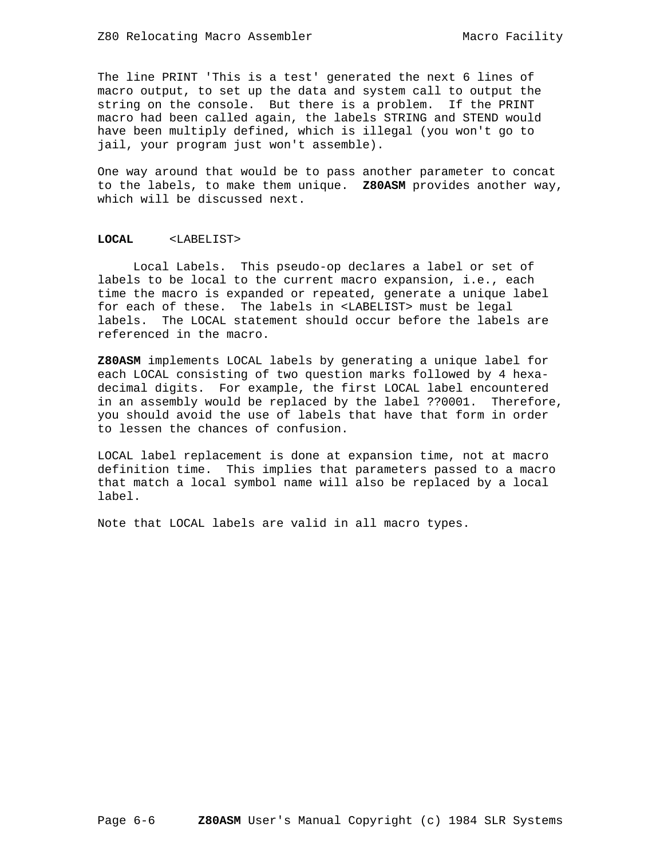The line PRINT 'This is a test' generated the next 6 lines of macro output, to set up the data and system call to output the string on the console. But there is a problem. If the PRINT macro had been called again, the labels STRING and STEND would have been multiply defined, which is illegal (you won't go to jail, your program just won't assemble).

One way around that would be to pass another parameter to concat to the labels, to make them unique. **Z80ASM** provides another way, which will be discussed next.

# **LOCAL** <LABELIST>

 Local Labels. This pseudo-op declares a label or set of labels to be local to the current macro expansion, i.e., each time the macro is expanded or repeated, generate a unique label for each of these. The labels in <LABELIST> must be legal labels. The LOCAL statement should occur before the labels are referenced in the macro.

**Z80ASM** implements LOCAL labels by generating a unique label for each LOCAL consisting of two question marks followed by 4 hexadecimal digits. For example, the first LOCAL label encountered in an assembly would be replaced by the label ??0001. Therefore, you should avoid the use of labels that have that form in order to lessen the chances of confusion.

LOCAL label replacement is done at expansion time, not at macro definition time. This implies that parameters passed to a macro that match a local symbol name will also be replaced by a local label.

Note that LOCAL labels are valid in all macro types.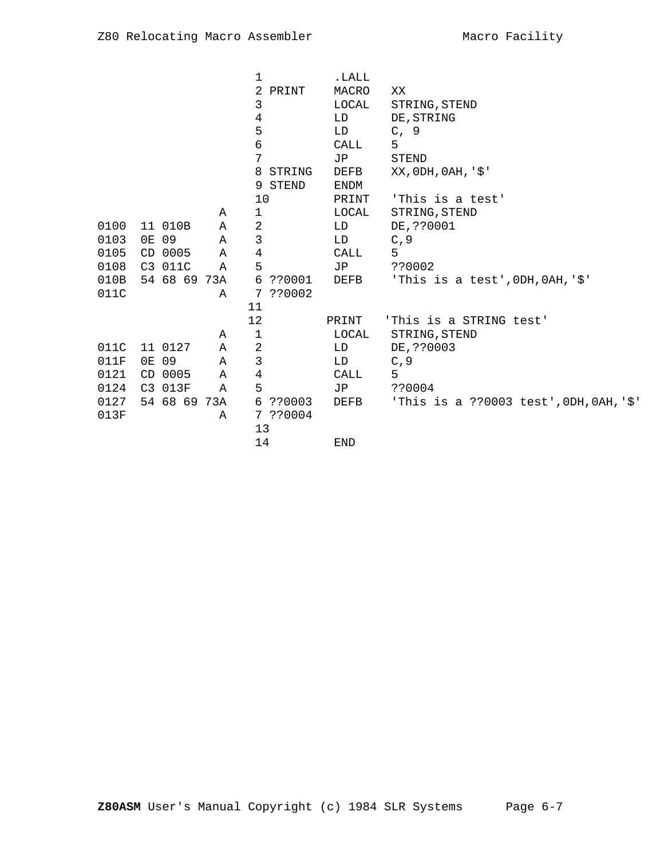|      |              |   | 1              |          | .LALL       |                                            |
|------|--------------|---|----------------|----------|-------------|--------------------------------------------|
|      |              |   | 2              | PRINT    | MACRO       | XX                                         |
|      |              |   | 3              |          | LOCAL       | STRING, STEND                              |
|      |              |   | 4              |          | LD          | DE, STRING                                 |
|      |              |   | 5              |          | LD          | C, 9                                       |
|      |              |   | 6              |          | CALL        | 5                                          |
|      |              |   | 7              |          | <b>JP</b>   | <b>STEND</b>                               |
|      |              |   | 8              | STRING   | DEFB        | XX, 0DH, 0AH, '\$'                         |
|      |              |   |                | 9 STEND  | <b>ENDM</b> |                                            |
|      |              |   | 10             |          | PRINT       | 'This is a test'                           |
|      |              | Α | 1              |          | LOCAL       | STRING, STEND                              |
| 0100 | 11 010B      | Α | $\sqrt{2}$     |          | LD          | DE, ??0001                                 |
| 0103 | 0E 09        | Α | 3              |          | LD          | C, 9                                       |
| 0105 | CD 0005      | Α | $\,4$          |          | <b>CALL</b> | 5                                          |
| 0108 | C3 011C      | Α | 5              |          | JP          | ??0002                                     |
| 010B | 54 68 69 73A |   |                | 6 ??0001 | DEFB        | 'This is a test', $0$ DH, $0$ AH, '\$'     |
| 011C |              | A |                | 7 ??0002 |             |                                            |
|      |              |   | 11             |          |             |                                            |
|      |              |   | 12             |          | PRINT       | 'This is a STRING test'                    |
|      |              | Α | 1              |          | LOCAL       | STRING, STEND                              |
| 011C | 11 0127      | Α | $\overline{2}$ |          | LD          | DE, ??0003                                 |
| 011F | 0E 09        | Α | 3              |          | LD          | C, 9                                       |
| 0121 | CD 0005      | Α | $\,4$          |          | CALL        | 5                                          |
| 0124 | C3 013F      | Α | 5              |          | JP          | ??0004                                     |
| 0127 | 54 68 69 73A |   |                | 6 ??0003 | DEFB        | 'This is a ??0003 test', $0DH, OAH, '$ \$' |
| 013F |              | Α |                | 7 ??0004 |             |                                            |
|      |              |   | 13             |          |             |                                            |
|      |              |   | 14             |          | <b>END</b>  |                                            |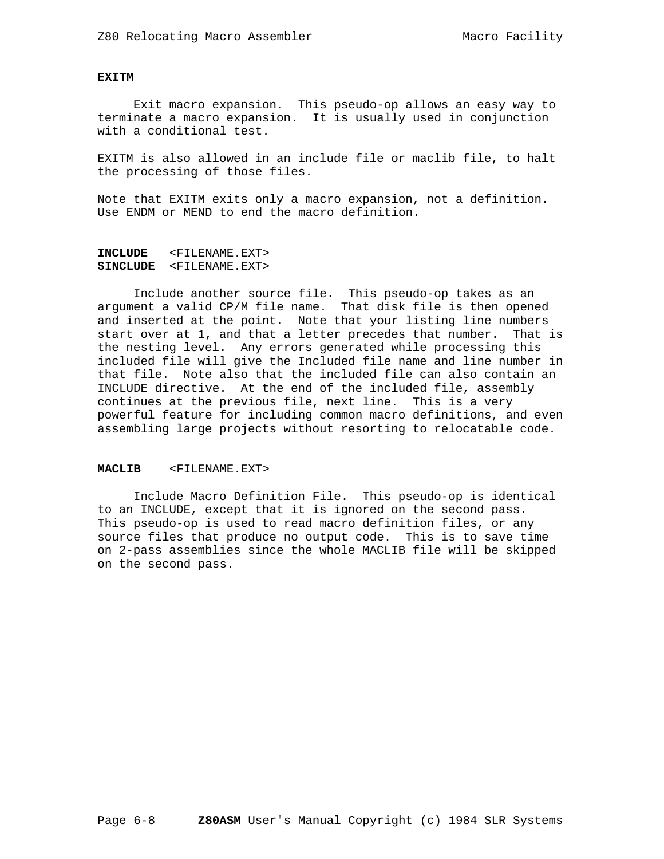# **EXITM**

 Exit macro expansion. This pseudo-op allows an easy way to terminate a macro expansion. It is usually used in conjunction with a conditional test.

EXITM is also allowed in an include file or maclib file, to halt the processing of those files.

Note that EXITM exits only a macro expansion, not a definition. Use ENDM or MEND to end the macro definition.

```
INCLUDE <FILENAME.EXT>
$INCLUDE <FILENAME.EXT>
```
 Include another source file. This pseudo-op takes as an argument a valid CP/M file name. That disk file is then opened and inserted at the point. Note that your listing line numbers start over at 1, and that a letter precedes that number. That is the nesting level. Any errors generated while processing this included file will give the Included file name and line number in that file. Note also that the included file can also contain an INCLUDE directive. At the end of the included file, assembly continues at the previous file, next line. This is a very powerful feature for including common macro definitions, and even assembling large projects without resorting to relocatable code.

#### **MACLIB** <FILENAME.EXT>

 Include Macro Definition File. This pseudo-op is identical to an INCLUDE, except that it is ignored on the second pass. This pseudo-op is used to read macro definition files, or any source files that produce no output code. This is to save time on 2-pass assemblies since the whole MACLIB file will be skipped on the second pass.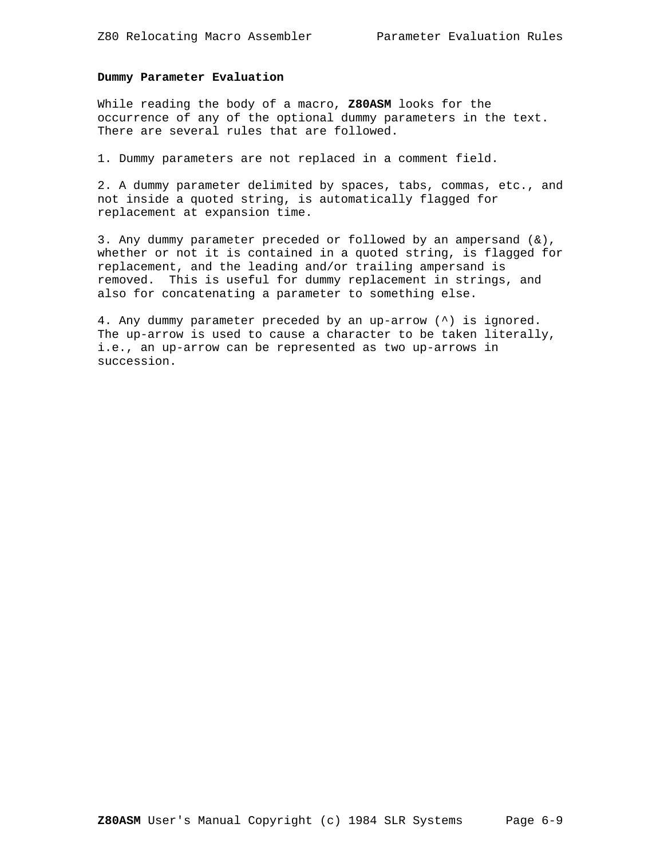# **Dummy Parameter Evaluation**

While reading the body of a macro, **Z80ASM** looks for the occurrence of any of the optional dummy parameters in the text. There are several rules that are followed.

1. Dummy parameters are not replaced in a comment field.

2. A dummy parameter delimited by spaces, tabs, commas, etc., and not inside a quoted string, is automatically flagged for replacement at expansion time.

3. Any dummy parameter preceded or followed by an ampersand  $(\&)$ , whether or not it is contained in a quoted string, is flagged for replacement, and the leading and/or trailing ampersand is removed. This is useful for dummy replacement in strings, and also for concatenating a parameter to something else.

4. Any dummy parameter preceded by an up-arrow (^) is ignored. The up-arrow is used to cause a character to be taken literally, i.e., an up-arrow can be represented as two up-arrows in succession.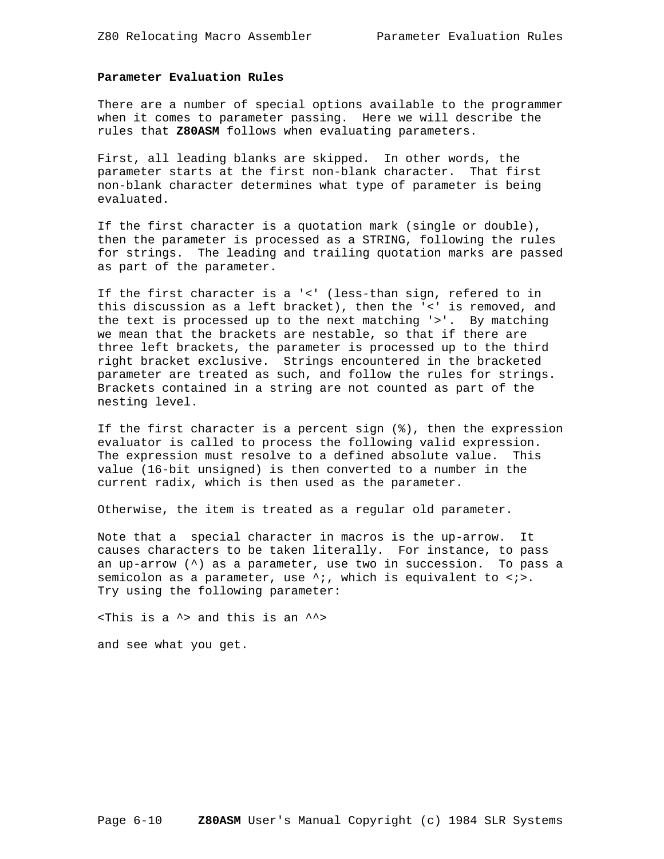# **Parameter Evaluation Rules**

There are a number of special options available to the programmer when it comes to parameter passing. Here we will describe the rules that **Z80ASM** follows when evaluating parameters.

First, all leading blanks are skipped. In other words, the parameter starts at the first non-blank character. That first non-blank character determines what type of parameter is being evaluated.

If the first character is a quotation mark (single or double), then the parameter is processed as a STRING, following the rules for strings. The leading and trailing quotation marks are passed as part of the parameter.

If the first character is a '<' (less-than sign, refered to in this discussion as a left bracket), then the '<' is removed, and the text is processed up to the next matching '>'. By matching we mean that the brackets are nestable, so that if there are three left brackets, the parameter is processed up to the third right bracket exclusive. Strings encountered in the bracketed parameter are treated as such, and follow the rules for strings. Brackets contained in a string are not counted as part of the nesting level.

If the first character is a percent sign (%), then the expression evaluator is called to process the following valid expression. The expression must resolve to a defined absolute value. This value (16-bit unsigned) is then converted to a number in the current radix, which is then used as the parameter.

Otherwise, the item is treated as a regular old parameter.

Note that a special character in macros is the up-arrow. It causes characters to be taken literally. For instance, to pass an up-arrow (^) as a parameter, use two in succession. To pass a semicolon as a parameter, use  $\lambda$ ;, which is equivalent to  $\langle\cdot\rangle$ . Try using the following parameter:

 $\tau$  -  $\tau$  and this is an  $\gamma$ and see what you get.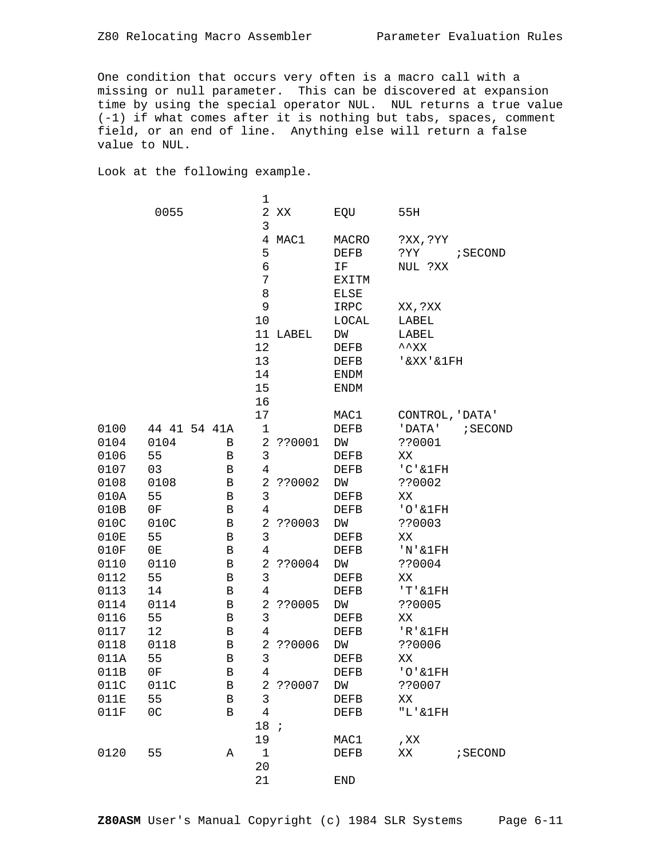One condition that occurs very often is a macro call with a missing or null parameter. This can be discovered at expansion time by using the special operator NUL. NUL returns a true value (-1) if what comes after it is nothing but tabs, spaces, comment field, or an end of line. Anything else will return a false value to NUL.

Look at the following example.

|      |                |              | 1                  |          |             |                    |          |
|------|----------------|--------------|--------------------|----------|-------------|--------------------|----------|
|      | 0055           |              | 2                  | ΧX       | EQU         | 55H                |          |
|      |                |              | 3                  | 4 MAC1   | MACRO       | ?XX,?YY            |          |
|      |                |              | 5                  |          | DEFB        | ?YY                | ; SECOND |
|      |                |              | 6                  |          | IF          | NUL ?XX            |          |
|      |                |              | 7                  |          | EXITM       |                    |          |
|      |                |              | 8                  |          | <b>ELSE</b> |                    |          |
|      |                |              | 9                  |          | IRPC        | XX, ?XX            |          |
|      |                |              | 10                 |          | LOCAL       | LABEL              |          |
|      |                |              |                    | 11 LABEL | DM          | LABEL              |          |
|      |                |              | 12                 |          | DEFB        | $\sim$ $_{\rm XX}$ |          |
|      |                |              | 13                 |          | DEFB        | '&XX'&1FH          |          |
|      |                |              | 14                 |          | ENDM        |                    |          |
|      |                |              | 15                 |          | ENDM        |                    |          |
|      |                |              | 16                 |          |             |                    |          |
|      |                |              | 17                 |          | MAC1        | CONTROL, 'DATA'    |          |
| 0100 | 44 41 54 41A   |              | 1                  |          | DEFB        | 'DATA'             | ; SECOND |
| 0104 | 0104           | B            | 2                  | ??0001   | DW          | ??0001             |          |
| 0106 | 55             | В            | 3                  |          | DEFB        | XX                 |          |
| 0107 | 03             | В            | 4                  |          | <b>DEFB</b> | $'C$ ' & $1FH$     |          |
| 0108 | 0108           | В            | 2                  | ??0002   | DW          | ??0002             |          |
| 010A | 55             | В            | 3                  |          | DEFB        | XX                 |          |
| 010B | 0F             | В            | 4                  |          | DEFB        | $'O'$ & $1$ $FH$   |          |
| 010C | 010C           | $\, {\bf B}$ | $\overline{a}$     | ??0003   | DW          | ??0003             |          |
| 010E | 55             | $\, {\bf B}$ | 3                  |          | DEFB        | XX                 |          |
| 010F | 0E             | $\, {\bf B}$ | $\overline{4}$     |          | DEFB        | $'N'$ & $1$ $FH$   |          |
| 0110 | 0110           | $\, {\bf B}$ | 2                  | ??0004   | DW          | ??0004             |          |
| 0112 | 55             | B            | 3                  |          | DEFB        | XX                 |          |
| 0113 | 14             | В            | $\overline{4}$     |          | DEFB        | 'T'&1FH            |          |
| 0114 | 0114           | $\, {\bf B}$ | 2                  | ??0005   | DW          | ??0005             |          |
| 0116 | 55             | В            | 3                  |          | DEFB        | XX                 |          |
| 0117 | 12             | В            | $\overline{4}$     |          | $\rm{DEFB}$ | $'R$ ' & $1FH$     |          |
| 0118 | 0118           | В            | 2                  | ??0006   | DW          | ??0006             |          |
| 011A | 55             | В            | 3                  |          | DEFB        | XX                 |          |
| 011B | 0F             | В            | 4                  |          | DEFB        | $'O'$ & $1$ FH     |          |
| 011C | 011C           | В            | 2                  | ??0007   | DW          | ??0007             |          |
| 011E | 55             | B            | 3                  |          | DEFB        | XX                 |          |
| 011F | 0 <sup>C</sup> | B            | $\overline{4}$     |          | DEFB        | $"L'$ & $1$ $FH$   |          |
|      |                |              | 18;                |          |             |                    |          |
|      |                |              | 19                 |          | MAC1        | , XX               |          |
| 0120 | 55             | Α            | $\mathbf{1}$<br>20 |          | DEFB        | XX                 | ; SECOND |
|      |                |              |                    |          |             |                    |          |
|      |                |              | 21                 |          | <b>END</b>  |                    |          |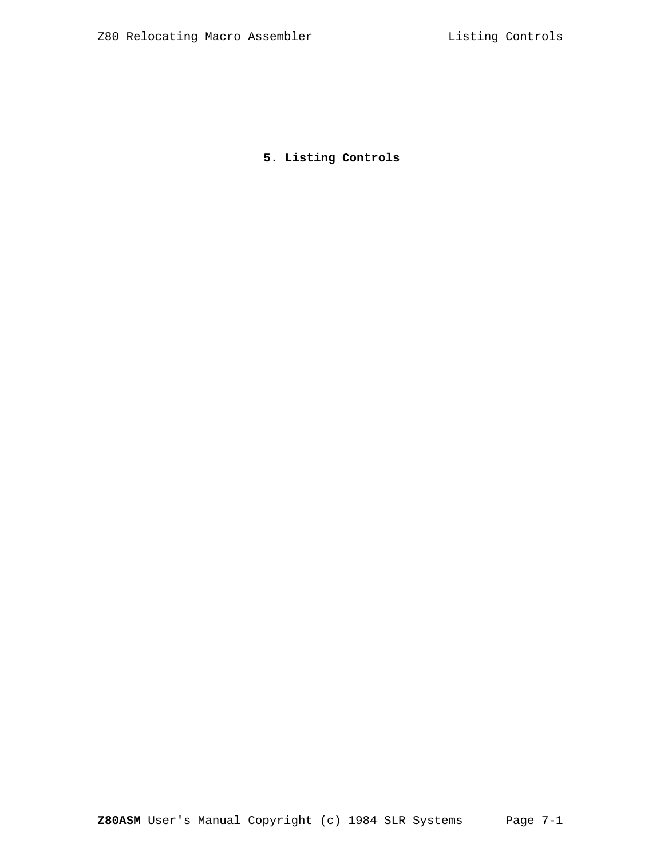**5. Listing Controls**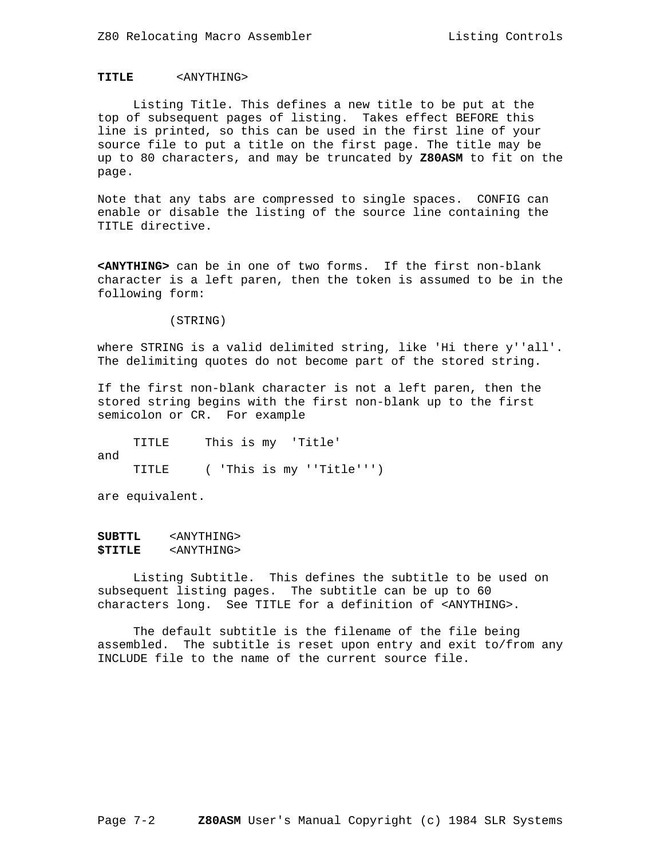# **TITLE** <ANYTHING>

 Listing Title. This defines a new title to be put at the top of subsequent pages of listing. Takes effect BEFORE this line is printed, so this can be used in the first line of your source file to put a title on the first page. The title may be up to 80 characters, and may be truncated by **Z80ASM** to fit on the page.

Note that any tabs are compressed to single spaces. CONFIG can enable or disable the listing of the source line containing the TITLE directive.

**<ANYTHING>** can be in one of two forms. If the first non-blank character is a left paren, then the token is assumed to be in the following form:

(STRING)

where STRING is a valid delimited string, like 'Hi there y''all'. The delimiting quotes do not become part of the stored string.

If the first non-blank character is not a left paren, then the stored string begins with the first non-blank up to the first semicolon or CR. For example

 TITLE This is my 'Title' and TITLE ( 'This is my ''Title''')

are equivalent.

**SUBTTL** <ANYTHING> **\$TITLE** <ANYTHING>

 Listing Subtitle. This defines the subtitle to be used on subsequent listing pages. The subtitle can be up to 60 characters long. See TITLE for a definition of <ANYTHING>.

 The default subtitle is the filename of the file being assembled. The subtitle is reset upon entry and exit to/from any INCLUDE file to the name of the current source file.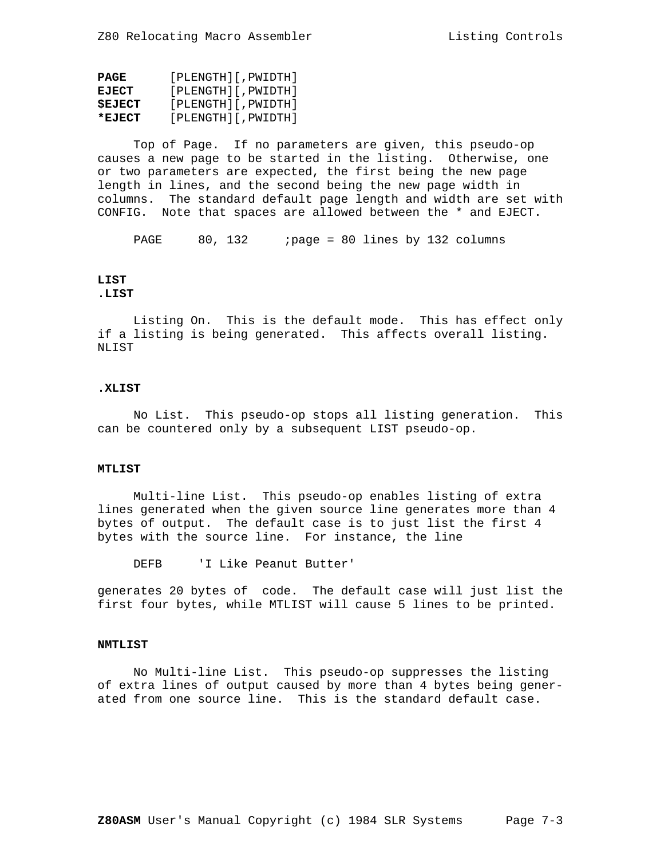| PAGE          | [PLENGTH][, PWIDTH]              |
|---------------|----------------------------------|
| <b>EJECT</b>  | $[$ PLENGTH $]$ $[$ , PWIDTH $]$ |
| <b>SEJECT</b> | [PLENGTH][, PWIDTH]              |
| *EJECT        | [PLENGTH][, PWIDTH]              |

 Top of Page. If no parameters are given, this pseudo-op causes a new page to be started in the listing. Otherwise, one or two parameters are expected, the first being the new page length in lines, and the second being the new page width in columns. The standard default page length and width are set with CONFIG. Note that spaces are allowed between the \* and EJECT.

PAGE 80, 132 ; page = 80 lines by 132 columns

### **LIST .LIST**

 Listing On. This is the default mode. This has effect only if a listing is being generated. This affects overall listing. NLIST

### **.XLIST**

 No List. This pseudo-op stops all listing generation. This can be countered only by a subsequent LIST pseudo-op.

### **MTLIST**

 Multi-line List. This pseudo-op enables listing of extra lines generated when the given source line generates more than 4 bytes of output. The default case is to just list the first 4 bytes with the source line. For instance, the line

DEFB 'I Like Peanut Butter'

generates 20 bytes of code. The default case will just list the first four bytes, while MTLIST will cause 5 lines to be printed.

# **NMTLIST**

 No Multi-line List. This pseudo-op suppresses the listing of extra lines of output caused by more than 4 bytes being generated from one source line. This is the standard default case.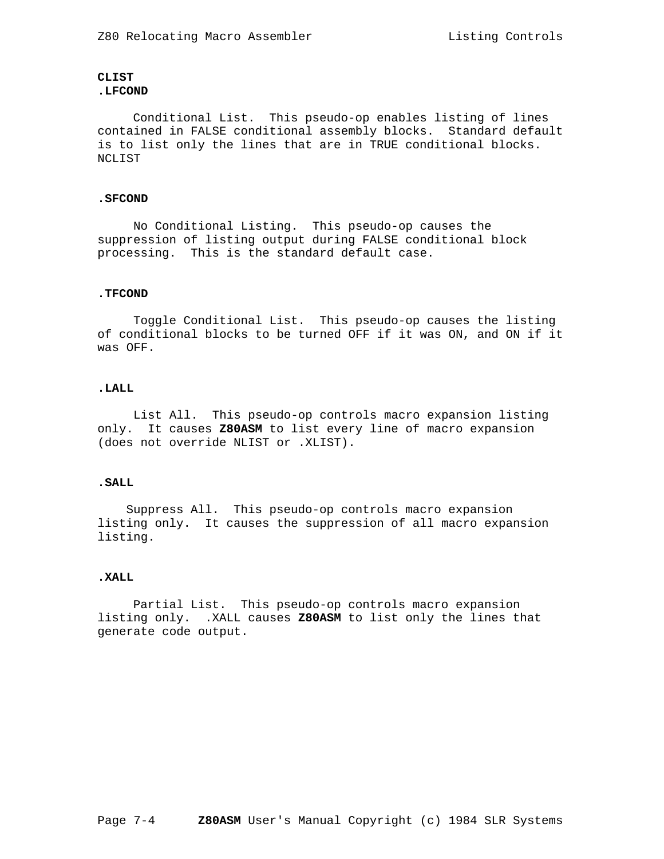# **CLIST .LFCOND**

 Conditional List. This pseudo-op enables listing of lines contained in FALSE conditional assembly blocks. Standard default is to list only the lines that are in TRUE conditional blocks. NCLIST

### **.SFCOND**

 No Conditional Listing. This pseudo-op causes the suppression of listing output during FALSE conditional block processing. This is the standard default case.

# **.TFCOND**

 Toggle Conditional List. This pseudo-op causes the listing of conditional blocks to be turned OFF if it was ON, and ON if it was OFF.

### **.LALL**

 List All. This pseudo-op controls macro expansion listing only. It causes **Z80ASM** to list every line of macro expansion (does not override NLIST or .XLIST).

# **.SALL**

 Suppress All. This pseudo-op controls macro expansion listing only. It causes the suppression of all macro expansion listing.

#### **.XALL**

 Partial List. This pseudo-op controls macro expansion listing only. .XALL causes **Z80ASM** to list only the lines that generate code output.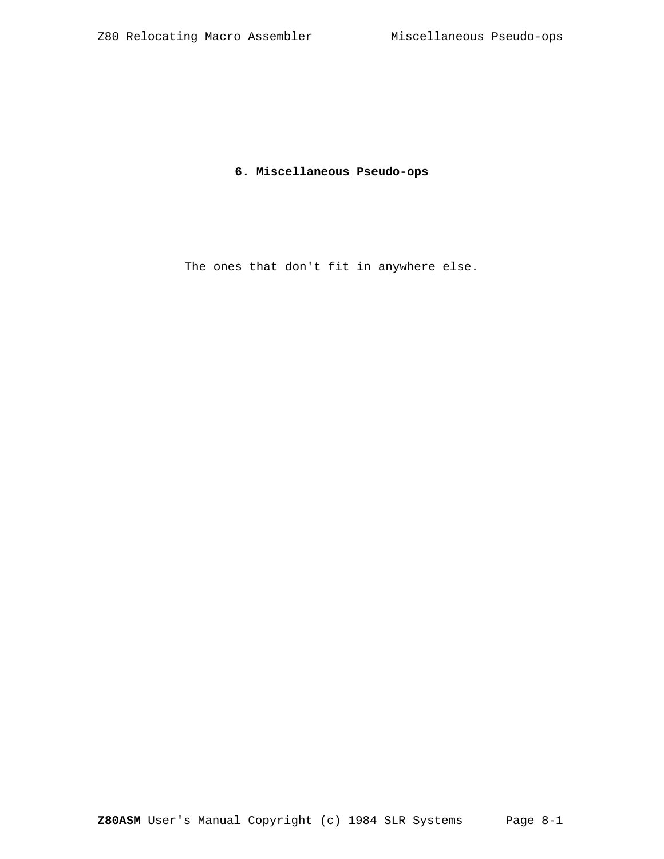# **6. Miscellaneous Pseudo-ops**

The ones that don't fit in anywhere else.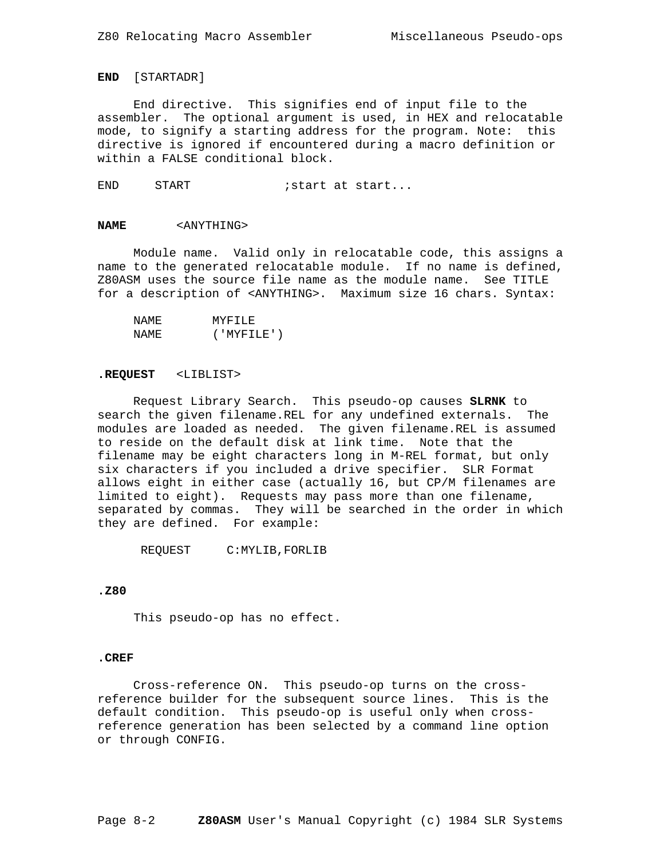### **END** [STARTADR]

 End directive. This signifies end of input file to the assembler. The optional argument is used, in HEX and relocatable mode, to signify a starting address for the program. Note: this directive is ignored if encountered during a macro definition or within a FALSE conditional block.

END START : start at start...

#### **NAME** <ANYTHING>

 Module name. Valid only in relocatable code, this assigns a name to the generated relocatable module. If no name is defined, Z80ASM uses the source file name as the module name. See TITLE for a description of <ANYTHING>. Maximum size 16 chars. Syntax:

| NAME  | MYFTLF.        |
|-------|----------------|
| NAME. | ( 'MYFTT.F.'') |

#### **.REQUEST** <LIBLIST>

 Request Library Search. This pseudo-op causes **SLRNK** to search the given filename.REL for any undefined externals. The modules are loaded as needed. The given filename.REL is assumed to reside on the default disk at link time. Note that the filename may be eight characters long in M-REL format, but only six characters if you included a drive specifier. SLR Format allows eight in either case (actually 16, but CP/M filenames are limited to eight). Requests may pass more than one filename, separated by commas. They will be searched in the order in which they are defined. For example:

REQUEST C:MYLIB,FORLIB

# **.Z80**

This pseudo-op has no effect.

#### **.CREF**

 Cross-reference ON. This pseudo-op turns on the crossreference builder for the subsequent source lines. This is the default condition. This pseudo-op is useful only when crossreference generation has been selected by a command line option or through CONFIG.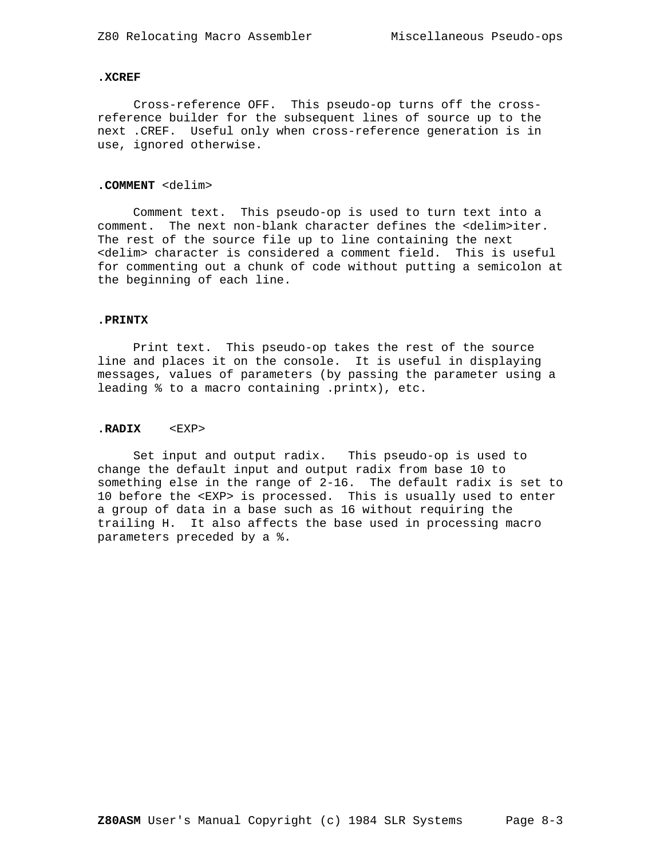# **.XCREF**

 Cross-reference OFF. This pseudo-op turns off the crossreference builder for the subsequent lines of source up to the next .CREF. Useful only when cross-reference generation is in use, ignored otherwise.

# **.COMMENT** <delim>

 Comment text. This pseudo-op is used to turn text into a comment. The next non-blank character defines the <delim>iter. The rest of the source file up to line containing the next <delim> character is considered a comment field. This is useful for commenting out a chunk of code without putting a semicolon at the beginning of each line.

### **.PRINTX**

 Print text. This pseudo-op takes the rest of the source line and places it on the console. It is useful in displaying messages, values of parameters (by passing the parameter using a leading % to a macro containing .printx), etc.

### **.RADIX** <EXP>

 Set input and output radix. This pseudo-op is used to change the default input and output radix from base 10 to something else in the range of 2-16. The default radix is set to 10 before the <EXP> is processed. This is usually used to enter a group of data in a base such as 16 without requiring the trailing H. It also affects the base used in processing macro parameters preceded by a %.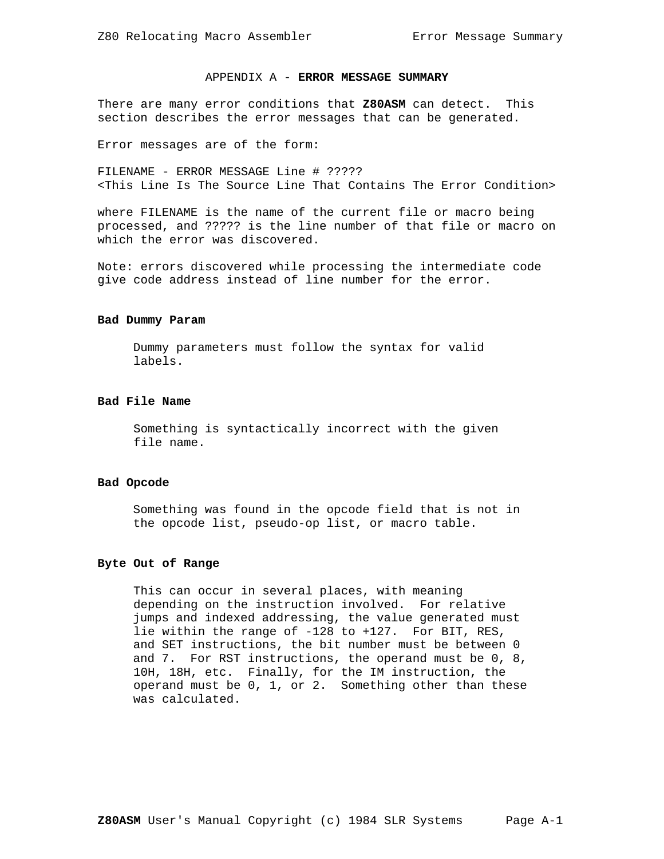# APPENDIX A - **ERROR MESSAGE SUMMARY**

There are many error conditions that **Z80ASM** can detect. This section describes the error messages that can be generated.

Error messages are of the form:

FILENAME - ERROR MESSAGE Line # ????? <This Line Is The Source Line That Contains The Error Condition>

where FILENAME is the name of the current file or macro being processed, and ????? is the line number of that file or macro on which the error was discovered.

Note: errors discovered while processing the intermediate code give code address instead of line number for the error.

### **Bad Dummy Param**

 Dummy parameters must follow the syntax for valid labels.

# **Bad File Name**

 Something is syntactically incorrect with the given file name.

### **Bad Opcode**

 Something was found in the opcode field that is not in the opcode list, pseudo-op list, or macro table.

#### **Byte Out of Range**

 This can occur in several places, with meaning depending on the instruction involved. For relative jumps and indexed addressing, the value generated must lie within the range of -128 to +127. For BIT, RES, and SET instructions, the bit number must be between 0 and 7. For RST instructions, the operand must be 0, 8, 10H, 18H, etc. Finally, for the IM instruction, the operand must be 0, 1, or 2. Something other than these was calculated.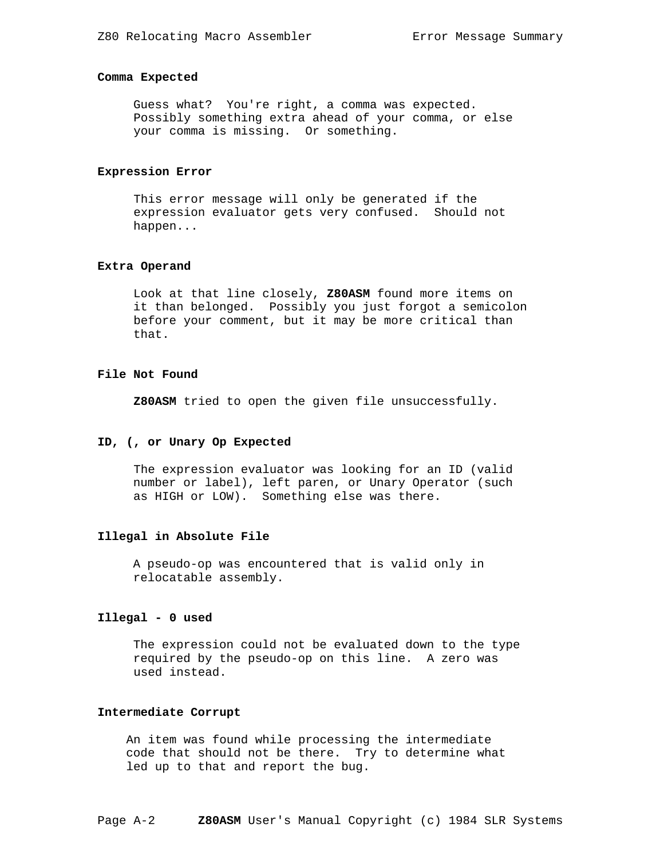### **Comma Expected**

 Guess what? You're right, a comma was expected. Possibly something extra ahead of your comma, or else your comma is missing. Or something.

#### **Expression Error**

 This error message will only be generated if the expression evaluator gets very confused. Should not happen...

## **Extra Operand**

 Look at that line closely, **Z80ASM** found more items on it than belonged. Possibly you just forgot a semicolon before your comment, but it may be more critical than that.

# **File Not Found**

**Z80ASM** tried to open the given file unsuccessfully.

### **ID, (, or Unary Op Expected**

 The expression evaluator was looking for an ID (valid number or label), left paren, or Unary Operator (such as HIGH or LOW). Something else was there.

# **Illegal in Absolute File**

 A pseudo-op was encountered that is valid only in relocatable assembly.

### **Illegal - 0 used**

 The expression could not be evaluated down to the type required by the pseudo-op on this line. A zero was used instead.

#### **Intermediate Corrupt**

 An item was found while processing the intermediate code that should not be there. Try to determine what led up to that and report the bug.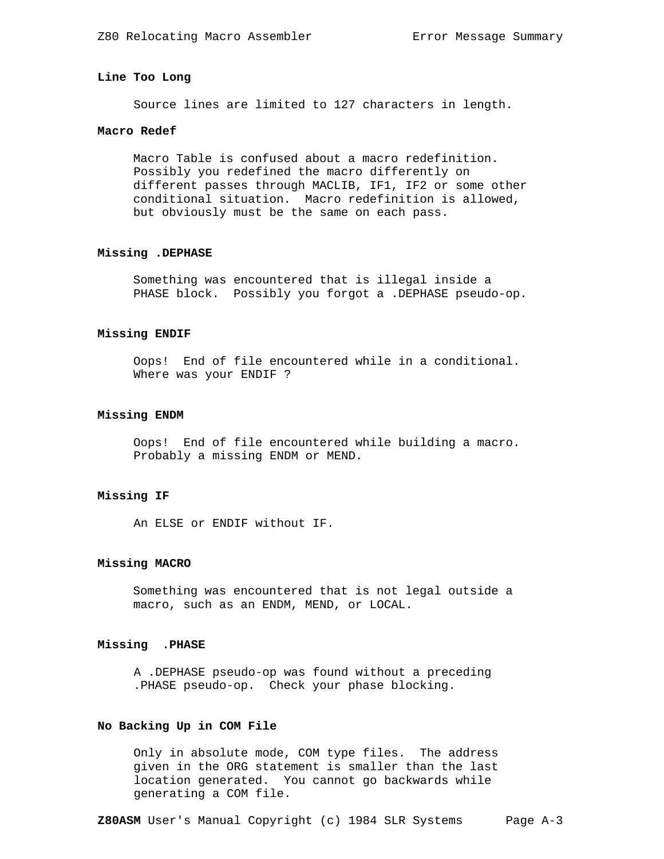# **Line Too Long**

Source lines are limited to 127 characters in length.

# **Macro Redef**

 Macro Table is confused about a macro redefinition. Possibly you redefined the macro differently on different passes through MACLIB, IF1, IF2 or some other conditional situation. Macro redefinition is allowed, but obviously must be the same on each pass.

#### **Missing .DEPHASE**

 Something was encountered that is illegal inside a PHASE block. Possibly you forgot a .DEPHASE pseudo-op.

# **Missing ENDIF**

 Oops! End of file encountered while in a conditional. Where was your ENDIF ?

### **Missing ENDM**

 Oops! End of file encountered while building a macro. Probably a missing ENDM or MEND.

# **Missing IF**

An ELSE or ENDIF without IF.

### **Missing MACRO**

 Something was encountered that is not legal outside a macro, such as an ENDM, MEND, or LOCAL.

# **Missing .PHASE**

 A .DEPHASE pseudo-op was found without a preceding .PHASE pseudo-op. Check your phase blocking.

### **No Backing Up in COM File**

 Only in absolute mode, COM type files. The address given in the ORG statement is smaller than the last location generated. You cannot go backwards while generating a COM file.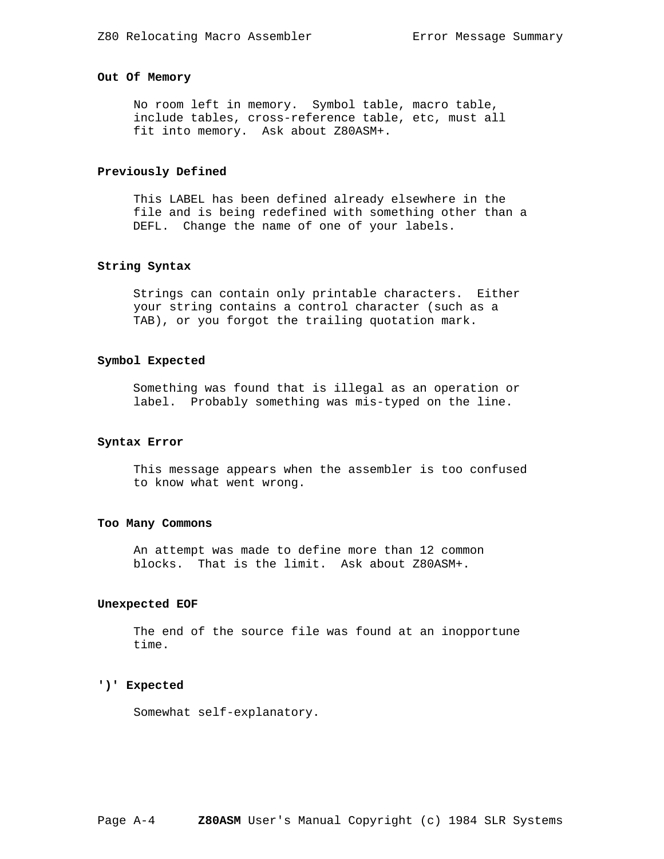# **Out Of Memory**

 No room left in memory. Symbol table, macro table, include tables, cross-reference table, etc, must all fit into memory. Ask about Z80ASM+.

# **Previously Defined**

 This LABEL has been defined already elsewhere in the file and is being redefined with something other than a DEFL. Change the name of one of your labels.

# **String Syntax**

 Strings can contain only printable characters. Either your string contains a control character (such as a TAB), or you forgot the trailing quotation mark.

### **Symbol Expected**

 Something was found that is illegal as an operation or label. Probably something was mis-typed on the line.

### **Syntax Error**

 This message appears when the assembler is too confused to know what went wrong.

#### **Too Many Commons**

 An attempt was made to define more than 12 common blocks. That is the limit. Ask about Z80ASM+.

#### **Unexpected EOF**

 The end of the source file was found at an inopportune time.

# **')' Expected**

Somewhat self-explanatory.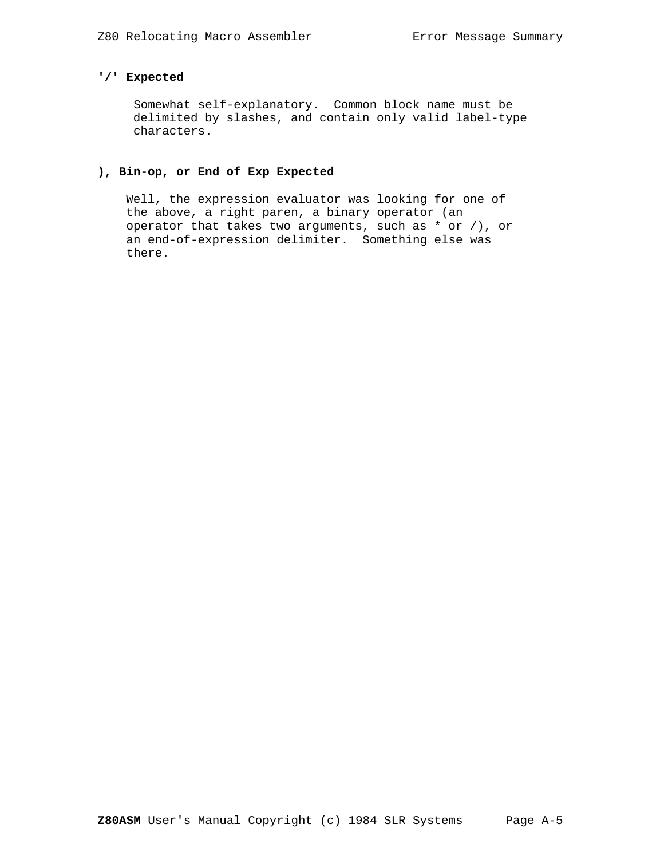# **'/' Expected**

 Somewhat self-explanatory. Common block name must be delimited by slashes, and contain only valid label-type characters.

# **), Bin-op, or End of Exp Expected**

 Well, the expression evaluator was looking for one of the above, a right paren, a binary operator (an operator that takes two arguments, such as \* or /), or an end-of-expression delimiter. Something else was there.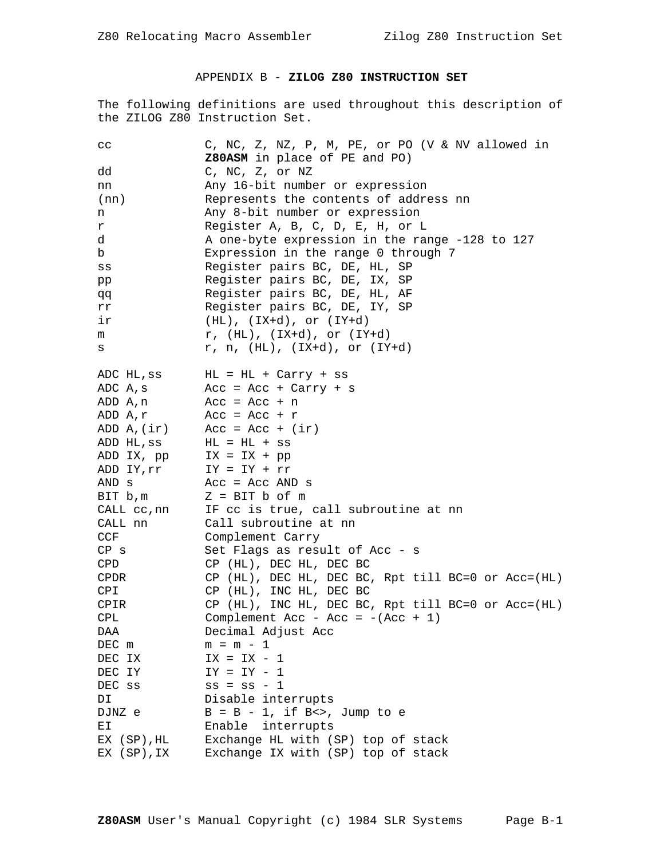# APPENDIX B - **ZILOG Z80 INSTRUCTION SET**

The following definitions are used throughout this description of the ZILOG Z80 Instruction Set.

| $_{\rm CC}$ | C, NC, Z, NZ, P, M, PE, or PO (V & NV allowed in     |  |  |  |  |  |  |  |
|-------------|------------------------------------------------------|--|--|--|--|--|--|--|
|             | Z80ASM in place of PE and PO)                        |  |  |  |  |  |  |  |
| dd          | C, NC, Z, or NZ                                      |  |  |  |  |  |  |  |
| nn          | Any 16-bit number or expression                      |  |  |  |  |  |  |  |
| (nn)        | Represents the contents of address nn                |  |  |  |  |  |  |  |
| n           | Any 8-bit number or expression                       |  |  |  |  |  |  |  |
| r           | Register A, B, C, D, E, H, or L                      |  |  |  |  |  |  |  |
| d           | A one-byte expression in the range -128 to 127       |  |  |  |  |  |  |  |
| b           | Expression in the range 0 through 7                  |  |  |  |  |  |  |  |
| SS          | Register pairs BC, DE, HL, SP                        |  |  |  |  |  |  |  |
| pp          | Register pairs BC, DE, IX, SP                        |  |  |  |  |  |  |  |
| đđ          | Register pairs BC, DE, HL, AF                        |  |  |  |  |  |  |  |
| rr          | Register pairs BC, DE, IY, SP                        |  |  |  |  |  |  |  |
| ir          | $(HL)$ , $IX+d)$ , or $(IY+d)$                       |  |  |  |  |  |  |  |
| m           | $r$ , (HL), (IX+d), or (IY+d)                        |  |  |  |  |  |  |  |
| s           | $r, n, (HL), (IX+d), or (IY+d)$                      |  |  |  |  |  |  |  |
| ADC HL, ss  | HL = HL + Carry + ss                                 |  |  |  |  |  |  |  |
| ADC A, s    | Acc = Acc + Carry + s                                |  |  |  |  |  |  |  |
| ADD A,n     | $Acc = Acc + n$                                      |  |  |  |  |  |  |  |
| ADD A, r    | $Acc = Acc + r$                                      |  |  |  |  |  |  |  |
| ADD A, (ir) | $Acc = Acc + (ir)$                                   |  |  |  |  |  |  |  |
| ADD HL, SS  | $HL = HL + ss$                                       |  |  |  |  |  |  |  |
| ADD IX, pp  | $IX = IX + pp$                                       |  |  |  |  |  |  |  |
| ADD IY, rr  | $IY = IY + rr$                                       |  |  |  |  |  |  |  |
| AND s       | $Acc = Acc AND s$                                    |  |  |  |  |  |  |  |
| BIT b,m     | $Z = BIT b of m$                                     |  |  |  |  |  |  |  |
| CALL cc,nn  | IF cc is true, call subroutine at nn                 |  |  |  |  |  |  |  |
| CALL nn     | Call subroutine at nn                                |  |  |  |  |  |  |  |
| CCF         | Complement Carry                                     |  |  |  |  |  |  |  |
| $CP$ s      | Set Flags as result of Acc - s                       |  |  |  |  |  |  |  |
| CPD         | CP (HL), DEC HL, DEC BC                              |  |  |  |  |  |  |  |
| <b>CPDR</b> | $CP$ (HL), DEC HL, DEC BC, Rpt till BC=0 or Acc=(HL) |  |  |  |  |  |  |  |
| CPI         | CP (HL), INC HL, DEC BC                              |  |  |  |  |  |  |  |
| <b>CPIR</b> | CP (HL), INC HL, DEC BC, Rpt till BC=0 or Acc=(HL)   |  |  |  |  |  |  |  |
| CPL         | Complement Acc - Acc = $-(Acc + 1)$                  |  |  |  |  |  |  |  |
| <b>DAA</b>  | Decimal Adjust Acc                                   |  |  |  |  |  |  |  |
| DEC m       | $m = m - 1$                                          |  |  |  |  |  |  |  |
| DEC IX      | $IX = IX - 1$                                        |  |  |  |  |  |  |  |
| DEC IY      | $IY = IY - 1$                                        |  |  |  |  |  |  |  |
| DEC ss      | $ss = ss - 1$                                        |  |  |  |  |  |  |  |
| DI          | Disable interrupts                                   |  |  |  |  |  |  |  |
| DJNZ e      | $B = B - 1$ , if $B \ll 2$ , Jump to e               |  |  |  |  |  |  |  |
| ΕI          | Enable interrupts                                    |  |  |  |  |  |  |  |
| EX (SP), HL | Exchange HL with (SP) top of stack                   |  |  |  |  |  |  |  |
| EX (SP), IX | Exchange IX with (SP) top of stack                   |  |  |  |  |  |  |  |
|             |                                                      |  |  |  |  |  |  |  |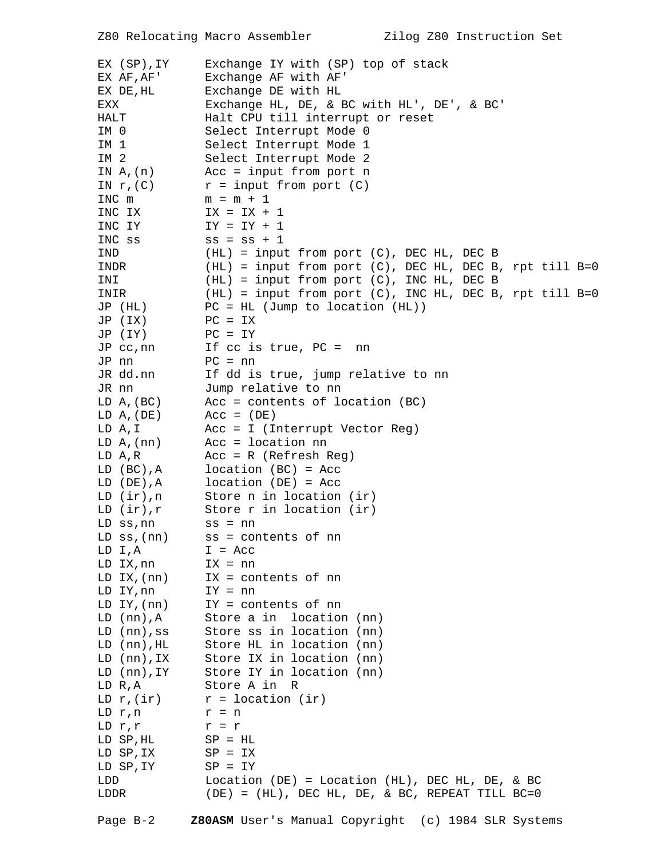| EX (SP), IY<br>EX AF, AF'<br>EX DE, HL<br>EXX<br>HALT<br>IM 0<br>IM 1<br>IM 2<br>IN $A$ , $(n)$<br>IN $r$ , $(C)$<br>INC m<br>INC IX<br>INC IY | Exchange IY with (SP) top of stack<br>Exchange AF with AF'<br>Exchange DE with HL<br>Exchange HL, DE, & BC with HL', DE', & BC'<br>Halt CPU till interrupt or reset<br>Select Interrupt Mode 0<br>Select Interrupt Mode 1<br>Select Interrupt Mode 2<br>$Acc = input from port n$<br>$r = input from port (C)$<br>$m = m + 1$<br>$IX = IX + 1$<br>$IY = IY + 1$ |
|------------------------------------------------------------------------------------------------------------------------------------------------|-----------------------------------------------------------------------------------------------------------------------------------------------------------------------------------------------------------------------------------------------------------------------------------------------------------------------------------------------------------------|
| INC ss                                                                                                                                         | $ss = ss + 1$                                                                                                                                                                                                                                                                                                                                                   |
| IND                                                                                                                                            | (HL) = input from port (C), DEC HL, DEC B                                                                                                                                                                                                                                                                                                                       |
| INDR<br>INI                                                                                                                                    | $(HL)$ = input from port $(C)$ , DEC HL, DEC B, rpt till B=0<br>$(HL)$ = input from port $(C)$ , INC HL, DEC B                                                                                                                                                                                                                                                  |
| INIR                                                                                                                                           | $(HL)$ = input from port (C), INC HL, DEC B, rpt till B=0                                                                                                                                                                                                                                                                                                       |
| JP (HL)                                                                                                                                        | $PC = HL$ (Jump to location (HL))                                                                                                                                                                                                                                                                                                                               |
| JP (IX)                                                                                                                                        | $PC = IX$                                                                                                                                                                                                                                                                                                                                                       |
| JP (IY)                                                                                                                                        | $PC = IY$                                                                                                                                                                                                                                                                                                                                                       |
| JP cc, nn                                                                                                                                      | If $cc$ is true, $PC =$<br>nn                                                                                                                                                                                                                                                                                                                                   |
| JP nn                                                                                                                                          | $PC = nn$                                                                                                                                                                                                                                                                                                                                                       |
| JR dd.nn                                                                                                                                       | If dd is true, jump relative to nn                                                                                                                                                                                                                                                                                                                              |
| JR nn                                                                                                                                          | Jump relative to nn                                                                                                                                                                                                                                                                                                                                             |
| LD A, (BC)                                                                                                                                     | Acc = contents of location (BC)                                                                                                                                                                                                                                                                                                                                 |
| LD A, (DE)                                                                                                                                     | $Acc = (DE)$                                                                                                                                                                                                                                                                                                                                                    |
| LD A, I                                                                                                                                        | $Acc = I (Interrupt Vector Reg)$                                                                                                                                                                                                                                                                                                                                |
| LD A, (nn)                                                                                                                                     | $Acc = location nn$                                                                                                                                                                                                                                                                                                                                             |
| LD A,R                                                                                                                                         | $Acc = R (Refresh Reg)$                                                                                                                                                                                                                                                                                                                                         |
| LD (BC), A<br>LD (DE), A                                                                                                                       | $location (BC) = Acc$<br>$location (DE) = Acc$                                                                                                                                                                                                                                                                                                                  |
| LD (ir), n                                                                                                                                     | Store n in location (ir)                                                                                                                                                                                                                                                                                                                                        |
| LD $(ir),r$                                                                                                                                    | Store r in location (ir)                                                                                                                                                                                                                                                                                                                                        |
| LD ss, nn                                                                                                                                      | $ss = nn$                                                                                                                                                                                                                                                                                                                                                       |
| $LD$ ss, $(nn)$                                                                                                                                | ss = contents of nn                                                                                                                                                                                                                                                                                                                                             |
| LD I, A                                                                                                                                        | $I = Acc$                                                                                                                                                                                                                                                                                                                                                       |
| LD IX, nn                                                                                                                                      | $IX = nn$                                                                                                                                                                                                                                                                                                                                                       |
| LD IX, (nn)                                                                                                                                    | $IX = contents of nn$                                                                                                                                                                                                                                                                                                                                           |
| LD IY, nn                                                                                                                                      | $IY = nn$                                                                                                                                                                                                                                                                                                                                                       |
| LD $IY$ , $(nn)$                                                                                                                               | IY = contents of nn                                                                                                                                                                                                                                                                                                                                             |
| $LD (nn)$ , $A$                                                                                                                                | Store a in location (nn)                                                                                                                                                                                                                                                                                                                                        |
| LD (nn),ss                                                                                                                                     | Store ss in location (nn)                                                                                                                                                                                                                                                                                                                                       |
| $LD (nn)$ , HL<br>LD (nn), IX                                                                                                                  | Store HL in location (nn)<br>Store IX in location (nn)                                                                                                                                                                                                                                                                                                          |
| LD (nn), IY                                                                                                                                    | Store IY in location (nn)                                                                                                                                                                                                                                                                                                                                       |
| LD R,A                                                                                                                                         | Store A in R                                                                                                                                                                                                                                                                                                                                                    |
| LD $r$ , $\left($ ir)                                                                                                                          | $r =$ location (ir)                                                                                                                                                                                                                                                                                                                                             |
| LD r,n                                                                                                                                         | $r = n$                                                                                                                                                                                                                                                                                                                                                         |
| LD r,r                                                                                                                                         | $r = r$                                                                                                                                                                                                                                                                                                                                                         |
| LD SP,HL                                                                                                                                       | $SP = HL$                                                                                                                                                                                                                                                                                                                                                       |
| LD SP, IX                                                                                                                                      | $SP = IX$                                                                                                                                                                                                                                                                                                                                                       |
| LD SP, IY                                                                                                                                      | $SP = IY$                                                                                                                                                                                                                                                                                                                                                       |
| LDD                                                                                                                                            | Location (DE) = Location (HL), DEC HL, DE, & BC                                                                                                                                                                                                                                                                                                                 |
| LDDR                                                                                                                                           | $(DE) = (HL)$ , DEC HL, DE, & BC, REPEAT TILL BC=0                                                                                                                                                                                                                                                                                                              |
| Page $B-2$                                                                                                                                     | Z80ASM User's Manual Copyright (c) 1984 SLR Systems                                                                                                                                                                                                                                                                                                             |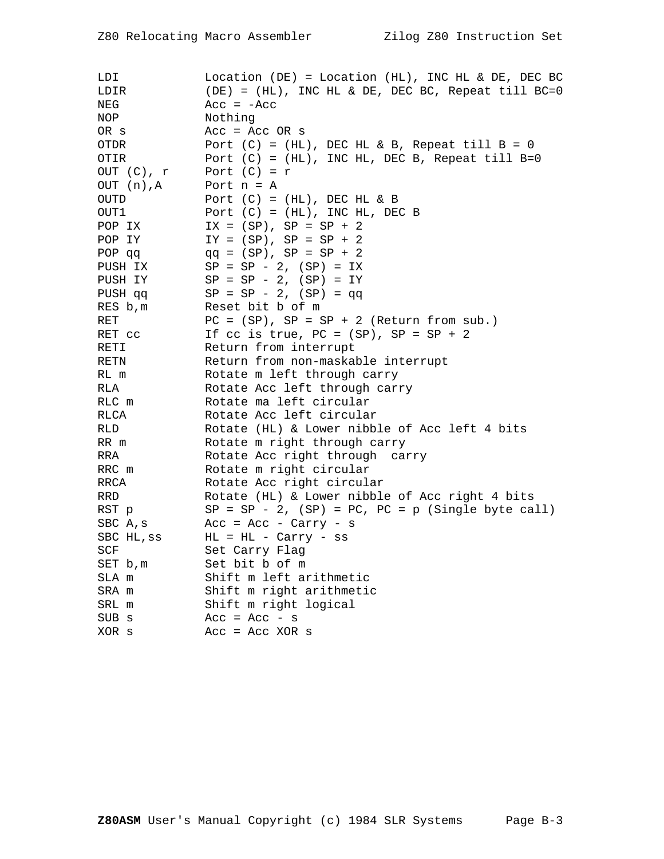| LDI         | Location (DE) = Location (HL), INC HL & DE, DEC BC        |
|-------------|-----------------------------------------------------------|
| LDIR        | (DE) = (HL), INC HL & DE, DEC BC, Repeat till BC=0        |
| NEG         | $Acc = -Acc$                                              |
| NOP         | Nothing                                                   |
| OR s        | $Acc = Acc OR s$                                          |
| OTDR        | Port $(C) = (HL)$ , DEC HL & B, Repeat till B = 0         |
| OTIR        | Port $(C) = (HL)$ , INC HL, DEC B, Repeat till B=0        |
| OUT (C), r  | Port $(C) = r$                                            |
| OUT (n), A  | Port $n = A$                                              |
| <b>OUTD</b> | Port $(C) = (HL)$ , DEC HL & B                            |
| OUT1        | Port $(C) = (HL)$ , INC HL, DEC B                         |
| POP IX      | $IX = (SP), SP = SP + 2$                                  |
| POP IY      | $IY = (SP), SP = SP + 2$                                  |
| POP qq      | $qq = (SP), SP = SP + 2$                                  |
| PUSH IX     | $SP = SP - 2$ , $(SP) = IX$                               |
| PUSH IY     | $SP = SP - 2$ , $(SP) = IY$                               |
| PUSH qq     | $SP = SP - 2$ , $(SP) = qq$                               |
| RES b, m    | Reset bit b of m                                          |
| RET         | $PC = (SP)$ , $SP = SP + 2$ (Return from sub.)            |
| RET CC      | If cc is true, $PC = (SP)$ , $SP = SP + 2$                |
| RETI        | Return from interrupt                                     |
| RETN        | Return from non-maskable interrupt                        |
| RL m        | Rotate m left through carry                               |
| RLA         | Rotate Acc left through carry                             |
| RLC m       | Rotate ma left circular                                   |
| RLCA        | Rotate Acc left circular                                  |
| RLD         | Rotate (HL) & Lower nibble of Acc left 4 bits             |
| RR m        | Rotate m right through carry                              |
| RRA         | Rotate Acc right through carry                            |
| RRC m       | Rotate m right circular                                   |
| RRCA        | Rotate Acc right circular                                 |
| RRD         | Rotate (HL) & Lower nibble of Acc right 4 bits            |
| RST p       | $SP = SP - 2$ , $(SP) = PC$ , $PC = p$ (Single byte call) |
| SBC A, s    | Acc = Acc - Carry - $s$                                   |
| SBC HL, ss  | $HL = HL - Carry - ss$                                    |
| SCF         | Set Carry Flag                                            |
| SET b, m    | Set bit b of m                                            |
| SLA m       | Shift m left arithmetic                                   |
| SRA m       | Shift m right arithmetic                                  |
| SRL m       | Shift m right logical                                     |
| SUB s       | Acc = Acc - $s$                                           |
| XOR s       | $Acc = Acc XOR s$                                         |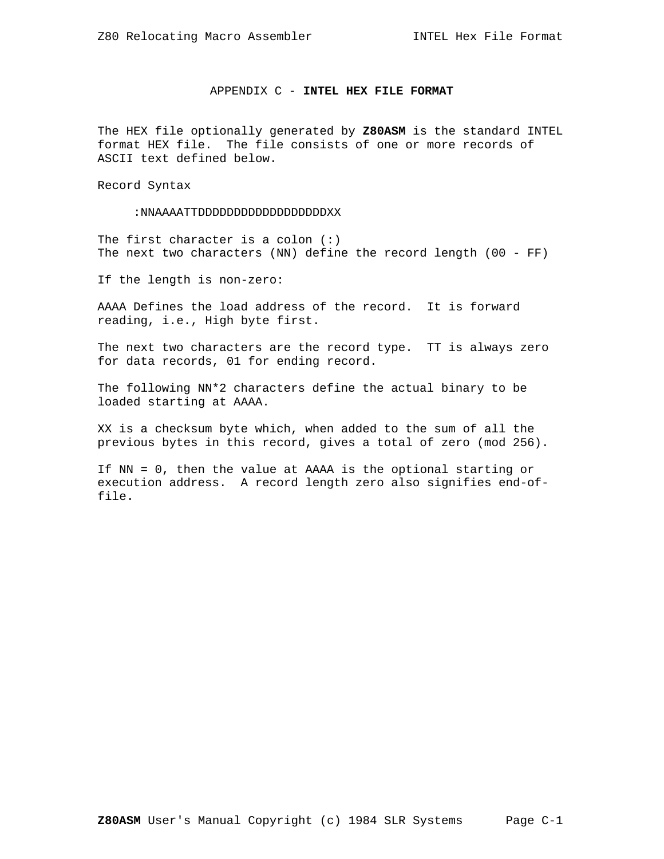### APPENDIX C - **INTEL HEX FILE FORMAT**

The HEX file optionally generated by **Z80ASM** is the standard INTEL format HEX file. The file consists of one or more records of ASCII text defined below.

Record Syntax

:NNAAAATTDDDDDDDDDDDDDDDDDDXX

The first character is a colon  $(:)$ The next two characters (NN) define the record length (00 - FF)

If the length is non-zero:

AAAA Defines the load address of the record. It is forward reading, i.e., High byte first.

The next two characters are the record type. TT is always zero for data records, 01 for ending record.

The following NN\*2 characters define the actual binary to be loaded starting at AAAA.

XX is a checksum byte which, when added to the sum of all the previous bytes in this record, gives a total of zero (mod 256).

If NN = 0, then the value at AAAA is the optional starting or execution address. A record length zero also signifies end-offile.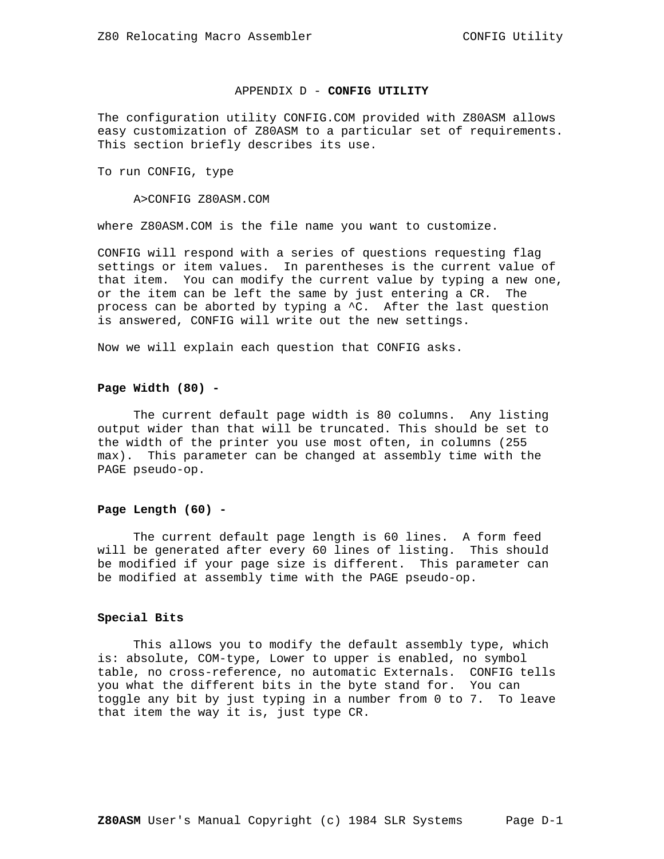#### APPENDIX D - **CONFIG UTILITY**

The configuration utility CONFIG.COM provided with Z80ASM allows easy customization of Z80ASM to a particular set of requirements. This section briefly describes its use.

To run CONFIG, type

A>CONFIG Z80ASM.COM

where Z80ASM.COM is the file name you want to customize.

CONFIG will respond with a series of questions requesting flag settings or item values. In parentheses is the current value of that item. You can modify the current value by typing a new one, or the item can be left the same by just entering a CR. The process can be aborted by typing a ^C. After the last question is answered, CONFIG will write out the new settings.

Now we will explain each question that CONFIG asks.

### **Page Width (80) -**

 The current default page width is 80 columns. Any listing output wider than that will be truncated. This should be set to the width of the printer you use most often, in columns (255 max). This parameter can be changed at assembly time with the PAGE pseudo-op.

### **Page Length (60) -**

 The current default page length is 60 lines. A form feed will be generated after every 60 lines of listing. This should be modified if your page size is different. This parameter can be modified at assembly time with the PAGE pseudo-op.

#### **Special Bits**

 This allows you to modify the default assembly type, which is: absolute, COM-type, Lower to upper is enabled, no symbol table, no cross-reference, no automatic Externals. CONFIG tells you what the different bits in the byte stand for. You can toggle any bit by just typing in a number from 0 to 7. To leave that item the way it is, just type CR.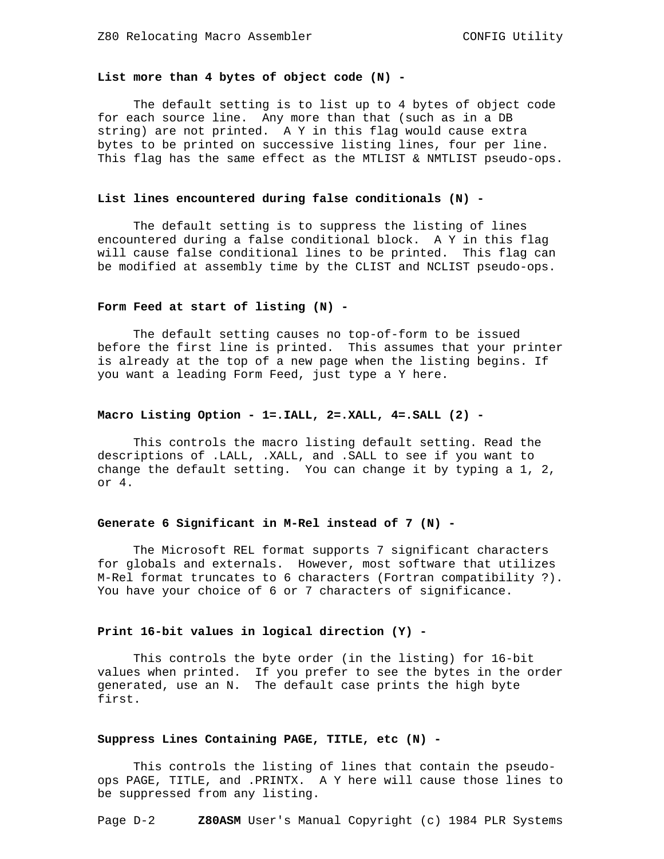# **List more than 4 bytes of object code (N) -**

 The default setting is to list up to 4 bytes of object code for each source line. Any more than that (such as in a DB string) are not printed. A Y in this flag would cause extra bytes to be printed on successive listing lines, four per line. This flag has the same effect as the MTLIST & NMTLIST pseudo-ops.

# **List lines encountered during false conditionals (N) -**

 The default setting is to suppress the listing of lines encountered during a false conditional block. A Y in this flag will cause false conditional lines to be printed. This flag can be modified at assembly time by the CLIST and NCLIST pseudo-ops.

#### **Form Feed at start of listing (N) -**

 The default setting causes no top-of-form to be issued before the first line is printed. This assumes that your printer is already at the top of a new page when the listing begins. If you want a leading Form Feed, just type a Y here.

### **Macro Listing Option - 1=.IALL, 2=.XALL, 4=.SALL (2) -**

 This controls the macro listing default setting. Read the descriptions of .LALL, .XALL, and .SALL to see if you want to change the default setting. You can change it by typing a 1, 2, or 4.

#### **Generate 6 Significant in M-Rel instead of 7 (N) -**

 The Microsoft REL format supports 7 significant characters for globals and externals. However, most software that utilizes M-Rel format truncates to 6 characters (Fortran compatibility ?). You have your choice of 6 or 7 characters of significance.

# **Print 16-bit values in logical direction (Y) -**

 This controls the byte order (in the listing) for 16-bit values when printed. If you prefer to see the bytes in the order generated, use an N. The default case prints the high byte first.

# **Suppress Lines Containing PAGE, TITLE, etc (N) -**

 This controls the listing of lines that contain the pseudoops PAGE, TITLE, and .PRINTX. A Y here will cause those lines to be suppressed from any listing.

Page D-2 **Z80ASM** User's Manual Copyright (c) 1984 PLR Systems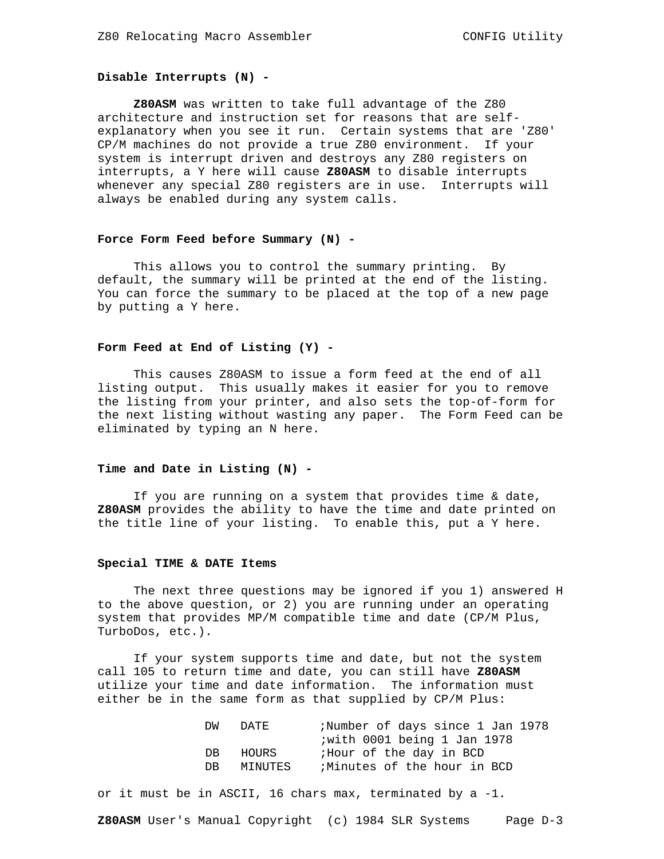# **Disable Interrupts (N) -**

 **Z80ASM** was written to take full advantage of the Z80 architecture and instruction set for reasons that are selfexplanatory when you see it run. Certain systems that are 'Z80' CP/M machines do not provide a true Z80 environment. If your system is interrupt driven and destroys any Z80 registers on interrupts, a Y here will cause **Z80ASM** to disable interrupts whenever any special Z80 registers are in use. Interrupts will always be enabled during any system calls.

### **Force Form Feed before Summary (N) -**

 This allows you to control the summary printing. By default, the summary will be printed at the end of the listing. You can force the summary to be placed at the top of a new page by putting a Y here.

# **Form Feed at End of Listing (Y) -**

 This causes Z80ASM to issue a form feed at the end of all listing output. This usually makes it easier for you to remove the listing from your printer, and also sets the top-of-form for the next listing without wasting any paper. The Form Feed can be eliminated by typing an N here.

# **Time and Date in Listing (N) -**

 If you are running on a system that provides time & date, **Z80ASM** provides the ability to have the time and date printed on the title line of your listing. To enable this, put a Y here.

#### **Special TIME & DATE Items**

 The next three questions may be ignored if you 1) answered H to the above question, or 2) you are running under an operating system that provides MP/M compatible time and date (CP/M Plus, TurboDos, etc.).

 If your system supports time and date, but not the system call 105 to return time and date, you can still have **Z80ASM** utilize your time and date information. The information must either be in the same form as that supplied by CP/M Plus:

| DM<br>DATE.   | ;Number of days since 1 Jan 1978 |
|---------------|----------------------------------|
|               | iwith 0001 being 1 Jan 1978      |
| HOURS<br>DB.  | ;Hour of the day in BCD          |
| MINUTES<br>DB | Minutes of the hour in BCD       |

or it must be in ASCII, 16 chars max, terminated by a -1.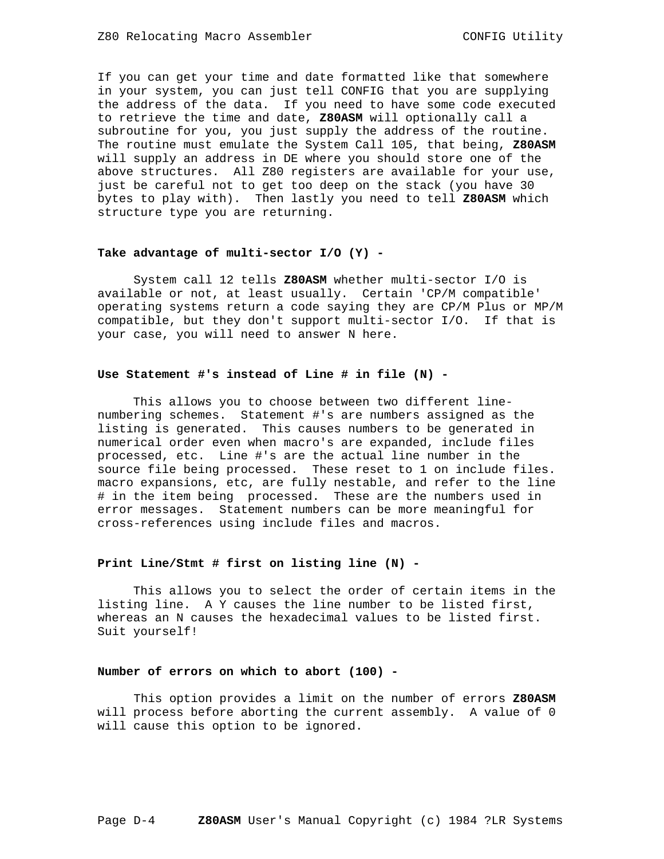If you can get your time and date formatted like that somewhere in your system, you can just tell CONFIG that you are supplying the address of the data. If you need to have some code executed to retrieve the time and date, **Z80ASM** will optionally call a subroutine for you, you just supply the address of the routine. The routine must emulate the System Call 105, that being, **Z80ASM** will supply an address in DE where you should store one of the above structures. All Z80 registers are available for your use, just be careful not to get too deep on the stack (you have 30 bytes to play with). Then lastly you need to tell **Z80ASM** which structure type you are returning.

### **Take advantage of multi-sector I/O (Y) -**

 System call 12 tells **Z80ASM** whether multi-sector I/O is available or not, at least usually. Certain 'CP/M compatible' operating systems return a code saying they are CP/M Plus or MP/M compatible, but they don't support multi-sector I/O. If that is your case, you will need to answer N here.

### **Use Statement #'s instead of Line # in file (N) -**

 This allows you to choose between two different linenumbering schemes. Statement #'s are numbers assigned as the listing is generated. This causes numbers to be generated in numerical order even when macro's are expanded, include files processed, etc. Line #'s are the actual line number in the source file being processed. These reset to 1 on include files. macro expansions, etc, are fully nestable, and refer to the line # in the item being processed. These are the numbers used in error messages. Statement numbers can be more meaningful for cross-references using include files and macros.

### **Print Line/Stmt # first on listing line (N) -**

 This allows you to select the order of certain items in the listing line. A Y causes the line number to be listed first, whereas an N causes the hexadecimal values to be listed first. Suit yourself!

#### **Number of errors on which to abort (100) -**

 This option provides a limit on the number of errors **Z80ASM** will process before aborting the current assembly. A value of 0 will cause this option to be ignored.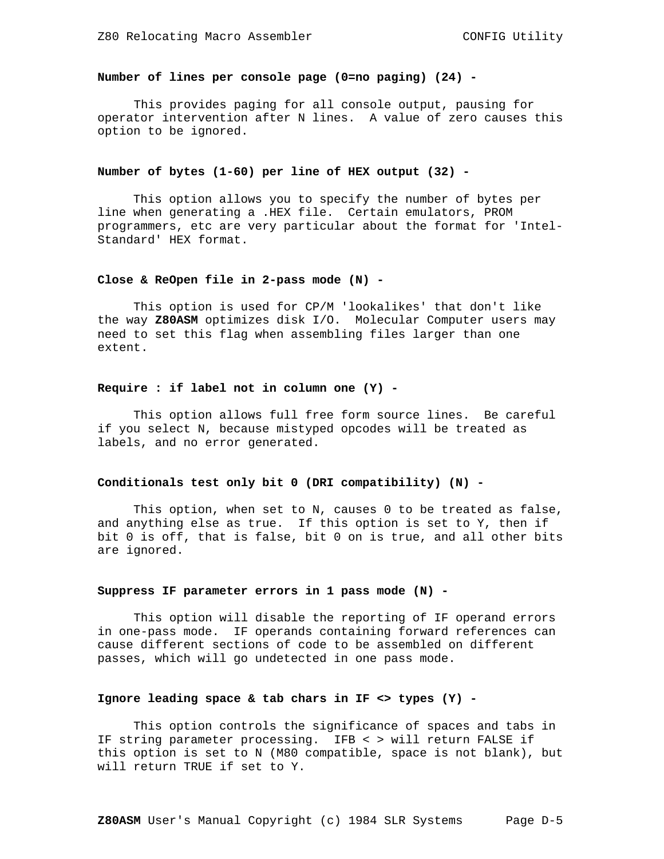# **Number of lines per console page (0=no paging) (24) -**

 This provides paging for all console output, pausing for operator intervention after N lines. A value of zero causes this option to be ignored.

# **Number of bytes (1-60) per line of HEX output (32) -**

 This option allows you to specify the number of bytes per line when generating a .HEX file. Certain emulators, PROM programmers, etc are very particular about the format for 'Intel-Standard' HEX format.

### **Close & ReOpen file in 2-pass mode (N) -**

 This option is used for CP/M 'lookalikes' that don't like the way **Z80ASM** optimizes disk I/O. Molecular Computer users may need to set this flag when assembling files larger than one extent.

#### **Require : if label not in column one (Y) -**

 This option allows full free form source lines. Be careful if you select N, because mistyped opcodes will be treated as labels, and no error generated.

#### **Conditionals test only bit 0 (DRI compatibility) (N) -**

 This option, when set to N, causes 0 to be treated as false, and anything else as true. If this option is set to Y, then if bit 0 is off, that is false, bit 0 on is true, and all other bits are ignored.

#### **Suppress IF parameter errors in 1 pass mode (N) -**

 This option will disable the reporting of IF operand errors in one-pass mode. IF operands containing forward references can cause different sections of code to be assembled on different passes, which will go undetected in one pass mode.

#### **Ignore leading space & tab chars in IF <> types (Y) -**

 This option controls the significance of spaces and tabs in IF string parameter processing. IFB < > will return FALSE if this option is set to N (M80 compatible, space is not blank), but will return TRUE if set to Y.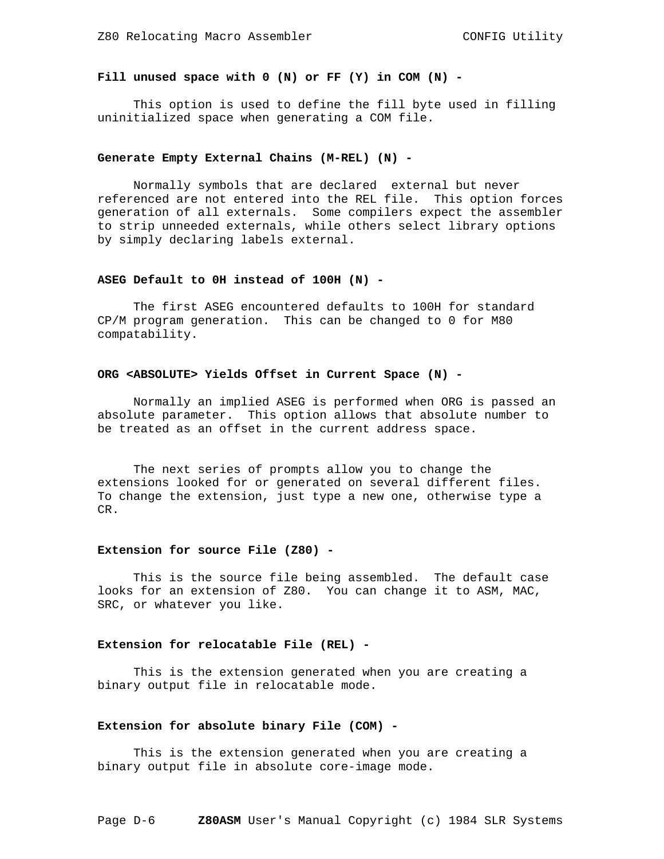# **Fill unused space with 0 (N) or FF (Y) in COM (N) -**

 This option is used to define the fill byte used in filling uninitialized space when generating a COM file.

### **Generate Empty External Chains (M-REL) (N) -**

 Normally symbols that are declared external but never referenced are not entered into the REL file. This option forces generation of all externals. Some compilers expect the assembler to strip unneeded externals, while others select library options by simply declaring labels external.

#### **ASEG Default to 0H instead of 100H (N) -**

 The first ASEG encountered defaults to 100H for standard CP/M program generation. This can be changed to 0 for M80 compatability.

#### **ORG <ABSOLUTE> Yields Offset in Current Space (N) -**

 Normally an implied ASEG is performed when ORG is passed an absolute parameter. This option allows that absolute number to be treated as an offset in the current address space.

 The next series of prompts allow you to change the extensions looked for or generated on several different files. To change the extension, just type a new one, otherwise type a CR.

#### **Extension for source File (Z80) -**

 This is the source file being assembled. The default case looks for an extension of Z80. You can change it to ASM, MAC, SRC, or whatever you like.

#### **Extension for relocatable File (REL) -**

 This is the extension generated when you are creating a binary output file in relocatable mode.

#### **Extension for absolute binary File (COM) -**

 This is the extension generated when you are creating a binary output file in absolute core-image mode.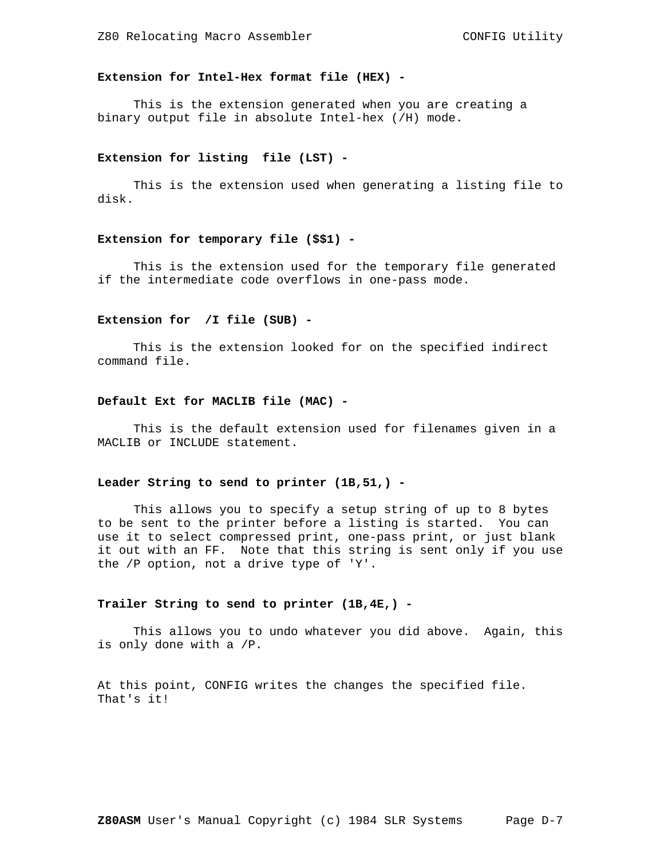# **Extension for Intel-Hex format file (HEX) -**

 This is the extension generated when you are creating a binary output file in absolute Intel-hex (/H) mode.

#### **Extension for listing file (LST) -**

 This is the extension used when generating a listing file to disk.

#### **Extension for temporary file (\$\$1) -**

 This is the extension used for the temporary file generated if the intermediate code overflows in one-pass mode.

#### **Extension for /I file (SUB) -**

 This is the extension looked for on the specified indirect command file.

## **Default Ext for MACLIB file (MAC) -**

 This is the default extension used for filenames given in a MACLIB or INCLUDE statement.

#### **Leader String to send to printer (1B,51,) -**

 This allows you to specify a setup string of up to 8 bytes to be sent to the printer before a listing is started. You can use it to select compressed print, one-pass print, or just blank it out with an FF. Note that this string is sent only if you use the /P option, not a drive type of 'Y'.

#### **Trailer String to send to printer (1B,4E,) -**

 This allows you to undo whatever you did above. Again, this is only done with a /P.

At this point, CONFIG writes the changes the specified file. That's it!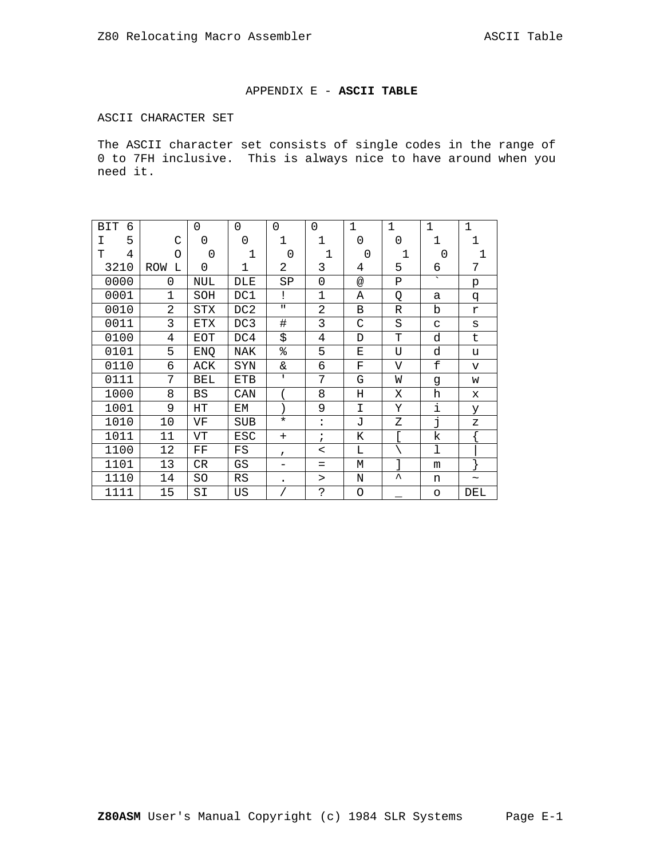# APPENDIX E - **ASCII TABLE**

# ASCII CHARACTER SET

The ASCII character set consists of single codes in the range of 0 to 7FH inclusive. This is always nice to have around when you need it.

| <b>BIT</b><br>6 |                | 0          | $\Omega$     | 0            | 0              | $\mathbf 1$ | $\mathbf 1$ | $\mathbf{1}$             | $\mathbf 1$           |
|-----------------|----------------|------------|--------------|--------------|----------------|-------------|-------------|--------------------------|-----------------------|
| 5<br>Ι          | C              | 0          | 0            | 1            | $\mathbf 1$    | 0           | 0           | 1                        | 1                     |
| 4<br>T          | O              | 0          | $\mathbf{1}$ | 0            | 1              | $\Omega$    | 1           | $\Omega$                 | $\mathbf 1$           |
| 3210            | ROW<br>L       | $\Omega$   | 1            | 2            | 3              | 4           | 5           | 6                        | 7                     |
| 0000            | 0              | NUL        | DLE          | SΡ           | $\mathbf 0$    | @           | $\mathbf P$ | $\overline{\phantom{0}}$ | p                     |
| 0001            | $\mathbf{1}$   | SOH        | DC1          | Ţ            | $\mathbf{1}$   | Α           | Q           | a                        | đ                     |
| 0010            | $\overline{2}$ | <b>STX</b> | DC2          | $\mathbf{H}$ | $\overline{2}$ | B           | R           | b                        | r                     |
| 0011            | 3              | <b>ETX</b> | DC3          | #            | 3              | C           | S           | C                        | S                     |
| 0100            | 4              | EOT        | DC4          | \$           | 4              | D           | Т           | d                        | t                     |
| 0101            | 5              | ENQ        | NAK          | శి           | 5              | Е           | U           | d                        | u                     |
| 0110            | $\epsilon$     | ACK        | SYN          | &            | 6              | F           | $\mathbf V$ | £                        | $\mathbf{v}$          |
| 0111            | 7              | BEL        | <b>ETB</b>   | $\mathbf{I}$ | 7              | G           | W           | g                        | W                     |
| 1000            | 8              | BS         | CAN          |              | 8              | Н           | Χ           | h                        | X                     |
| 1001            | 9              | HТ         | EM           |              | 9              | I           | Υ           | i                        | У                     |
| 1010            | 10             | VF         | <b>SUB</b>   | $\star$      | $\ddot{\cdot}$ | <b>J</b>    | Ζ           | j                        | $\mathbf{z}$          |
| 1011            | 11             | VT         | <b>ESC</b>   | $+$          | $\ddot{i}$     | K           | ſ           | k                        |                       |
| 1100            | 12             | $\rm FF$   | $_{\rm FS}$  | $\mathbf{r}$ | $\,<\,$        | Г           |             | ı                        |                       |
| 1101            | 13             | CR         | GS           |              | $=$            | М           | l           | m                        |                       |
| 1110            | 14             | SO         | RS           |              | >              | N           | ᄉ           | n                        | $\tilde{\phantom{a}}$ |
| 1111            | 15             | SI         | US           |              | $\mathsf{S}$   | O           |             | O                        | DEL                   |